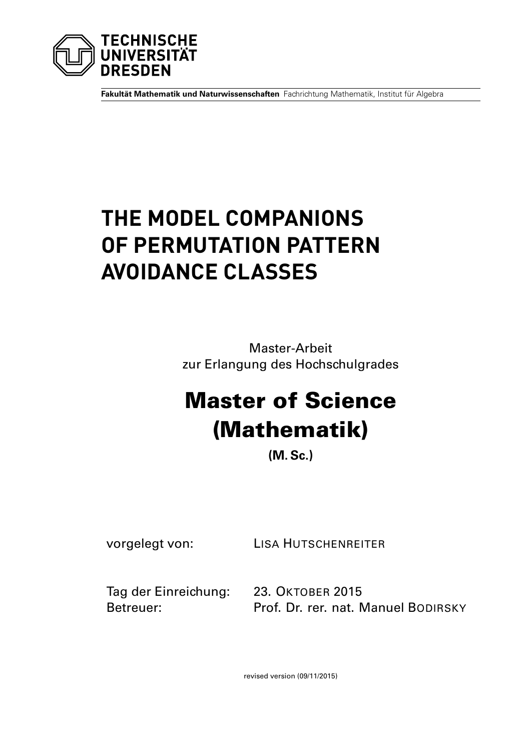

**Fakultät Mathematik und Naturwissenschaften** Fachrichtung Mathematik, Institut für Algebra

# **THE MODEL COMPANIONS OF PERMUTATION PATTERN AVOIDANCE CLASSES**

Master-Arbeit zur Erlangung des Hochschulgrades

# Master of Science (Mathematik)

**(M. Sc.)**

vorgelegt von: LISA HUTSCHENREITER

Tag der Einreichung: 23. OKTOBER 2015

Betreuer: Prof. Dr. rer. nat. Manuel BODIRSKY

revised version (09/11/2015)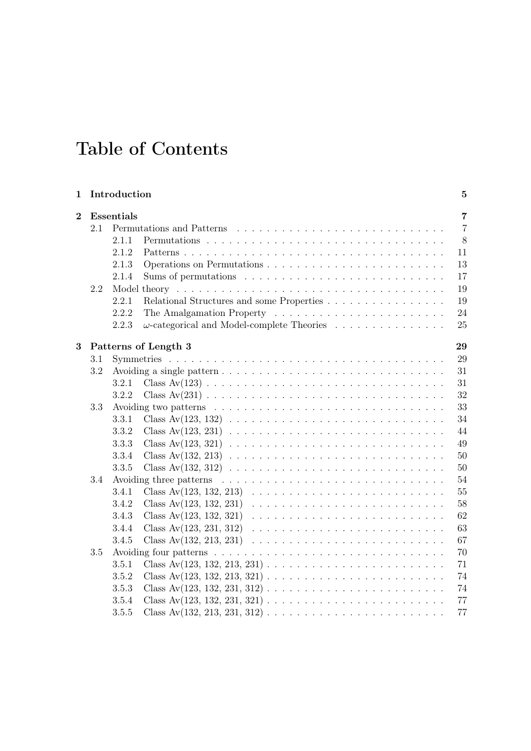## Table of Contents

| 1              |     | Introduction      |                                                   | $5\phantom{.0}$ |
|----------------|-----|-------------------|---------------------------------------------------|-----------------|
| $\overline{2}$ |     | <b>Essentials</b> |                                                   | $\overline{7}$  |
|                | 2.1 |                   | Permutations and Patterns                         | $\overline{7}$  |
|                |     | 2.1.1             |                                                   | 8               |
|                |     | 2.1.2             | 11                                                |                 |
|                |     | 2.1.3             |                                                   | 13              |
|                |     | 2.1.4             |                                                   | 17              |
| 2.2            |     |                   |                                                   | $19\,$          |
|                |     | 2.2.1             | Relational Structures and some Properties         | 19              |
|                |     | 2.2.2             |                                                   | 24              |
|                |     | 2.2.3             | $\omega$ -categorical and Model-complete Theories | 25              |
| 3              |     |                   | Patterns of Length 3<br>29                        |                 |
|                | 3.1 |                   |                                                   | 29              |
|                | 3.2 |                   | 31                                                |                 |
|                |     | 3.2.1             | 31                                                |                 |
|                |     | 3.2.2             |                                                   | 32              |
|                | 3.3 |                   |                                                   | 33              |
|                |     | 3.3.1             |                                                   | 34              |
|                |     | 3.3.2             | 44                                                |                 |
|                |     | 3.3.3             |                                                   | 49              |
|                |     | 3.3.4             |                                                   | 50              |
|                |     | 3.3.5             |                                                   | $50\,$          |
|                | 3.4 |                   | 54                                                |                 |
|                |     | 3.4.1             | 55                                                |                 |
|                |     | 3.4.2             |                                                   | 58              |
|                |     | 3.4.3             | 62                                                |                 |
|                |     | 3.4.4             |                                                   | 63              |
|                |     | 3.4.5             | 67                                                |                 |
|                | 3.5 |                   |                                                   | 70              |
|                |     | 3.5.1             | 71                                                |                 |
|                |     | 3.5.2             | Class Av $(123, 132, 213, 321)$<br>74             |                 |
|                |     | 3.5.3             |                                                   | 74              |
|                |     | 3.5.4             |                                                   | 77              |
|                |     | 3.5.5             |                                                   | 77              |
|                |     |                   |                                                   |                 |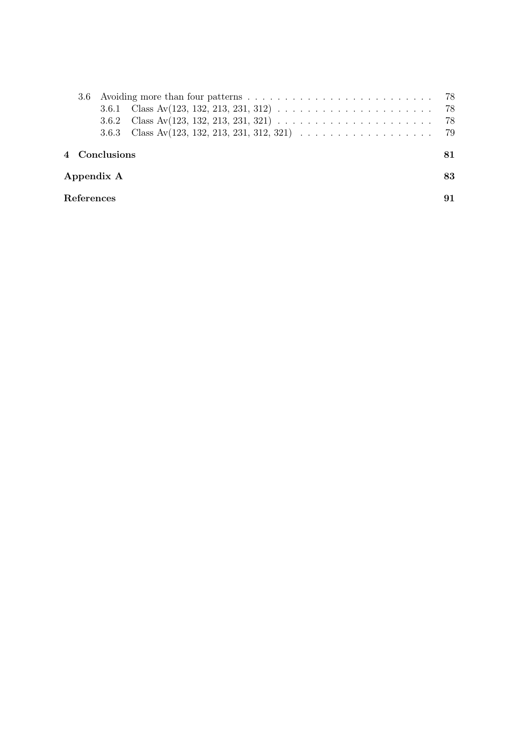|            |  |               | 3.6.3 Class Av(123, 132, 213, 231, 312, 321) $\ldots \ldots \ldots \ldots \ldots \ldots$ 79 |    |  |  |  |  |  |  |
|------------|--|---------------|---------------------------------------------------------------------------------------------|----|--|--|--|--|--|--|
|            |  | 4 Conclusions |                                                                                             | 81 |  |  |  |  |  |  |
| Appendix A |  |               |                                                                                             |    |  |  |  |  |  |  |
| References |  |               |                                                                                             |    |  |  |  |  |  |  |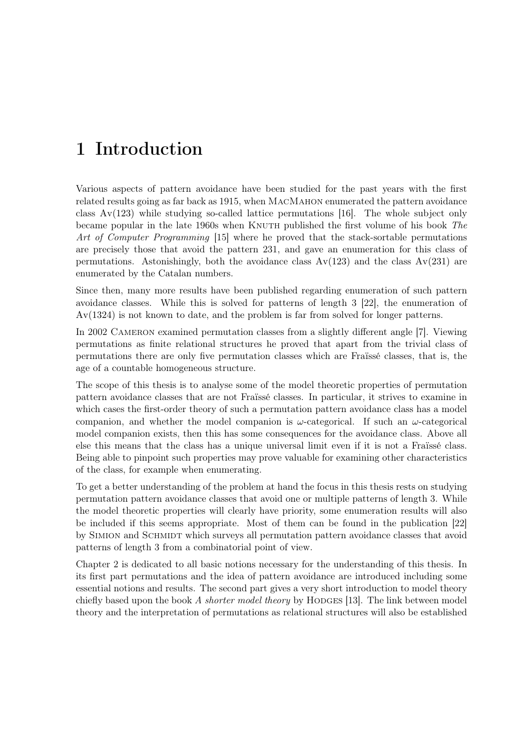## <span id="page-4-0"></span>1 Introduction

Various aspects of pattern avoidance have been studied for the past years with the first related results going as far back as 1915, when MacMahon enumerated the pattern avoidance class  $Av(123)$  while studying so-called lattice permutations [\[16\]](#page-90-0). The whole subject only became popular in the late 1960s when KNUTH published the first volume of his book The Art of Computer Programming [\[15\]](#page-90-0) where he proved that the stack-sortable permutations are precisely those that avoid the pattern 231, and gave an enumeration for this class of permutations. Astonishingly, both the avoidance class  $Av(123)$  and the class  $Av(231)$  are enumerated by the Catalan numbers.

Since then, many more results have been published regarding enumeration of such pattern avoidance classes. While this is solved for patterns of length 3 [\[22\]](#page-91-0), the enumeration of Av(1324) is not known to date, and the problem is far from solved for longer patterns.

In 2002 Cameron examined permutation classes from a slightly different angle [\[7\]](#page-90-0). Viewing permutations as finite relational structures he proved that apart from the trivial class of permutations there are only five permutation classes which are Fraïssé classes, that is, the age of a countable homogeneous structure.

The scope of this thesis is to analyse some of the model theoretic properties of permutation pattern avoidance classes that are not Fraïssé classes. In particular, it strives to examine in which cases the first-order theory of such a permutation pattern avoidance class has a model companion, and whether the model companion is  $\omega$ -categorical. If such an  $\omega$ -categorical model companion exists, then this has some consequences for the avoidance class. Above all else this means that the class has a unique universal limit even if it is not a Fraïssé class. Being able to pinpoint such properties may prove valuable for examining other characteristics of the class, for example when enumerating.

To get a better understanding of the problem at hand the focus in this thesis rests on studying permutation pattern avoidance classes that avoid one or multiple patterns of length 3. While the model theoretic properties will clearly have priority, some enumeration results will also be included if this seems appropriate. Most of them can be found in the publication [\[22\]](#page-91-0) by Simion and Schmidt which surveys all permutation pattern avoidance classes that avoid patterns of length 3 from a combinatorial point of view.

Chapter [2](#page-6-0) is dedicated to all basic notions necessary for the understanding of this thesis. In its first part permutations and the idea of pattern avoidance are introduced including some essential notions and results. The second part gives a very short introduction to model theory chiefly based upon the book A shorter model theory by HODGES [\[13\]](#page-90-0). The link between model theory and the interpretation of permutations as relational structures will also be established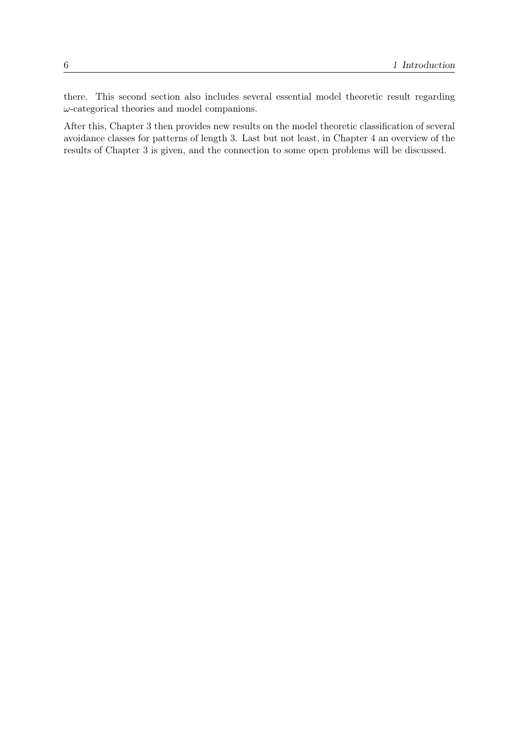there. This second section also includes several essential model theoretic result regarding  $\omega$ -categorical theories and model companions.

After this, Chapter [3](#page-28-0) then provides new results on the model theoretic classification of several avoidance classes for patterns of length 3. Last but not least, in Chapter [4](#page-80-0) an overview of the results of Chapter [3](#page-28-0) is given, and the connection to some open problems will be discussed.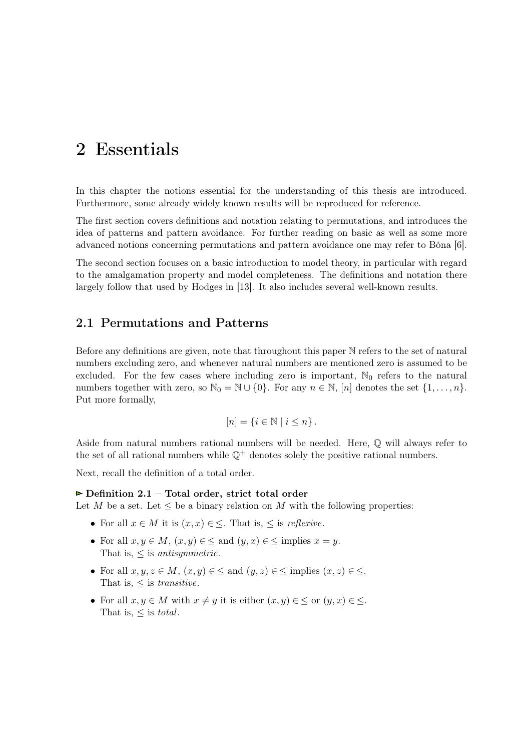### <span id="page-6-0"></span>2 Essentials

In this chapter the notions essential for the understanding of this thesis are introduced. Furthermore, some already widely known results will be reproduced for reference.

The first section covers definitions and notation relating to permutations, and introduces the idea of patterns and pattern avoidance. For further reading on basic as well as some more advanced notions concerning permutations and pattern avoidance one may refer to Bóna [\[6\]](#page-90-0).

The second section focuses on a basic introduction to model theory, in particular with regard to the amalgamation property and model completeness. The definitions and notation there largely follow that used by Hodges in [\[13\]](#page-90-0). It also includes several well-known results.

#### 2.1 Permutations and Patterns

Before any definitions are given, note that throughout this paper N refers to the set of natural numbers excluding zero, and whenever natural numbers are mentioned zero is assumed to be excluded. For the few cases where including zero is important,  $\mathbb{N}_0$  refers to the natural numbers together with zero, so  $\mathbb{N}_0 = \mathbb{N} \cup \{0\}$ . For any  $n \in \mathbb{N}$ ,  $[n]$  denotes the set  $\{1, \ldots, n\}$ . Put more formally,

$$
[n] = \{ i \in \mathbb{N} \mid i \leq n \}.
$$

Aside from natural numbers rational numbers will be needed. Here, Q will always refer to the set of all rational numbers while  $\mathbb{Q}^+$  denotes solely the positive rational numbers.

Next, recall the definition of a total order.

#### $\triangleright$  Definition 2.1 – Total order, strict total order

Let M be a set. Let  $\leq$  be a binary relation on M with the following properties:

- For all  $x \in M$  it is  $(x, x) \in \leq$ . That is,  $\leq$  is *reflexive*.
- For all  $x, y \in M$ ,  $(x, y) \in \leq$  and  $(y, x) \in \leq$  implies  $x = y$ . That is,  $\leq$  is *antisymmetric*.
- For all  $x, y, z \in M$ ,  $(x, y) \in \le$  and  $(y, z) \in \le$  implies  $(x, z) \in \le$ . That is,  $\leq$  is *transitive*.
- For all  $x, y \in M$  with  $x \neq y$  it is either  $(x, y) \in \leq$  or  $(y, x) \in \leq$ . That is,  $\leq$  is total.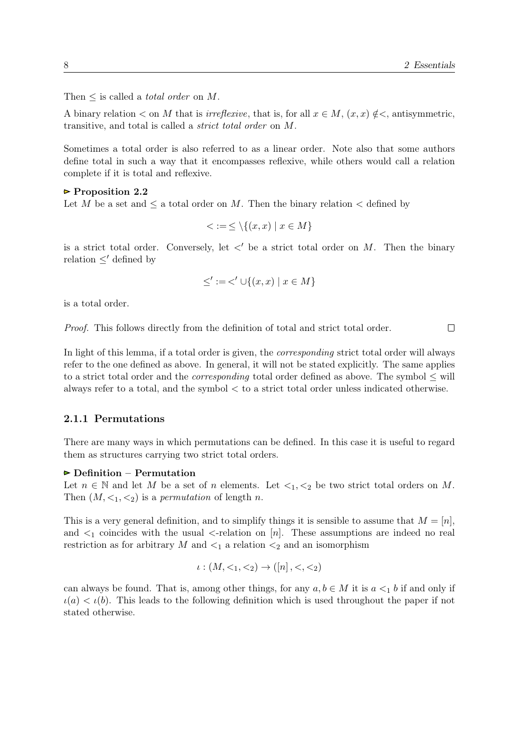<span id="page-7-0"></span>Then  $\leq$  is called a *total order* on M.

A binary relation  $\lt$  on M that is *irreflexive*, that is, for all  $x \in M$ ,  $(x, x) \notin \lt$ , antisymmetric, transitive, and total is called a strict total order on M.

Sometimes a total order is also referred to as a linear order. Note also that some authors define total in such a way that it encompasses reflexive, while others would call a relation complete if it is total and reflexive.

#### $\triangleright$  Proposition 2.2

Let M be a set and  $\leq$  a total order on M. Then the binary relation  $\lt$  defined by

$$
\leq := \leq \setminus \{(x, x) \mid x \in M\}
$$

is a strict total order. Conversely, let  $\langle$  be a strict total order on M. Then the binary relation  $\lt'$  defined by

$$
\leq' := \lt' \cup \{(x, x) \mid x \in M\}
$$

is a total order.

Proof. This follows directly from the definition of total and strict total order.

 $\Box$ 

In light of this lemma, if a total order is given, the *corresponding* strict total order will always refer to the one defined as above. In general, it will not be stated explicitly. The same applies to a strict total order and the *corresponding* total order defined as above. The symbol  $\leq$  will always refer to a total, and the symbol  $\lt$  to a strict total order unless indicated otherwise.

#### 2.1.1 Permutations

There are many ways in which permutations can be defined. In this case it is useful to regard them as structures carrying two strict total orders.

#### $\triangleright$  Definition – Permutation

Let  $n \in \mathbb{N}$  and let M be a set of n elements. Let  $\lt_1, \lt_2$  be two strict total orders on M. Then  $(M, \leq_1, \leq_2)$  is a *permutation* of length *n*.

This is a very general definition, and to simplify things it is sensible to assume that  $M = [n]$ , and  $\leq_1$  coincides with the usual  $\leq$ -relation on [n]. These assumptions are indeed no real restriction as for arbitrary  $M$  and  $\lt_1$  a relation  $\lt_2$  and an isomorphism

$$
\iota: (M, <_1, <_2) \to ([n], <, <_2)
$$

can always be found. That is, among other things, for any  $a, b \in M$  it is  $a \leq_1 b$  if and only if  $\iota(a) < \iota(b)$ . This leads to the following definition which is used throughout the paper if not stated otherwise.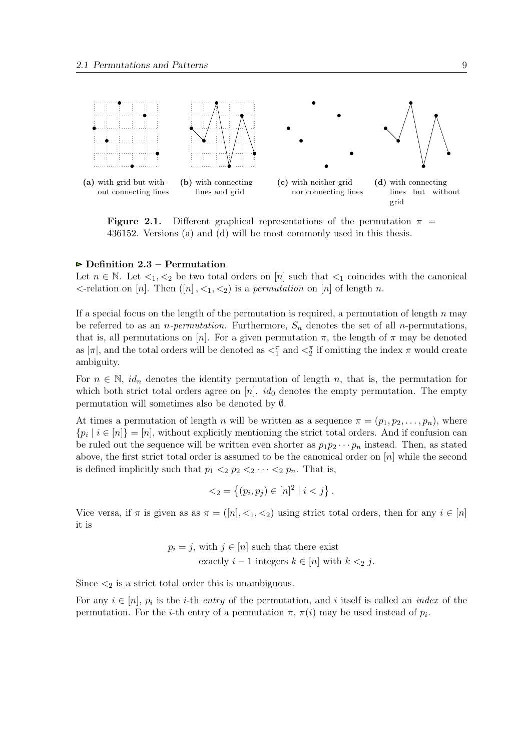<span id="page-8-0"></span>

**Figure 2.1.** Different graphical representations of the permutation  $\pi$  = 436152. Versions (a) and (d) will be most commonly used in this thesis.

#### $\triangleright$  Definition 2.3 – Permutation

Let  $n \in \mathbb{N}$ . Let  $\lt_{1}, \lt_{2}$  be two total orders on [n] such that  $\lt_{1}$  coincides with the canonical  $\leq$ -relation on [n]. Then  $([n], \leq_1, \leq_2)$  is a permutation on [n] of length n.

If a special focus on the length of the permutation is required, a permutation of length  $n$  may be referred to as an *n-permutation*. Furthermore,  $S_n$  denotes the set of all *n*-permutations, that is, all permutations on [n]. For a given permutation  $\pi$ , the length of  $\pi$  may be denoted as  $|\pi|$ , and the total orders will be denoted as  $\lt^{\pi}_1$  and  $\lt^{\pi}_2$  if omitting the index  $\pi$  would create ambiguity.

For  $n \in \mathbb{N}$ ,  $id_n$  denotes the identity permutation of length n, that is, the permutation for which both strict total orders agree on  $[n]$ . id<sub>0</sub> denotes the empty permutation. The empty permutation will sometimes also be denoted by ∅.

At times a permutation of length n will be written as a sequence  $\pi = (p_1, p_2, \ldots, p_n)$ , where  $\{p_i \mid i \in [n]\} = [n]$ , without explicitly mentioning the strict total orders. And if confusion can be ruled out the sequence will be written even shorter as  $p_1p_2\cdots p_n$  instead. Then, as stated above, the first strict total order is assumed to be the canonical order on  $[n]$  while the second is defined implicitly such that  $p_1 <_2 p_2 <_2 \cdots <_2 p_n$ . That is,

$$
\langle z_2 = \{(p_i, p_j) \in [n]^2 \mid i < j\} \, .
$$

Vice versa, if  $\pi$  is given as as  $\pi = (n, \leq_1, \leq_2)$  using strict total orders, then for any  $i \in [n]$ it is

$$
p_i = j, \text{ with } j \in [n] \text{ such that there exist}
$$
  
exactly  $i - 1$  integers  $k \in [n]$  with  $k <_2 j$ .

Since  $\leq_2$  is a strict total order this is unambiguous.

For any  $i \in [n]$ ,  $p_i$  is the *i*-th *entry* of the permutation, and *i* itself is called an *index* of the permutation. For the *i*-th entry of a permutation  $\pi$ ,  $\pi(i)$  may be used instead of  $p_i$ .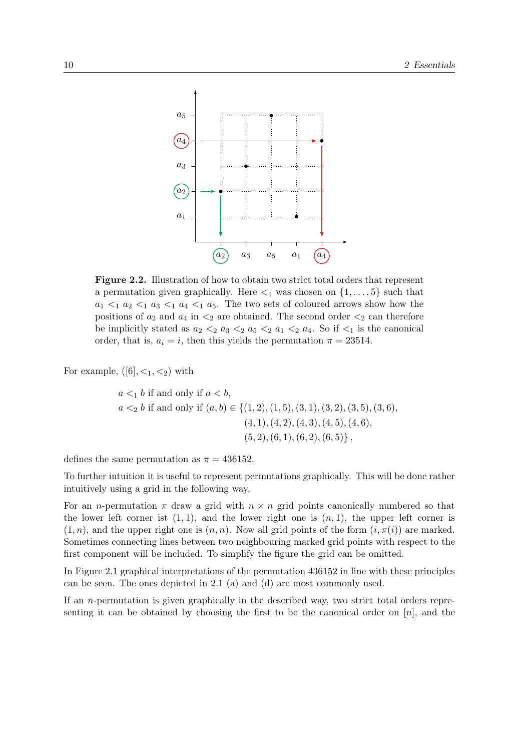<span id="page-9-0"></span>

Figure 2.2. Illustration of how to obtain two strict total orders that represent a permutation given graphically. Here  $\leq_1$  was chosen on  $\{1, \ldots, 5\}$  such that  $a_1 \leq_1 a_2 \leq_1 a_3 \leq_1 a_4 \leq_1 a_5$ . The two sets of coloured arrows show how the positions of  $a_2$  and  $a_4$  in  $\lt_2$  are obtained. The second order  $\lt_2$  can therefore be implicitly stated as  $a_2 <_2 a_3 <_2 a_5 <_2 a_1 <_2 a_4$ . So if  $\lt_1$  is the canonical order, that is,  $a_i = i$ , then this yields the permutation  $\pi = 23514$ .

For example,  $([6], <_1, <_2)$  with

$$
a <_1 b
$$
 if and only if  $a < b$ ,  
\n $a <_2 b$  if and only if  $(a, b) \in \{(1, 2), (1, 5), (3, 1), (3, 2), (3, 5), (3, 6),$   
\n $(4, 1), (4, 2), (4, 3), (4, 5), (4, 6),$   
\n $(5, 2), (6, 1), (6, 2), (6, 5)\},$ 

defines the same permutation as  $\pi = 436152$ .

To further intuition it is useful to represent permutations graphically. This will be done rather intuitively using a grid in the following way.

For an *n*-permutation  $\pi$  draw a grid with  $n \times n$  grid points canonically numbered so that the lower left corner ist  $(1, 1)$ , and the lower right one is  $(n, 1)$ , the upper left corner is  $(1, n)$ , and the upper right one is  $(n, n)$ . Now all grid points of the form  $(i, \pi(i))$  are marked. Sometimes connecting lines between two neighbouring marked grid points with respect to the first component will be included. To simplify the figure the grid can be omitted.

In Figure [2.1](#page-8-0) graphical interpretations of the permutation 436152 in line with these principles can be seen. The ones depicted in [2.1](#page-8-0) (a) and (d) are most commonly used.

If an n-permutation is given graphically in the described way, two strict total orders representing it can be obtained by choosing the first to be the canonical order on  $[n]$ , and the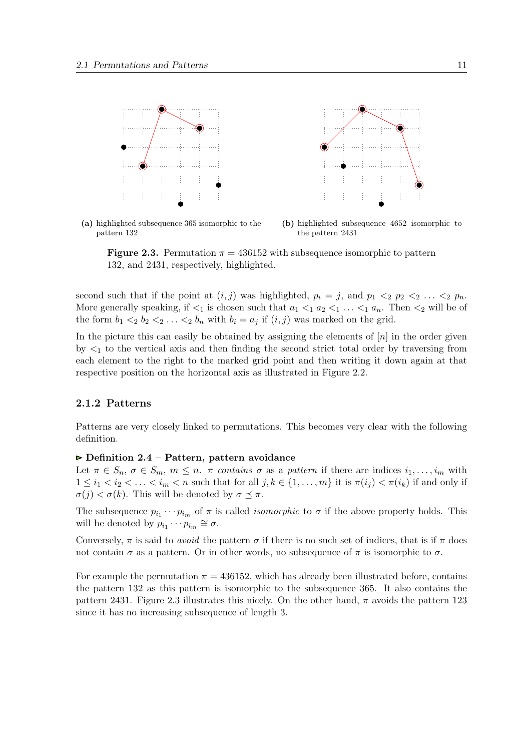<span id="page-10-0"></span>

(a) highlighted subsequence 365 isomorphic to the pattern 132 (b) highlighted subsequence 4652 isomorphic to the pattern 2431

**Figure 2.3.** Permutation  $\pi = 436152$  with subsequence isomorphic to pattern 132, and 2431, respectively, highlighted.

second such that if the point at  $(i, j)$  was highlighted,  $p_i = j$ , and  $p_1 \leq_2 p_2 \leq_2 \ldots \leq_2 p_n$ . More generally speaking, if  $\lt_1$  is chosen such that  $a_1 \lt_1 a_2 \lt_1 \ldots \lt_1 a_n$ . Then  $\lt_2$  will be of the form  $b_1 <_2 b_2 <_2 \ldots <_2 b_n$  with  $b_i = a_j$  if  $(i, j)$  was marked on the grid.

In the picture this can easily be obtained by assigning the elements of  $[n]$  in the order given by  $\leq_1$  to the vertical axis and then finding the second strict total order by traversing from each element to the right to the marked grid point and then writing it down again at that respective position on the horizontal axis as illustrated in Figure [2.2.](#page-9-0)

#### 2.1.2 Patterns

Patterns are very closely linked to permutations. This becomes very clear with the following definition.

#### $\triangleright$  Definition 2.4 – Pattern, pattern avoidance

Let  $\pi \in S_n$ ,  $\sigma \in S_m$ ,  $m \leq n$ .  $\pi$  contains  $\sigma$  as a pattern if there are indices  $i_1, \ldots, i_m$  with  $1 \leq i_1 < i_2 < \ldots < i_m < n$  such that for all  $j, k \in \{1, \ldots, m\}$  it is  $\pi(i_i) < \pi(i_k)$  if and only if  $\sigma(j) < \sigma(k)$ . This will be denoted by  $\sigma \preceq \pi$ .

The subsequence  $p_{i_1} \cdots p_{i_m}$  of  $\pi$  is called *isomorphic* to  $\sigma$  if the above property holds. This will be denoted by  $p_{i_1} \cdots p_{i_m} \cong \sigma$ .

Conversely,  $\pi$  is said to *avoid* the pattern  $\sigma$  if there is no such set of indices, that is if  $\pi$  does not contain  $\sigma$  as a pattern. Or in other words, no subsequence of  $\pi$  is isomorphic to  $\sigma$ .

For example the permutation  $\pi = 436152$ , which has already been illustrated before, contains the pattern 132 as this pattern is isomorphic to the subsequence 365. It also contains the pattern 2431. Figure 2.3 illustrates this nicely. On the other hand,  $\pi$  avoids the pattern 123 since it has no increasing subsequence of length 3.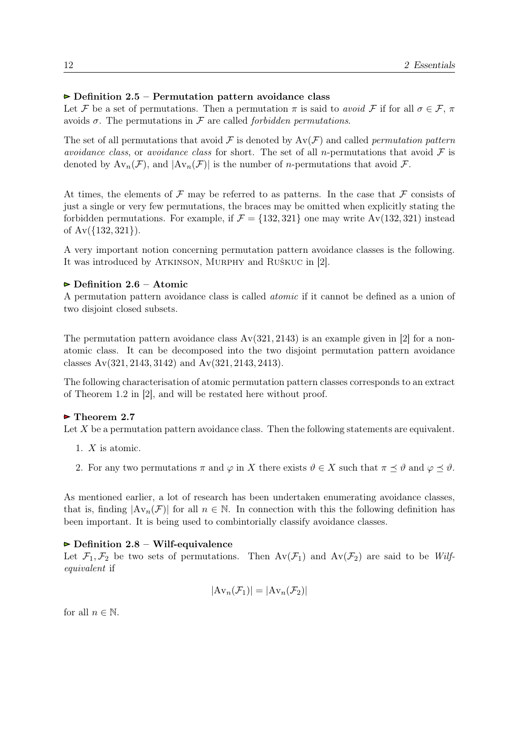#### <span id="page-11-0"></span> $\triangleright$  Definition 2.5 – Permutation pattern avoidance class

Let F be a set of permutations. Then a permutation  $\pi$  is said to avoid F if for all  $\sigma \in \mathcal{F}$ ,  $\pi$ avoids  $\sigma$ . The permutations in F are called *forbidden permutations*.

The set of all permutations that avoid F is denoted by  $Av(\mathcal{F})$  and called *permutation pattern* avoidance class, or avoidance class for short. The set of all n-permutations that avoid  $\mathcal F$  is denoted by  $Av_n(\mathcal{F})$ , and  $|Av_n(\mathcal{F})|$  is the number of *n*-permutations that avoid  $\mathcal{F}$ .

At times, the elements of  $\mathcal F$  may be referred to as patterns. In the case that  $\mathcal F$  consists of just a single or very few permutations, the braces may be omitted when explicitly stating the forbidden permutations. For example, if  $\mathcal{F} = \{132, 321\}$  one may write Av(132, 321) instead of Av({132, 321}).

A very important notion concerning permutation pattern avoidance classes is the following. It was introduced by ATKINSON, MURPHY and RUŠKUC in [\[2\]](#page-90-0).

#### $\triangleright$  Definition 2.6 – Atomic

A permutation pattern avoidance class is called atomic if it cannot be defined as a union of two disjoint closed subsets.

The permutation pattern avoidance class  $Av(321, 2143)$  is an example given in [\[2\]](#page-90-0) for a nonatomic class. It can be decomposed into the two disjoint permutation pattern avoidance classes Av(321, 2143, 3142) and Av(321, 2143, 2413).

The following characterisation of atomic permutation pattern classes corresponds to an extract of Theorem 1.2 in [\[2\]](#page-90-0), and will be restated here without proof.

#### ► Theorem 2.7

Let  $X$  be a permutation pattern avoidance class. Then the following statements are equivalent.

- 1.  $X$  is atomic.
- 2. For any two permutations  $\pi$  and  $\varphi$  in X there exists  $\vartheta \in X$  such that  $\pi \preceq \vartheta$  and  $\varphi \preceq \vartheta$ .

As mentioned earlier, a lot of research has been undertaken enumerating avoidance classes, that is, finding  $|\text{Av}_n(\mathcal{F})|$  for all  $n \in \mathbb{N}$ . In connection with this the following definition has been important. It is being used to combintorially classify avoidance classes.

#### $\triangleright$  Definition 2.8 – Wilf-equivalence

Let  $\mathcal{F}_1, \mathcal{F}_2$  be two sets of permutations. Then  $Av(\mathcal{F}_1)$  and  $Av(\mathcal{F}_2)$  are said to be Wilfequivalent if

$$
|\mathrm{Av}_n(\mathcal{F}_1)| = |\mathrm{Av}_n(\mathcal{F}_2)|
$$

for all  $n \in \mathbb{N}$ .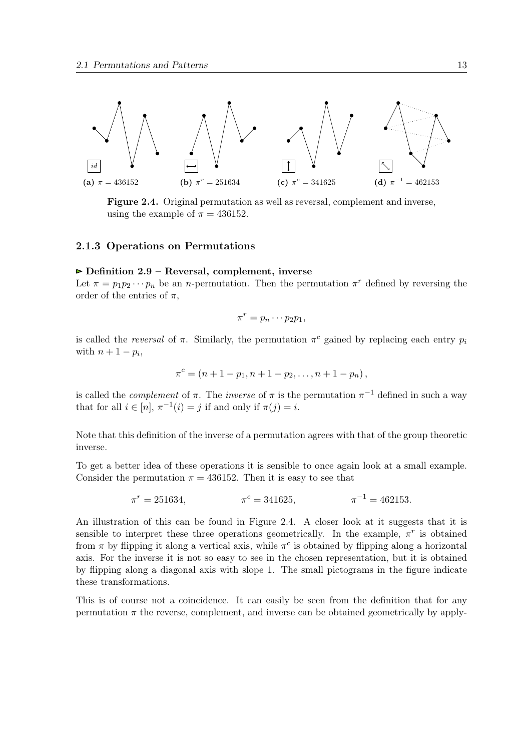<span id="page-12-0"></span>

Figure 2.4. Original permutation as well as reversal, complement and inverse, using the example of  $\pi = 436152$ .

#### 2.1.3 Operations on Permutations

#### $\triangleright$  Definition 2.9 – Reversal, complement, inverse

Let  $\pi = p_1 p_2 \cdots p_n$  be an *n*-permutation. Then the permutation  $\pi^r$  defined by reversing the order of the entries of  $\pi$ ,

$$
\pi^r = p_n \cdots p_2 p_1,
$$

is called the *reversal* of  $\pi$ . Similarly, the permutation  $\pi^c$  gained by replacing each entry  $p_i$ with  $n+1-p_i$ ,

$$
\pi^{c} = (n + 1 - p_{1}, n + 1 - p_{2}, \ldots, n + 1 - p_{n}),
$$

is called the *complement* of  $\pi$ . The *inverse* of  $\pi$  is the permutation  $\pi^{-1}$  defined in such a way that for all  $i \in [n]$ ,  $\pi^{-1}(i) = j$  if and only if  $\pi(j) = i$ .

Note that this definition of the inverse of a permutation agrees with that of the group theoretic inverse.

To get a better idea of these operations it is sensible to once again look at a small example. Consider the permutation  $\pi = 436152$ . Then it is easy to see that

$$
\pi^r = 251634, \qquad \qquad \pi^c = 341625, \qquad \qquad \pi^{-1} = 462153.
$$

An illustration of this can be found in Figure 2.4. A closer look at it suggests that it is sensible to interpret these three operations geometrically. In the example,  $\pi^r$  is obtained from  $\pi$  by flipping it along a vertical axis, while  $\pi^c$  is obtained by flipping along a horizontal axis. For the inverse it is not so easy to see in the chosen representation, but it is obtained by flipping along a diagonal axis with slope 1. The small pictograms in the figure indicate these transformations.

This is of course not a coincidence. It can easily be seen from the definition that for any permutation  $\pi$  the reverse, complement, and inverse can be obtained geometrically by apply-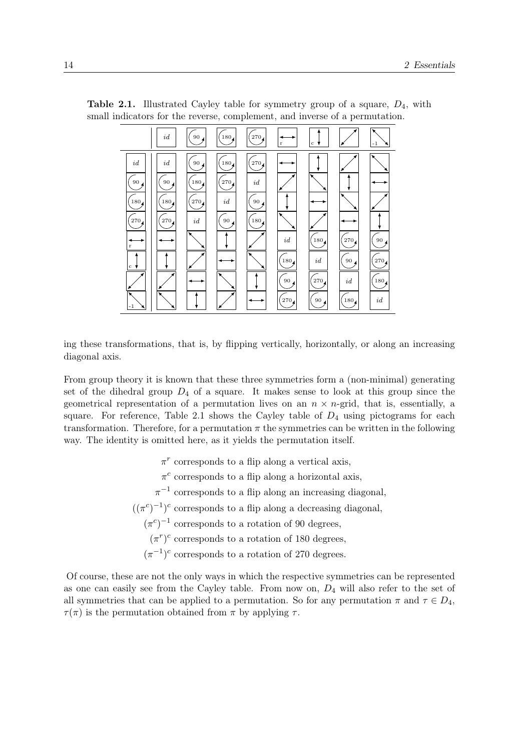

**Table 2.1.** Illustrated Cayley table for symmetry group of a square,  $D_4$ , with small indicators for the reverse, complement, and inverse of a permutation.

ing these transformations, that is, by flipping vertically, horizontally, or along an increasing diagonal axis.

From group theory it is known that these three symmetries form a (non-minimal) generating set of the dihedral group  $D_4$  of a square. It makes sense to look at this group since the geometrical representation of a permutation lives on an  $n \times n$ -grid, that is, essentially, a square. For reference, Table 2.1 shows the Cayley table of  $D_4$  using pictograms for each transformation. Therefore, for a permutation  $\pi$  the symmetries can be written in the following way. The identity is omitted here, as it yields the permutation itself.

- $\pi^r$  corresponds to a flip along a vertical axis,
- $\pi^c$  corresponds to a flip along a horizontal axis,
- $\pi^{-1}$  corresponds to a flip along an increasing diagonal,
- $((\pi^c)^{-1})^c$  corresponds to a flip along a decreasing diagonal,
	- $(\pi^c)^{-1}$  corresponds to a rotation of 90 degrees,
		- $(\pi^r)^c$  corresponds to a rotation of 180 degrees,
	- $(\pi^{-1})^c$  corresponds to a rotation of 270 degrees.

Of course, these are not the only ways in which the respective symmetries can be represented as one can easily see from the Cayley table. From now on,  $D_4$  will also refer to the set of all symmetries that can be applied to a permutation. So for any permutation  $\pi$  and  $\tau \in D_4$ ,  $\tau(\pi)$  is the permutation obtained from  $\pi$  by applying  $\tau$ .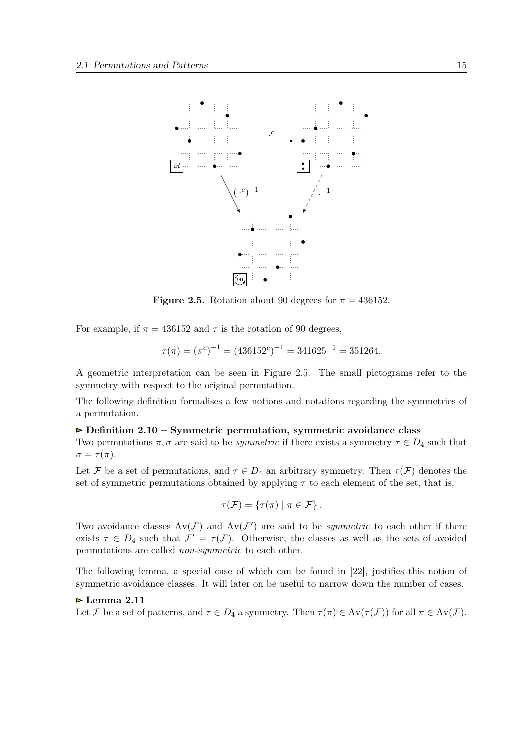<span id="page-14-0"></span>

**Figure 2.5.** Rotation about 90 degrees for  $\pi = 436152$ .

For example, if  $\pi = 436152$  and  $\tau$  is the rotation of 90 degrees,

$$
\tau(\pi) = (\pi^c)^{-1} = (436152^c)^{-1} = 341625^{-1} = 351264.
$$

A geometric interpretation can be seen in Figure 2.5. The small pictograms refer to the symmetry with respect to the original permutation.

The following definition formalises a few notions and notations regarding the symmetries of a permutation.

#### $\triangleright$  Definition 2.10 – Symmetric permutation, symmetric avoidance class

Two permutations  $\pi, \sigma$  are said to be *symmetric* if there exists a symmetry  $\tau \in D_4$  such that  $\sigma = \tau(\pi)$ .

Let F be a set of permutations, and  $\tau \in D_4$  an arbitrary symmetry. Then  $\tau(\mathcal{F})$  denotes the set of symmetric permutations obtained by applying  $\tau$  to each element of the set, that is,

$$
\tau(\mathcal{F}) = \{ \tau(\pi) \mid \pi \in \mathcal{F} \}.
$$

Two avoidance classes  $Av(\mathcal{F})$  and  $Av(\mathcal{F}')$  are said to be *symmetric* to each other if there exists  $\tau \in D_4$  such that  $\mathcal{F}' = \tau(\mathcal{F})$ . Otherwise, the classes as well as the sets of avoided permutations are called non-symmetric to each other.

The following lemma, a special case of which can be found in [\[22\]](#page-91-0), justifies this notion of symmetric avoidance classes. It will later on be useful to narrow down the number of cases.

#### $\triangleright$  Lemma 2.11

Let F be a set of patterns, and  $\tau \in D_4$  a symmetry. Then  $\tau(\pi) \in Av(\tau(\mathcal{F}))$  for all  $\pi \in Av(\mathcal{F})$ .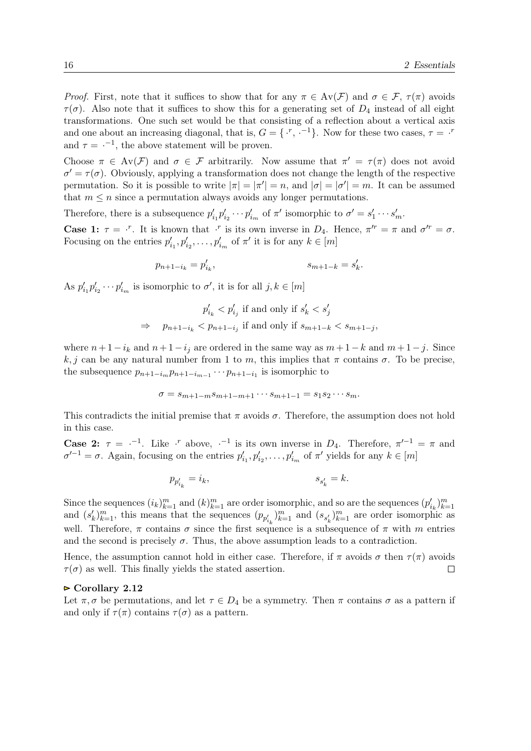*Proof.* First, note that it suffices to show that for any  $\pi \in Av(\mathcal{F})$  and  $\sigma \in \mathcal{F}$ ,  $\tau(\pi)$  avoids  $\tau(\sigma)$ . Also note that it suffices to show this for a generating set of  $D_4$  instead of all eight transformations. One such set would be that consisting of a reflection about a vertical axis and one about an increasing diagonal, that is,  $G = \{x, -1\}$ . Now for these two cases,  $\tau = x$ and  $\tau = -1$ , the above statement will be proven.

Choose  $\pi \in Av(\mathcal{F})$  and  $\sigma \in \mathcal{F}$  arbitrarily. Now assume that  $\pi' = \tau(\pi)$  does not avoid  $\sigma' = \tau(\sigma)$ . Obviously, applying a transformation does not change the length of the respective permutation. So it is possible to write  $|\pi| = |\pi'| = n$ , and  $|\sigma| = |\sigma'| = m$ . It can be assumed that  $m \leq n$  since a permutation always avoids any longer permutations.

Therefore, there is a subsequence  $p'_{i_1}p'_{i_2}\cdots p'_{i_m}$  of  $\pi'$  isomorphic to  $\sigma' = s'_1\cdots s'_m$ .

**Case 1:**  $\tau = \tau^r$ . It is known that  $\tau^r$  is its own inverse in  $D_4$ . Hence,  $\pi^{rr} = \pi$  and  $\sigma^{rr} = \sigma$ . Focusing on the entries  $p'_{i_1}, p'_{i_2}, \ldots, p'_{i_m}$  of  $\pi'$  it is for any  $k \in [m]$ 

$$
p_{n+1-i_k} = p'_{i_k}, \t s_{m+1-k} = s'_k.
$$

As  $p'_{i_1} p'_{i_2} \cdots p'_{i_m}$  is isomorphic to  $\sigma'$ , it is for all  $j, k \in [m]$ 

$$
p'_{i_k} < p'_{i_j} \text{ if and only if } s'_k < s'_j
$$
\n
$$
\Rightarrow \quad p_{n+1-i_k} < p_{n+1-i_j} \text{ if and only if } s_{m+1-k} < s_{m+1-j},
$$

where  $n+1-i_k$  and  $n+1-i_j$  are ordered in the same way as  $m+1-k$  and  $m+1-j$ . Since k, j can be any natural number from 1 to m, this implies that  $\pi$  contains  $\sigma$ . To be precise, the subsequence  $p_{n+1-i_m} p_{n+1-i_{m-1}} \cdots p_{n+1-i_1}$  is isomorphic to

$$
\sigma = s_{m+1-m} s_{m+1-m+1} \cdots s_{m+1-1} = s_1 s_2 \cdots s_m.
$$

This contradicts the initial premise that  $\pi$  avoids  $\sigma$ . Therefore, the assumption does not hold in this case.

**Case 2:**  $\tau = -1$ . Like  $\cdot^r$  above,  $\cdot^{-1}$  is its own inverse in  $D_4$ . Therefore,  $\pi'^{-1} = \pi$  and  $\sigma^{-1} = \sigma$ . Again, focusing on the entries  $p'_{i_1}, p'_{i_2}, \ldots, p'_{i_m}$  of  $\pi'$  yields for any  $k \in [m]$ 

$$
p_{p'_{i_k}}=i_k,\hspace{2cm} s_{s'_k}=k.
$$

Since the sequences  $(i_k)_{k=1}^m$  and  $(k)_{k=1}^m$  are order isomorphic, and so are the sequences  $(p'_{i_k})_{k=1}^m$ and  $(s'_k)_{k=1}^m$ , this means that the sequences  $(p_{p'_{i_k}})_{k=1}^m$  and  $(s_{s'_k})_{k=1}^m$  are order isomorphic as well. Therefore,  $\pi$  contains  $\sigma$  since the first sequence is a subsequence of  $\pi$  with m entries and the second is precisely  $\sigma$ . Thus, the above assumption leads to a contradiction.

Hence, the assumption cannot hold in either case. Therefore, if  $\pi$  avoids  $\sigma$  then  $\tau(\pi)$  avoids  $\tau(\sigma)$  as well. This finally yields the stated assertion.  $\Box$ 

#### $\triangleright$  Corollary 2.12

Let  $\pi, \sigma$  be permutations, and let  $\tau \in D_4$  be a symmetry. Then  $\pi$  contains  $\sigma$  as a pattern if and only if  $\tau(\pi)$  contains  $\tau(\sigma)$  as a pattern.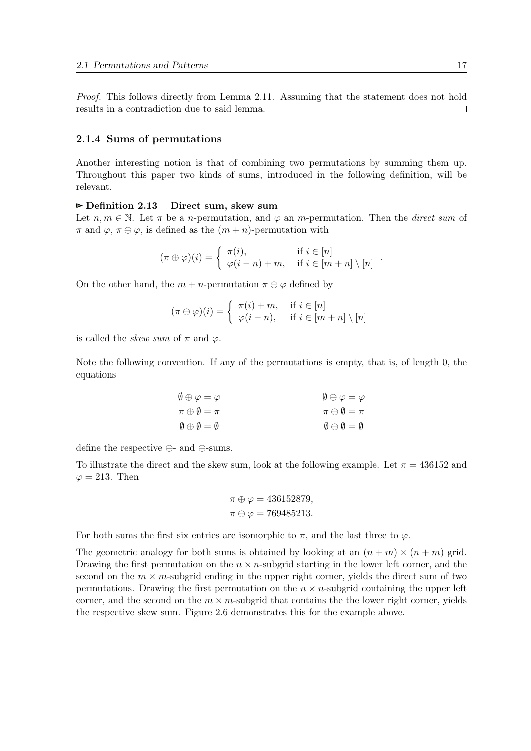<span id="page-16-0"></span>Proof. This follows directly from Lemma [2.11.](#page-14-0) Assuming that the statement does not hold results in a contradiction due to said lemma.  $\Box$ 

#### 2.1.4 Sums of permutations

Another interesting notion is that of combining two permutations by summing them up. Throughout this paper two kinds of sums, introduced in the following definition, will be relevant.

#### $\triangleright$  Definition 2.13 – Direct sum, skew sum

Let  $n, m \in \mathbb{N}$ . Let  $\pi$  be a *n*-permutation, and  $\varphi$  an *m*-permutation. Then the *direct sum* of  $\pi$  and  $\varphi$ ,  $\pi \oplus \varphi$ , is defined as the  $(m+n)$ -permutation with

$$
(\pi \oplus \varphi)(i) = \begin{cases} \pi(i), & \text{if } i \in [n] \\ \varphi(i-n) + m, & \text{if } i \in [m+n] \setminus [n] \end{cases}.
$$

On the other hand, the  $m + n$ -permutation  $\pi \ominus \varphi$  defined by

$$
(\pi \ominus \varphi)(i) = \begin{cases} \pi(i) + m, & \text{if } i \in [n] \\ \varphi(i - n), & \text{if } i \in [m + n] \setminus [n] \end{cases}
$$

is called the *skew sum* of  $\pi$  and  $\varphi$ .

Note the following convention. If any of the permutations is empty, that is, of length 0, the equations

$$
\begin{array}{ll}\n\emptyset \oplus \varphi = \varphi & \emptyset \ominus \varphi = \varphi \\
\pi \oplus \emptyset = \pi & \pi \ominus \emptyset = \pi \\
\emptyset \oplus \emptyset = \emptyset & \emptyset \ominus \emptyset = \emptyset\n\end{array}
$$

define the respective  $\ominus$ - and  $\oplus$ -sums.

To illustrate the direct and the skew sum, look at the following example. Let  $\pi = 436152$  and  $\varphi = 213$ . Then

$$
\pi \oplus \varphi = 436152879,
$$
  

$$
\pi \ominus \varphi = 769485213.
$$

For both sums the first six entries are isomorphic to  $\pi$ , and the last three to  $\varphi$ .

The geometric analogy for both sums is obtained by looking at an  $(n + m) \times (n + m)$  grid. Drawing the first permutation on the  $n \times n$ -subgrid starting in the lower left corner, and the second on the  $m \times m$ -subgrid ending in the upper right corner, yields the direct sum of two permutations. Drawing the first permutation on the  $n \times n$ -subgrid containing the upper left corner, and the second on the  $m \times m$ -subgrid that contains the the lower right corner, yields the respective skew sum. Figure [2.6](#page-17-0) demonstrates this for the example above.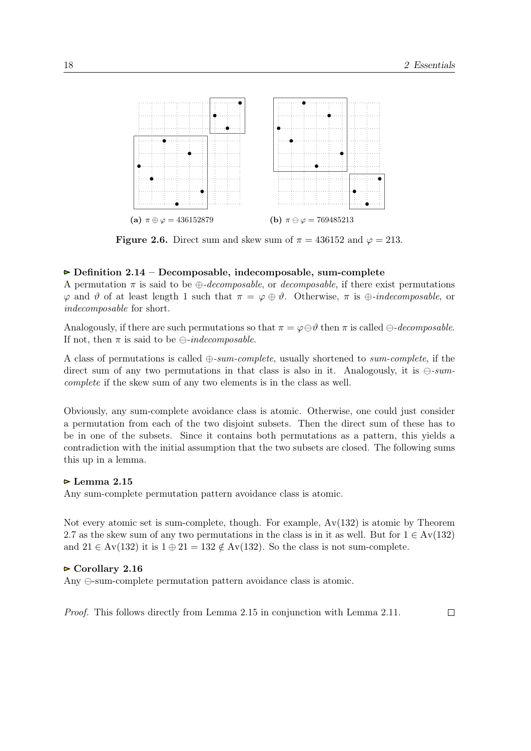<span id="page-17-0"></span>

**Figure 2.6.** Direct sum and skew sum of  $\pi = 436152$  and  $\varphi = 213$ .

#### $\triangleright$  Definition 2.14 – Decomposable, indecomposable, sum-complete

A permutation  $\pi$  is said to be  $\bigoplus$ -decomposable, or decomposable, if there exist permutations  $\varphi$  and  $\vartheta$  of at least length 1 such that  $\pi = \varphi \oplus \vartheta$ . Otherwise,  $\pi$  is  $\oplus$ -*indecomposable*, or indecomposable for short.

Analogously, if there are such permutations so that  $\pi = \varphi \ominus \vartheta$  then  $\pi$  is called  $\ominus$ -decomposable. If not, then  $\pi$  is said to be  $\ominus$ -indecomposable.

A class of permutations is called  $\oplus$ -sum-complete, usually shortened to sum-complete, if the direct sum of any two permutations in that class is also in it. Analogously, it is  $\ominus$ -sumcomplete if the skew sum of any two elements is in the class as well.

Obviously, any sum-complete avoidance class is atomic. Otherwise, one could just consider a permutation from each of the two disjoint subsets. Then the direct sum of these has to be in one of the subsets. Since it contains both permutations as a pattern, this yields a contradiction with the initial assumption that the two subsets are closed. The following sums this up in a lemma.

#### $\triangleright$  Lemma 2.15

Any sum-complete permutation pattern avoidance class is atomic.

Not every atomic set is sum-complete, though. For example,  $Av(132)$  is atomic by Theorem [2.7](#page-11-0) as the skew sum of any two permutations in the class is in it as well. But for  $1 \in Av(132)$ and  $21 \in Av(132)$  it is  $1 \oplus 21 = 132 \notin Av(132)$ . So the class is not sum-complete.

#### $\triangleright$  Corollary 2.16

Any  $\ominus$ -sum-complete permutation pattern avoidance class is atomic.

Proof. This follows directly from Lemma 2.15 in conjunction with Lemma [2.11.](#page-14-0) $\Box$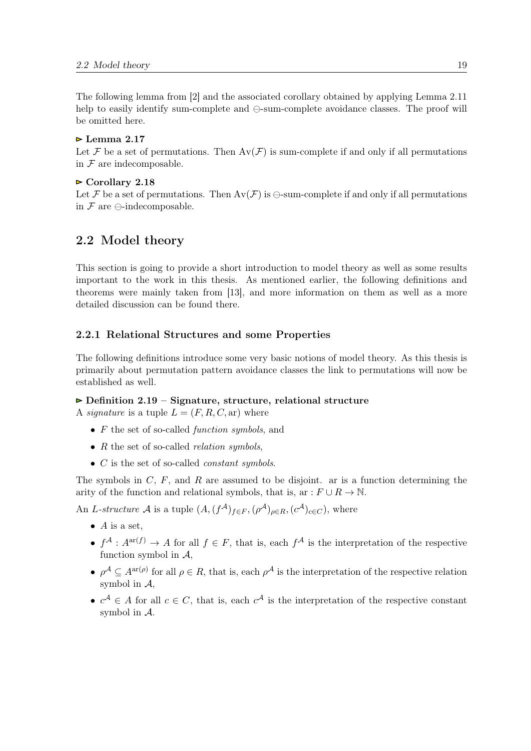<span id="page-18-0"></span>The following lemma from [\[2\]](#page-90-0) and the associated corollary obtained by applying Lemma [2.11](#page-14-0) help to easily identify sum-complete and  $\ominus$ -sum-complete avoidance classes. The proof will be omitted here.

#### $\triangleright$  Lemma 2.17

Let F be a set of permutations. Then  $Av(\mathcal{F})$  is sum-complete if and only if all permutations in  $\mathcal F$  are indecomposable.

#### $\triangleright$  Corollary 2.18

Let F be a set of permutations. Then  $Av(\mathcal{F})$  is  $\ominus$ -sum-complete if and only if all permutations in  $\mathcal F$  are  $\ominus$ -indecomposable.

#### 2.2 Model theory

This section is going to provide a short introduction to model theory as well as some results important to the work in this thesis. As mentioned earlier, the following definitions and theorems were mainly taken from [\[13\]](#page-90-0), and more information on them as well as a more detailed discussion can be found there.

#### 2.2.1 Relational Structures and some Properties

The following definitions introduce some very basic notions of model theory. As this thesis is primarily about permutation pattern avoidance classes the link to permutations will now be established as well.

#### $\triangleright$  Definition 2.19 – Signature, structure, relational structure

A *signature* is a tuple  $L = (F, R, C, ar)$  where

- $F$  the set of so-called *function symbols*, and
- $R$  the set of so-called *relation symbols*.
- $\bullet$  C is the set of so-called *constant symbols*.

The symbols in  $C, F$ , and R are assumed to be disjoint. ar is a function determining the arity of the function and relational symbols, that is, ar :  $F \cup R \to \mathbb{N}$ .

An L-structure A is a tuple  $(A, (f^{\mathcal{A}})_{f \in F}, (\rho^{\mathcal{A}})_{\rho \in R}, (c^{\mathcal{A}})_{c \in C})$ , where

- $\bullet$  A is a set.
- $f^{\mathcal{A}}: A^{ar(f)} \to A$  for all  $f \in F$ , that is, each  $f^{\mathcal{A}}$  is the interpretation of the respective function symbol in  $A$ .
- $\rho^A \subseteq A^{\text{ar}(\rho)}$  for all  $\rho \in R$ , that is, each  $\rho^A$  is the interpretation of the respective relation symbol in A,
- $c^{\mathcal{A}} \in A$  for all  $c \in C$ , that is, each  $c^{\mathcal{A}}$  is the interpretation of the respective constant symbol in A.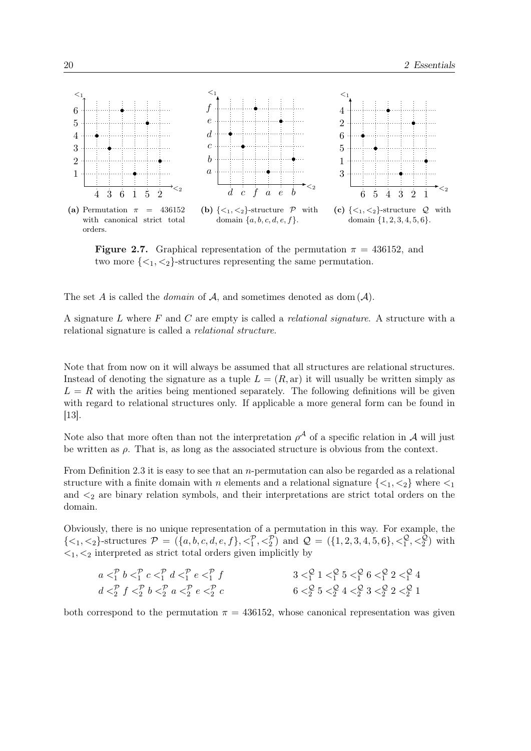<span id="page-19-0"></span>

**Figure 2.7.** Graphical representation of the permutation  $\pi = 436152$ , and two more  $\{\langle 1, \langle 2 \rangle\}$ -structures representing the same permutation.

The set A is called the *domain* of  $A$ , and sometimes denoted as dom  $(A)$ .

A signature  $L$  where  $F$  and  $C$  are empty is called a *relational signature*. A structure with a relational signature is called a relational structure.

Note that from now on it will always be assumed that all structures are relational structures. Instead of denoting the signature as a tuple  $L = (R, ar)$  it will usually be written simply as  $L = R$  with the arities being mentioned separately. The following definitions will be given with regard to relational structures only. If applicable a more general form can be found in [\[13\]](#page-90-0).

Note also that more often than not the interpretation  $\rho^{\mathcal{A}}$  of a specific relation in  $\mathcal{A}$  will just be written as  $\rho$ . That is, as long as the associated structure is obvious from the context.

From Definition [2.3](#page-7-0) it is easy to see that an n-permutation can also be regarded as a relational structure with a finite domain with n elements and a relational signature  $\{<_1, <_2\}$  where  $<_1$ and  $\lt_2$  are binary relation symbols, and their interpretations are strict total orders on the domain.

Obviously, there is no unique representation of a permutation in this way. For example, the  $\{<_1, <_2\}$ -structures  $\mathcal{P} = (\{a, b, c, d, e, f\}, <_1^{\mathcal{P}}, <_2^{\mathcal{P}})$  and  $\mathcal{Q} = (\{1, 2, 3, 4, 5, 6\}, <_1^{\mathcal{Q}}, <_2^{\mathcal{Q}})$  with  $\langle 1, \langle 2 \rangle$  interpreted as strict total orders given implicitly by

| $a p$ $b p$ $c p$ $d p$ $e p$ $f$      | $3 Q/1 1 Q/1 5 Q/1 6 Q/1 2 Q/1 4$                                                   |
|----------------------------------------|-------------------------------------------------------------------------------------|
| $d P2$ $f P2$ $b P2$ $a P2$ $e P2$ $c$ | $6 < \frac{Q}{2} 5 < \frac{Q}{2} 4 < \frac{Q}{2} 3 < \frac{Q}{2} 2 < \frac{Q}{2} 1$ |

both correspond to the permutation  $\pi = 436152$ , whose canonical representation was given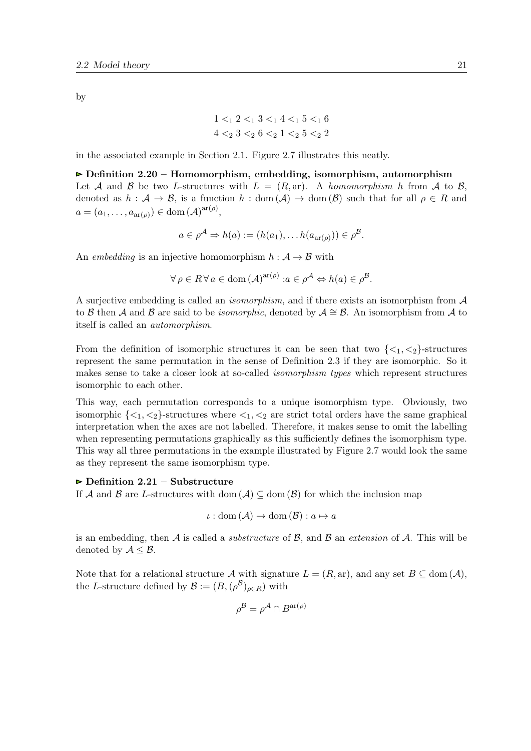by

$$
\begin{aligned}1 <_1 2 <_1 3 <_1 4 <_1 5 <_1 6\\4 <_2 3 <_2 6 <_2 1 <_2 5 <_2 2\end{aligned}
$$

in the associated example in Section [2.1.](#page-6-0) Figure [2.7](#page-19-0) illustrates this neatly.

 $\triangleright$  Definition 2.20 – Homomorphism, embedding, isomorphism, automorphism Let A and B be two L-structures with  $L = (R, ar)$ . A homomorphism h from A to B, denoted as  $h : \mathcal{A} \to \mathcal{B}$ , is a function  $h : \text{dom}(\mathcal{A}) \to \text{dom}(\mathcal{B})$  such that for all  $\rho \in R$  and  $a = (a_1, \ldots, a_{\operatorname{ar}(\rho)}) \in \operatorname{dom}(\mathcal{A})^{\operatorname{ar}(\rho)},$ 

$$
a \in \rho^{\mathcal{A}} \Rightarrow h(a) := (h(a_1), \dots h(a_{\operatorname{ar}(\rho)})) \in \rho^{\mathcal{B}}.
$$

An embedding is an injective homomorphism  $h : A \rightarrow B$  with

$$
\forall \rho \in R \,\forall \, a \in \text{dom} \,(\mathcal{A})^{\text{ar}(\rho)} : a \in \rho^{\mathcal{A}} \Leftrightarrow h(a) \in \rho^{\mathcal{B}}.
$$

A surjective embedding is called an *isomorphism*, and if there exists an isomorphism from  $\mathcal A$ to B then A and B are said to be *isomorphic*, denoted by  $\mathcal{A} \cong \mathcal{B}$ . An isomorphism from A to itself is called an automorphism.

From the definition of isomorphic structures it can be seen that two  $\{\langle 1, \langle 2 \rangle\}$ -structures represent the same permutation in the sense of Definition [2.3](#page-7-0) if they are isomorphic. So it makes sense to take a closer look at so-called isomorphism types which represent structures isomorphic to each other.

This way, each permutation corresponds to a unique isomorphism type. Obviously, two isomorphic  $\{\langle 1,\langle 2 \rangle\}$ -structures where  $\langle 1,\langle 2 \rangle$  are strict total orders have the same graphical interpretation when the axes are not labelled. Therefore, it makes sense to omit the labelling when representing permutations graphically as this sufficiently defines the isomorphism type. This way all three permutations in the example illustrated by Figure [2.7](#page-19-0) would look the same as they represent the same isomorphism type.

#### $\triangleright$  Definition 2.21 – Substructure

If A and B are L-structures with dom  $(A) \subseteq$  dom  $(B)$  for which the inclusion map

$$
\iota: \text{dom}(\mathcal{A}) \to \text{dom}(\mathcal{B}): a \mapsto a
$$

is an embedding, then A is called a *substructure* of  $\mathcal{B}$ , and  $\mathcal{B}$  an *extension* of A. This will be denoted by  $A \leq B$ .

Note that for a relational structure A with signature  $L = (R, ar)$ , and any set  $B \subseteq \text{dom}(\mathcal{A})$ , the L-structure defined by  $\mathcal{B} := (B, (\rho^{\mathcal{B}})_{\rho \in R})$  with

$$
\rho^{\mathcal{B}} = \rho^{\mathcal{A}} \cap B^{\text{ar}(\rho)}
$$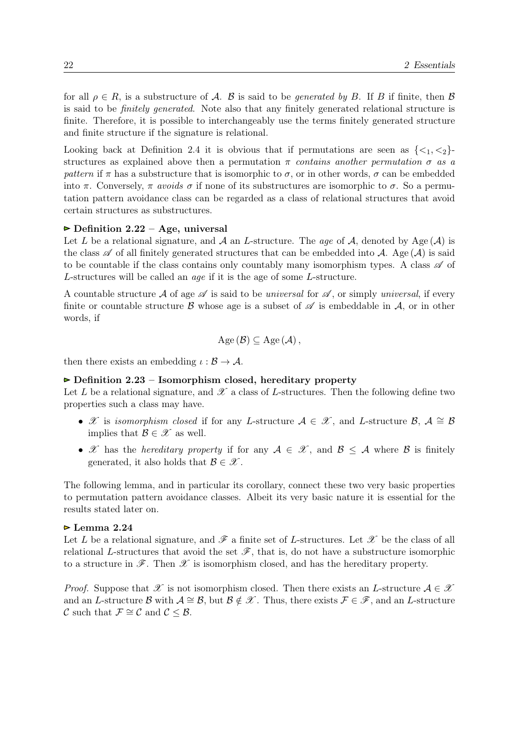for all  $\rho \in R$ , is a substructure of A. B is said to be *generated by B*. If B if finite, then B is said to be finitely generated. Note also that any finitely generated relational structure is finite. Therefore, it is possible to interchangeably use the terms finitely generated structure and finite structure if the signature is relational.

Looking back at Definition [2.4](#page-10-0) it is obvious that if permutations are seen as  $\{<_1, <_2\}$ structures as explained above then a permutation  $\pi$  contains another permutation  $\sigma$  as a pattern if  $\pi$  has a substructure that is isomorphic to  $\sigma$ , or in other words,  $\sigma$  can be embedded into  $\pi$ . Conversely,  $\pi$  avoids  $\sigma$  if none of its substructures are isomorphic to  $\sigma$ . So a permutation pattern avoidance class can be regarded as a class of relational structures that avoid certain structures as substructures.

#### $\triangleright$  Definition 2.22 – Age, universal

Let L be a relational signature, and A an L-structure. The age of A, denoted by Age  $(A)$  is the class  $\mathscr A$  of all finitely generated structures that can be embedded into A. Age  $(\mathcal A)$  is said to be countable if the class contains only countably many isomorphism types. A class  $\mathscr A$  of L-structures will be called an age if it is the age of some L-structure.

A countable structure A of age  $\mathscr A$  is said to be universal for  $\mathscr A$ , or simply universal, if every finite or countable structure B whose age is a subset of  $\mathscr A$  is embeddable in  $\mathcal A$ , or in other words, if

$$
Age\left(\mathcal{B}\right) \subseteq Age\left(\mathcal{A}\right),
$$

then there exists an embedding  $\iota : \mathcal{B} \to \mathcal{A}$ .

#### $\triangleright$  Definition 2.23 – Isomorphism closed, hereditary property

Let L be a relational signature, and  $\mathscr X$  a class of L-structures. Then the following define two properties such a class may have.

- X is isomorphism closed if for any L-structure  $A \in \mathcal{X}$ , and L-structure B,  $A \cong \mathcal{B}$ implies that  $\mathcal{B} \in \mathcal{X}$  as well.
- X has the *hereditary property* if for any  $A \in \mathcal{X}$ , and  $B \leq A$  where B is finitely generated, it also holds that  $\mathcal{B} \in \mathcal{X}$ .

The following lemma, and in particular its corollary, connect these two very basic properties to permutation pattern avoidance classes. Albeit its very basic nature it is essential for the results stated later on.

#### $\triangleright$  Lemma 2.24

Let L be a relational signature, and  $\mathscr F$  a finite set of L-structures. Let  $\mathscr X$  be the class of all relational L-structures that avoid the set  $\mathscr{F}$ , that is, do not have a substructure isomorphic to a structure in  $\mathscr{F}$ . Then  $\mathscr{X}$  is isomorphism closed, and has the hereditary property.

*Proof.* Suppose that  $\mathscr X$  is not isomorphism closed. Then there exists an L-structure  $\mathcal A \in \mathscr X$ and an L-structure B with  $A \cong \mathcal{B}$ , but  $\mathcal{B} \notin \mathcal{X}$ . Thus, there exists  $\mathcal{F} \in \mathcal{F}$ , and an L-structure C such that  $\mathcal{F} \cong \mathcal{C}$  and  $\mathcal{C} \leq \mathcal{B}$ .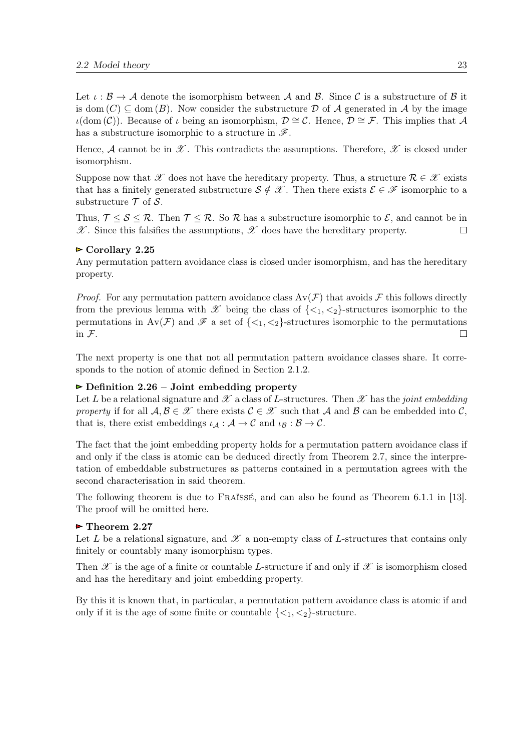Let  $\iota : \mathcal{B} \to \mathcal{A}$  denote the isomorphism between  $\mathcal{A}$  and  $\mathcal{B}$ . Since C is a substructure of  $\mathcal{B}$  it is dom  $(C) \subseteq$  dom  $(B)$ . Now consider the substructure D of A generated in A by the image  $ι$ (dom (C)). Because of *ι* being an isomorphism,  $D \cong C$ . Hence,  $D \cong \mathcal{F}$ . This implies that A has a substructure isomorphic to a structure in  $\mathscr{F}$ .

Hence, A cannot be in  $\mathscr X$ . This contradicts the assumptions. Therefore,  $\mathscr X$  is closed under isomorphism.

Suppose now that X does not have the hereditary property. Thus, a structure  $\mathcal{R} \in \mathcal{X}$  exists that has a finitely generated substructure  $S \notin \mathcal{X}$ . Then there exists  $\mathcal{E} \in \mathcal{F}$  isomorphic to a substructure  $\mathcal T$  of  $\mathcal S$ .

Thus,  $\mathcal{T} \leq \mathcal{S} \leq \mathcal{R}$ . Then  $\mathcal{T} \leq \mathcal{R}$ . So  $\mathcal{R}$  has a substructure isomorphic to  $\mathcal{E}$ , and cannot be in  $\mathscr{X}$ . Since this falsifies the assumptions,  $\mathscr{X}$  does have the hereditary property.  $\Box$ 

#### $\triangleright$  Corollary 2.25

Any permutation pattern avoidance class is closed under isomorphism, and has the hereditary property.

*Proof.* For any permutation pattern avoidance class  $Av(\mathcal{F})$  that avoids  $\mathcal{F}$  this follows directly from the previous lemma with  $\mathscr X$  being the class of  $\{\langle 1, \langle 2 \rangle\}$ -structures isomorphic to the permutations in  $Av(\mathcal{F})$  and  $\mathcal{F}$  a set of  $\{\langle 1,\langle 2\rangle\}$ -structures isomorphic to the permutations in F. П

The next property is one that not all permutation pattern avoidance classes share. It corresponds to the notion of atomic defined in Section [2.1.2.](#page-10-0)

#### $\triangleright$  Definition 2.26 – Joint embedding property

Let L be a relational signature and  $\mathscr X$  a class of L-structures. Then  $\mathscr X$  has the joint embedding property if for all  $\mathcal{A}, \mathcal{B} \in \mathcal{X}$  there exists  $\mathcal{C} \in \mathcal{X}$  such that  $\mathcal{A}$  and  $\mathcal{B}$  can be embedded into  $\mathcal{C}$ , that is, there exist embeddings  $\iota_{\mathcal{A}} : \mathcal{A} \to \mathcal{C}$  and  $\iota_{\mathcal{B}} : \mathcal{B} \to \mathcal{C}$ .

The fact that the joint embedding property holds for a permutation pattern avoidance class if and only if the class is atomic can be deduced directly from Theorem [2.7,](#page-11-0) since the interpretation of embeddable substructures as patterns contained in a permutation agrees with the second characterisation in said theorem.

The following theorem is due to Fraïssé, and can also be found as Theorem 6.1.1 in [\[13\]](#page-90-0). The proof will be omitted here.

#### $\triangleright$  Theorem 2.27

Let L be a relational signature, and  $\mathscr X$  a non-empty class of L-structures that contains only finitely or countably many isomorphism types.

Then  $\mathscr X$  is the age of a finite or countable L-structure if and only if  $\mathscr X$  is isomorphism closed and has the hereditary and joint embedding property.

By this it is known that, in particular, a permutation pattern avoidance class is atomic if and only if it is the age of some finite or countable  $\{\langle 1, \langle 2 \rangle\}$ -structure.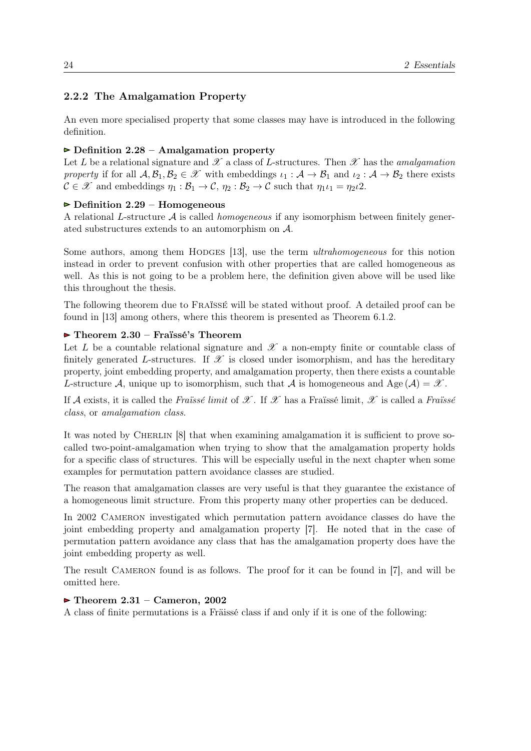#### <span id="page-23-0"></span>2.2.2 The Amalgamation Property

An even more specialised property that some classes may have is introduced in the following definition.

#### $\triangleright$  Definition 2.28 – Amalgamation property

Let L be a relational signature and  $\mathscr X$  a class of L-structures. Then  $\mathscr X$  has the *amalgamation* property if for all  $\mathcal{A}, \mathcal{B}_1, \mathcal{B}_2 \in \mathscr{X}$  with embeddings  $\iota_1 : \mathcal{A} \to \mathcal{B}_1$  and  $\iota_2 : \mathcal{A} \to \mathcal{B}_2$  there exists  $C \in \mathscr{X}$  and embeddings  $\eta_1 : \mathcal{B}_1 \to \mathcal{C}$ ,  $\eta_2 : \mathcal{B}_2 \to \mathcal{C}$  such that  $\eta_1 \iota_1 = \eta_2 \iota_2$ .

#### $\triangleright$  Definition 2.29 – Homogeneous

A relational L-structure  $\mathcal A$  is called *homogeneous* if any isomorphism between finitely generated substructures extends to an automorphism on A.

Some authors, among them HODGES [\[13\]](#page-90-0), use the term *ultrahomogeneous* for this notion instead in order to prevent confusion with other properties that are called homogeneous as well. As this is not going to be a problem here, the definition given above will be used like this throughout the thesis.

The following theorem due to Fraïssé will be stated without proof. A detailed proof can be found in [\[13\]](#page-90-0) among others, where this theorem is presented as Theorem 6.1.2.

#### $\triangleright$  Theorem 2.30 – Fraïssé's Theorem

Let L be a countable relational signature and  $\mathscr X$  a non-empty finite or countable class of finitely generated L-structures. If  $\mathscr X$  is closed under isomorphism, and has the hereditary property, joint embedding property, and amalgamation property, then there exists a countable L-structure A, unique up to isomorphism, such that A is homogeneous and Age  $(A) = \mathscr{X}$ .

If A exists, it is called the Fraissé limit of X. If X has a Fraissé limit, X is called a Fraissé class, or amalgamation class.

It was noted by CHERLIN [\[8\]](#page-90-0) that when examining amalgamation it is sufficient to prove socalled two-point-amalgamation when trying to show that the amalgamation property holds for a specific class of structures. This will be especially useful in the next chapter when some examples for permutation pattern avoidance classes are studied.

The reason that amalgamation classes are very useful is that they guarantee the existance of a homogeneous limit structure. From this property many other properties can be deduced.

In 2002 Cameron investigated which permutation pattern avoidance classes do have the joint embedding property and amalgamation property [\[7\]](#page-90-0). He noted that in the case of permutation pattern avoidance any class that has the amalgamation property does have the joint embedding property as well.

The result CAMERON found is as follows. The proof for it can be found in [\[7\]](#page-90-0), and will be omitted here.

#### $\blacktriangleright$  Theorem 2.31 – Cameron, 2002

A class of finite permutations is a Fräissé class if and only if it is one of the following: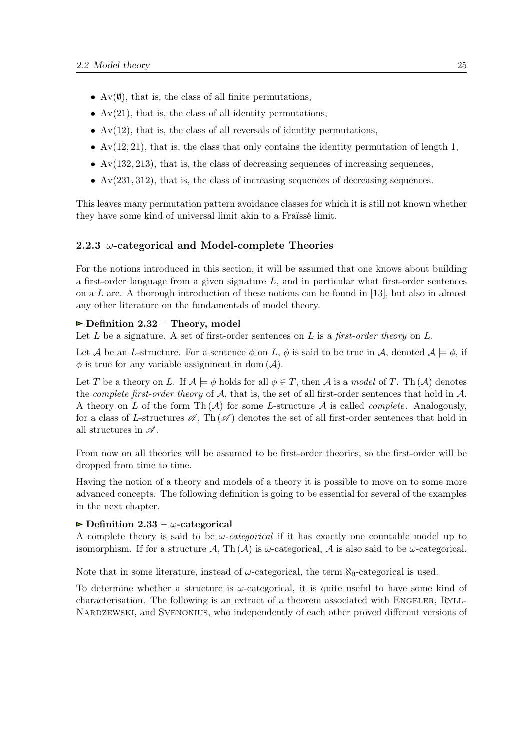- <span id="page-24-0"></span>•  $Av(\emptyset)$ , that is, the class of all finite permutations,
- $Av(21)$ , that is, the class of all identity permutations,
- $Av(12)$ , that is, the class of all reversals of identity permutations,
- $Av(12, 21)$ , that is, the class that only contains the identity permutation of length 1,
- $Av(132, 213)$ , that is, the class of decreasing sequences of increasing sequences,
- $Av(231, 312)$ , that is, the class of increasing sequences of decreasing sequences.

This leaves many permutation pattern avoidance classes for which it is still not known whether they have some kind of universal limit akin to a Fraïssé limit.

#### 2.2.3  $\omega$ -categorical and Model-complete Theories

For the notions introduced in this section, it will be assumed that one knows about building a first-order language from a given signature  $L$ , and in particular what first-order sentences on a  $L$  are. A thorough introduction of these notions can be found in [\[13\]](#page-90-0), but also in almost any other literature on the fundamentals of model theory.

#### $\triangleright$  Definition 2.32 – Theory, model

Let  $L$  be a signature. A set of first-order sentences on  $L$  is a first-order theory on  $L$ .

Let A be an L-structure. For a sentence  $\phi$  on L,  $\phi$  is said to be true in A, denoted  $\mathcal{A} \models \phi$ , if  $\phi$  is true for any variable assignment in dom  $(\mathcal{A})$ .

Let T be a theory on L. If  $\mathcal{A} \models \phi$  holds for all  $\phi \in T$ , then  $\mathcal A$  is a model of T. Th $(\mathcal A)$  denotes the *complete first-order theory* of  $A$ , that is, the set of all first-order sentences that hold in  $A$ . A theory on L of the form Th  $(A)$  for some L-structure A is called *complete*. Analogously, for a class of L-structures  $\mathscr{A}$ . Th $(\mathscr{A})$  denotes the set of all first-order sentences that hold in all structures in  $\mathscr A$ .

From now on all theories will be assumed to be first-order theories, so the first-order will be dropped from time to time.

Having the notion of a theory and models of a theory it is possible to move on to some more advanced concepts. The following definition is going to be essential for several of the examples in the next chapter.

#### $\triangleright$  Definition 2.33 –  $\omega$ -categorical

A complete theory is said to be  $\omega$ -categorical if it has exactly one countable model up to isomorphism. If for a structure  $\mathcal{A}$ , Th $(\mathcal{A})$  is  $\omega$ -categorical,  $\mathcal{A}$  is also said to be  $\omega$ -categorical.

Note that in some literature, instead of  $\omega$ -categorical, the term  $\aleph_0$ -categorical is used.

To determine whether a structure is  $\omega$ -categorical, it is quite useful to have some kind of characterisation. The following is an extract of a theorem associated with ENGELER, RYLL-NARDZEWSKI, and SVENONIUS, who independently of each other proved different versions of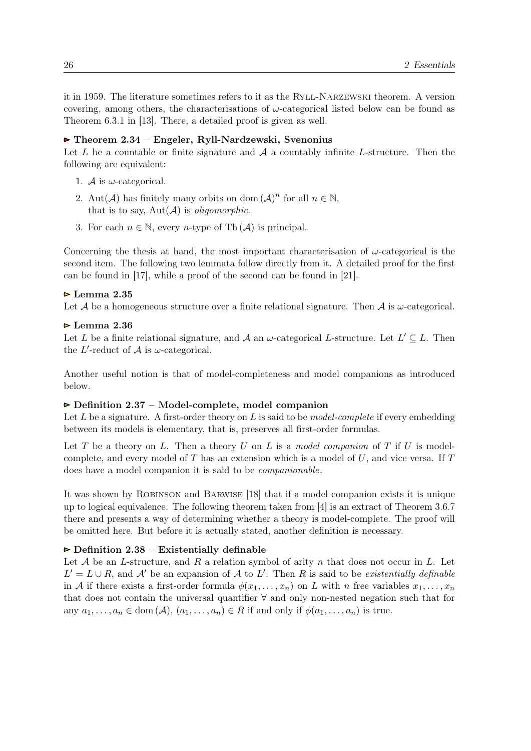it in 1959. The literature sometimes refers to it as the Ryll-Narzewski theorem. A version covering, among others, the characterisations of  $\omega$ -categorical listed below can be found as Theorem 6.3.1 in [\[13\]](#page-90-0). There, a detailed proof is given as well.

#### Theorem 2.34 – Engeler, Ryll-Nardzewski, Svenonius

Let L be a countable or finite signature and  $A$  a countably infinite L-structure. Then the following are equivalent:

- 1. A is  $\omega$ -categorical.
- 2. Aut $(\mathcal{A})$  has finitely many orbits on dom  $(\mathcal{A})^n$  for all  $n \in \mathbb{N}$ , that is to say,  $Aut(\mathcal{A})$  is *oligomorphic*.
- 3. For each  $n \in \mathbb{N}$ , every *n*-type of Th $(\mathcal{A})$  is principal.

Concerning the thesis at hand, the most important characterisation of  $\omega$ -categorical is the second item. The following two lemmata follow directly from it. A detailed proof for the first can be found in [\[17\]](#page-91-0), while a proof of the second can be found in [\[21\]](#page-91-0).

#### $\triangleright$  Lemma 2.35

Let  $A$  be a homogeneous structure over a finite relational signature. Then  $A$  is  $\omega$ -categorical.

#### $\triangleright$  Lemma 2.36

Let L be a finite relational signature, and A an  $\omega$ -categorical L-structure. Let  $L' \subseteq L$ . Then the L'-reduct of  $A$  is  $\omega$ -categorical.

Another useful notion is that of model-completeness and model companions as introduced below.

#### $\triangleright$  Definition 2.37 – Model-complete, model companion

Let L be a signature. A first-order theory on L is said to be *model-complete* if every embedding between its models is elementary, that is, preserves all first-order formulas.

Let T be a theory on L. Then a theory  $U$  on L is a model companion of T if  $U$  is modelcomplete, and every model of  $T$  has an extension which is a model of  $U$ , and vice versa. If  $T$ does have a model companion it is said to be companionable.

It was shown by Robinson and Barwise [\[18\]](#page-91-0) that if a model companion exists it is unique up to logical equivalence. The following theorem taken from [\[4\]](#page-90-0) is an extract of Theorem 3.6.7 there and presents a way of determining whether a theory is model-complete. The proof will be omitted here. But before it is actually stated, another definition is necessary.

#### $\triangleright$  Definition 2.38 – Existentially definable

Let  $A$  be an L-structure, and  $R$  a relation symbol of arity  $n$  that does not occur in  $L$ . Let  $L' = L \cup R$ , and A' be an expansion of A to L'. Then R is said to be existentially definable in A if there exists a first-order formula  $\phi(x_1, \ldots, x_n)$  on L with n free variables  $x_1, \ldots, x_n$ that does not contain the universal quantifier ∀ and only non-nested negation such that for any  $a_1, \ldots, a_n \in \text{dom}(\mathcal{A}), (a_1, \ldots, a_n) \in R$  if and only if  $\phi(a_1, \ldots, a_n)$  is true.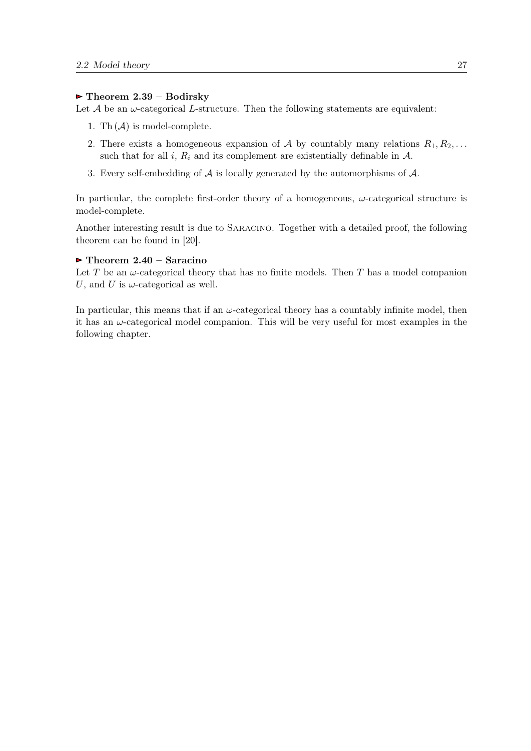#### $\blacktriangleright$  Theorem 2.39 – Bodirsky

Let  $A$  be an  $\omega$ -categorical L-structure. Then the following statements are equivalent:

- 1. Th  $(A)$  is model-complete.
- 2. There exists a homogeneous expansion of A by countably many relations  $R_1, R_2, \ldots$ such that for all i,  $R_i$  and its complement are existentially definable in  $A$ .
- 3. Every self-embedding of  $A$  is locally generated by the automorphisms of  $A$ .

In particular, the complete first-order theory of a homogeneous,  $\omega$ -categorical structure is model-complete.

Another interesting result is due to Saracino. Together with a detailed proof, the following theorem can be found in [\[20\]](#page-91-0).

#### $\triangleright$  Theorem 2.40 – Saracino

Let T be an  $\omega$ -categorical theory that has no finite models. Then T has a model companion U, and U is  $\omega$ -categorical as well.

In particular, this means that if an  $\omega$ -categorical theory has a countably infinite model, then it has an  $\omega$ -categorical model companion. This will be very useful for most examples in the following chapter.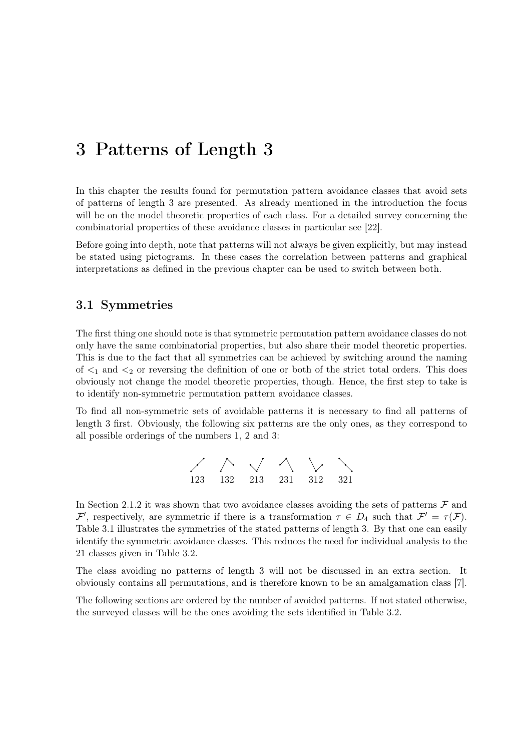## <span id="page-28-0"></span>3 Patterns of Length 3

In this chapter the results found for permutation pattern avoidance classes that avoid sets of patterns of length 3 are presented. As already mentioned in the introduction the focus will be on the model theoretic properties of each class. For a detailed survey concerning the combinatorial properties of these avoidance classes in particular see [\[22\]](#page-91-0).

Before going into depth, note that patterns will not always be given explicitly, but may instead be stated using pictograms. In these cases the correlation between patterns and graphical interpretations as defined in the previous chapter can be used to switch between both.

#### 3.1 Symmetries

The first thing one should note is that symmetric permutation pattern avoidance classes do not only have the same combinatorial properties, but also share their model theoretic properties. This is due to the fact that all symmetries can be achieved by switching around the naming of  $\leq_1$  and  $\leq_2$  or reversing the definition of one or both of the strict total orders. This does obviously not change the model theoretic properties, though. Hence, the first step to take is to identify non-symmetric permutation pattern avoidance classes.

To find all non-symmetric sets of avoidable patterns it is necessary to find all patterns of length 3 first. Obviously, the following six patterns are the only ones, as they correspond to all possible orderings of the numbers 1, 2 and 3:

$$
\begin{array}{ccc}\n\nearrow & \nearrow & \nearrow & \searrow & \searrow \\
123 & 132 & 213 & 231 & 312 & 321\n\end{array}
$$

In Section [2.1.2](#page-10-0) it was shown that two avoidance classes avoiding the sets of patterns  $\mathcal F$  and F', respectively, are symmetric if there is a transformation  $\tau \in D_4$  such that  $\mathcal{F}' = \tau(\mathcal{F})$ . Table [3.1](#page-29-0) illustrates the symmetries of the stated patterns of length 3. By that one can easily identify the symmetric avoidance classes. This reduces the need for individual analysis to the 21 classes given in Table [3.2.](#page-29-0)

The class avoiding no patterns of length 3 will not be discussed in an extra section. It obviously contains all permutations, and is therefore known to be an amalgamation class [\[7\]](#page-90-0).

The following sections are ordered by the number of avoided patterns. If not stated otherwise, the surveyed classes will be the ones avoiding the sets identified in Table [3.2.](#page-29-0)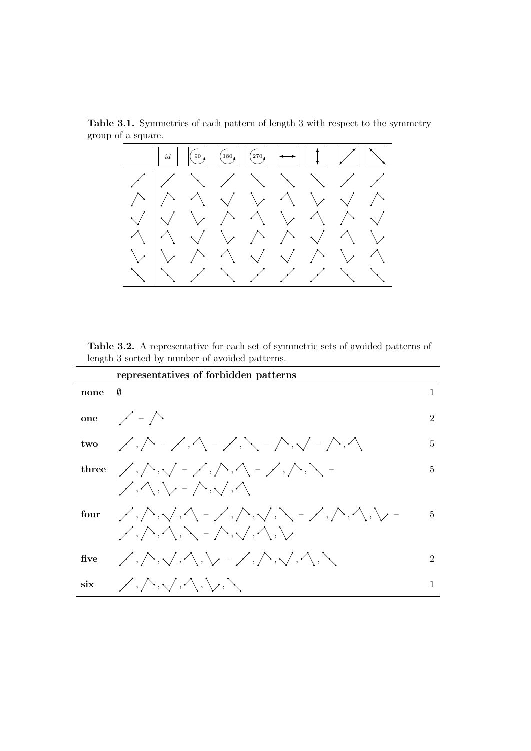<span id="page-29-0"></span>Table 3.1. Symmetries of each pattern of length 3 with respect to the symmetry group of a square.



Table 3.2. A representative for each set of symmetric sets of avoided patterns of length 3 sorted by number of avoided patterns.

|      | representatives of forbidden patterns                                                                                                                                                                                                                                                                                                                                                                                                                                                                                                                                                                                                                                                                                            |                             |
|------|----------------------------------------------------------------------------------------------------------------------------------------------------------------------------------------------------------------------------------------------------------------------------------------------------------------------------------------------------------------------------------------------------------------------------------------------------------------------------------------------------------------------------------------------------------------------------------------------------------------------------------------------------------------------------------------------------------------------------------|-----------------------------|
| none | Ø                                                                                                                                                                                                                                                                                                                                                                                                                                                                                                                                                                                                                                                                                                                                | $\mathbf{1}$                |
|      | one $\angle$ - $\triangle$                                                                                                                                                                                                                                                                                                                                                                                                                                                                                                                                                                                                                                                                                                       | $\mathcal{D}_{\mathcal{L}}$ |
|      | two $\angle$ , $\triangle$ - $\angle$ , $\triangle$ - $\angle$ , $\angle$ - $\triangle$ , $\angle$ - $\triangle$ , $\triangle$                                                                                                                                                                                                                                                                                                                                                                                                                                                                                                                                                                                                   | 5                           |
|      | three $\langle \cdot, \wedge, \cdot \rangle = \langle \cdot, \wedge, \wedge, \cdot \rangle = \langle \cdot, \wedge, \cdot \rangle =$                                                                                                                                                                                                                                                                                                                                                                                                                                                                                                                                                                                             | 5                           |
|      | $\mathscr{S}, \wedge, \setminus, \neg \wedge, \searrow, \wedge$                                                                                                                                                                                                                                                                                                                                                                                                                                                                                                                                                                                                                                                                  |                             |
|      |                                                                                                                                                                                                                                                                                                                                                                                                                                                                                                                                                                                                                                                                                                                                  | $\overline{5}$              |
|      | $\diagup, \land, \land, \searrow$ - $\diagup, \land, \land, \searrow$                                                                                                                                                                                                                                                                                                                                                                                                                                                                                                                                                                                                                                                            |                             |
|      | five $\langle \langle \cdot, \cdot \rangle, \langle \cdot, \cdot \rangle, \langle \cdot \rangle, \langle \cdot \rangle, \langle \cdot, \cdot \rangle, \langle \cdot \rangle, \langle \cdot \rangle, \langle \cdot \rangle, \langle \cdot \rangle, \langle \cdot \rangle, \langle \cdot \rangle, \langle \cdot \rangle, \langle \cdot \rangle, \langle \cdot \rangle, \langle \cdot \rangle, \langle \cdot \rangle, \langle \cdot \rangle, \langle \cdot \rangle, \langle \cdot \rangle, \langle \cdot \rangle, \langle \cdot \rangle, \langle \cdot \rangle, \langle \cdot \rangle, \langle \cdot \rangle, \langle \cdot \rangle, \langle \cdot \rangle, \langle \cdot \rangle, \langle \cdot \rangle, \langle \cdot \rangle, \$ | $\overline{2}$              |
| six  | $\mathscr{S},\mathcal{N},\mathcal{N},\mathcal{N},\mathcal{N},\mathcal{N}$                                                                                                                                                                                                                                                                                                                                                                                                                                                                                                                                                                                                                                                        |                             |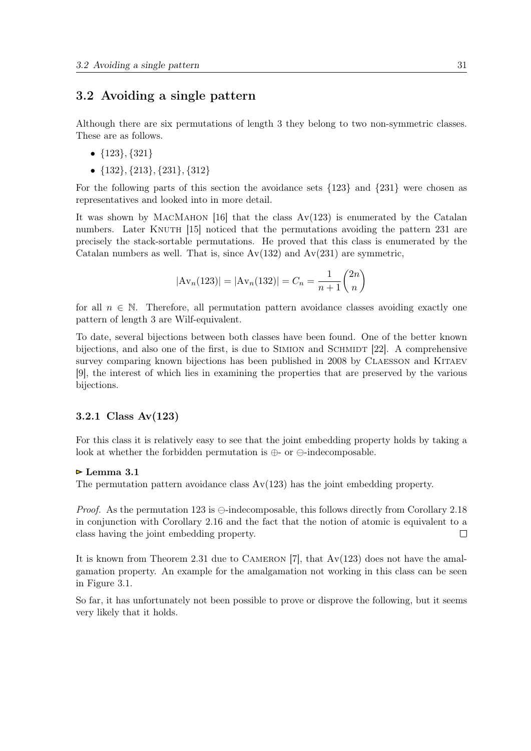#### <span id="page-30-0"></span>3.2 Avoiding a single pattern

Although there are six permutations of length 3 they belong to two non-symmetric classes. These are as follows.

- $\{123\}, \{321\}$
- $\{132\}, \{213\}, \{231\}, \{312\}$

For the following parts of this section the avoidance sets {123} and {231} were chosen as representatives and looked into in more detail.

It was shown by MACMAHON [\[16\]](#page-90-0) that the class  $Av(123)$  is enumerated by the Catalan numbers. Later KNUTH [\[15\]](#page-90-0) noticed that the permutations avoiding the pattern 231 are precisely the stack-sortable permutations. He proved that this class is enumerated by the Catalan numbers as well. That is, since  $Av(132)$  and  $Av(231)$  are symmetric,

$$
|\mathrm{Av}_n(123)| = |\mathrm{Av}_n(132)| = C_n = \frac{1}{n+1} \binom{2n}{n}
$$

for all  $n \in \mathbb{N}$ . Therefore, all permutation pattern avoidance classes avoiding exactly one pattern of length 3 are Wilf-equivalent.

To date, several bijections between both classes have been found. One of the better known bijections, and also one of the first, is due to SIMION and SCHMIDT  $[22]$ . A comprehensive survey comparing known bijections has been published in 2008 by CLAESSON and KITAEV [\[9\]](#page-90-0), the interest of which lies in examining the properties that are preserved by the various bijections.

#### 3.2.1 Class Av(123)

For this class it is relatively easy to see that the joint embedding property holds by taking a look at whether the forbidden permutation is  $\oplus$ - or  $\ominus$ -indecomposable.

#### $\triangleright$  Lemma 3.1

The permutation pattern avoidance class Av(123) has the joint embedding property.

*Proof.* As the permutation 123 is  $\ominus$ -indecomposable, this follows directly from Corollary [2.18](#page-18-0) in conjunction with Corollary [2.16](#page-17-0) and the fact that the notion of atomic is equivalent to a class having the joint embedding property.  $\Box$ 

It is known from Theorem [2.31](#page-23-0) due to CAMERON [\[7\]](#page-90-0), that  $Av(123)$  does not have the amalgamation property. An example for the amalgamation not working in this class can be seen in Figure [3.1.](#page-31-0)

So far, it has unfortunately not been possible to prove or disprove the following, but it seems very likely that it holds.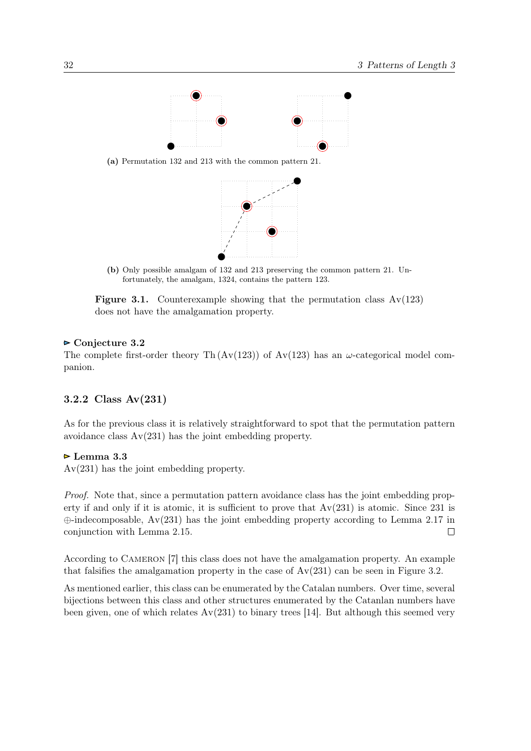<span id="page-31-0"></span>

(a) Permutation 132 and 213 with the common pattern 21.



(b) Only possible amalgam of 132 and 213 preserving the common pattern 21. Unfortunately, the amalgam, 1324, contains the pattern 123.

**Figure 3.1.** Counterexample showing that the permutation class  $Av(123)$ does not have the amalgamation property.

#### ► Conjecture 3.2

The complete first-order theory Th  $(Av(123))$  of Av(123) has an  $\omega$ -categorical model companion.

#### 3.2.2 Class Av(231)

As for the previous class it is relatively straightforward to spot that the permutation pattern avoidance class Av(231) has the joint embedding property.

#### $\triangleright$  Lemma 3.3

Av(231) has the joint embedding property.

Proof. Note that, since a permutation pattern avoidance class has the joint embedding property if and only if it is atomic, it is sufficient to prove that  $Av(231)$  is atomic. Since 231 is  $\oplus$ -indecomposable, Av(231) has the joint embedding property according to Lemma [2.17](#page-18-0) in conjunction with Lemma [2.15.](#page-17-0)  $\Box$ 

According to Cameron [\[7\]](#page-90-0) this class does not have the amalgamation property. An example that falsifies the amalgamation property in the case of  $Av(231)$  can be seen in Figure [3.2.](#page-32-0)

As mentioned earlier, this class can be enumerated by the Catalan numbers. Over time, several bijections between this class and other structures enumerated by the Catanlan numbers have been given, one of which relates  $Av(231)$  to binary trees [\[14\]](#page-90-0). But although this seemed very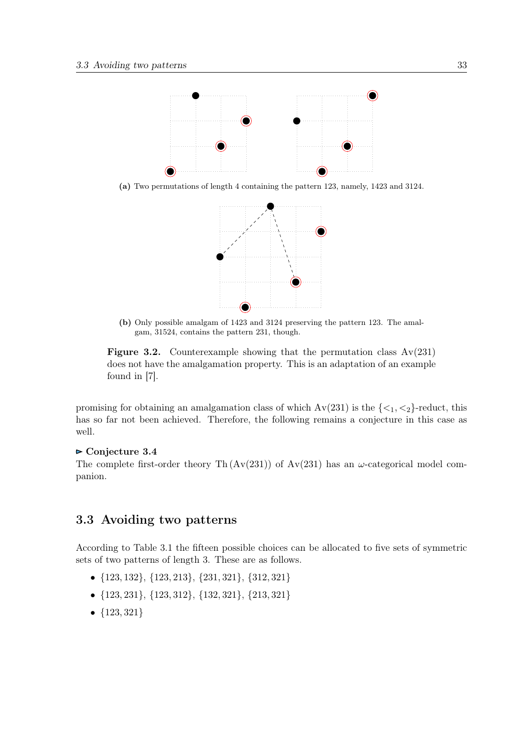<span id="page-32-0"></span>

(a) Two permutations of length 4 containing the pattern 123, namely, 1423 and 3124.



(b) Only possible amalgam of 1423 and 3124 preserving the pattern 123. The amalgam, 31524, contains the pattern 231, though.

**Figure 3.2.** Counterexample showing that the permutation class  $Av(231)$ does not have the amalgamation property. This is an adaptation of an example found in [\[7\]](#page-90-0).

promising for obtaining an amalgamation class of which  $Av(231)$  is the  $\{\langle 1, \langle 2 \rangle\}$ -reduct, this has so far not been achieved. Therefore, the following remains a conjecture in this case as well.

#### $\triangleright$  Conjecture 3.4

The complete first-order theory Th  $(Av(231))$  of  $Av(231)$  has an  $\omega$ -categorical model companion.

#### 3.3 Avoiding two patterns

According to Table [3.1](#page-29-0) the fifteen possible choices can be allocated to five sets of symmetric sets of two patterns of length 3. These are as follows.

- {123, 132}, {123, 213}, {231, 321}, {312, 321}
- {123, 231}, {123, 312}, {132, 321}, {213, 321}
- ${123, 321}$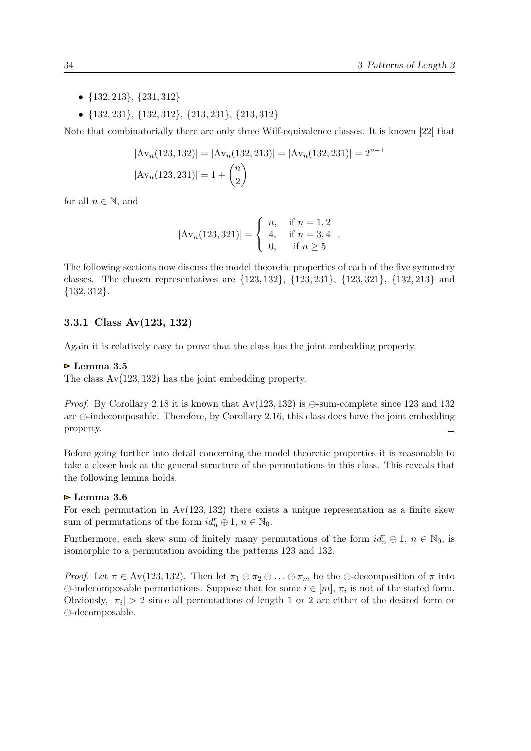- <span id="page-33-0"></span> $\bullet$  {132, 213}, {231, 312}
- {132, 231}, {132, 312}, {213, 231}, {213, 312}

Note that combinatorially there are only three Wilf-equivalence classes. It is known [\[22\]](#page-91-0) that

$$
|\mathbf{Av}_n(123, 132)| = |\mathbf{Av}_n(132, 213)| = |\mathbf{Av}_n(132, 231)| = 2^{n-1}
$$

$$
|\mathbf{Av}_n(123, 231)| = 1 + {n \choose 2}
$$

for all  $n \in \mathbb{N}$ , and

$$
|\mathrm{Av}_n(123,321)| = \begin{cases} n, & \text{if } n = 1,2 \\ 4, & \text{if } n = 3,4 \\ 0, & \text{if } n \ge 5 \end{cases}.
$$

The following sections now discuss the model theoretic properties of each of the five symmetry classes. The chosen representatives are {123, 132}, {123, 231}, {123, 321}, {132, 213} and  ${132, 312}.$ 

#### 3.3.1 Class Av(123, 132)

Again it is relatively easy to prove that the class has the joint embedding property.

#### $\triangleright$  Lemma 3.5

The class Av(123, 132) has the joint embedding property.

*Proof.* By Corollary [2.18](#page-18-0) it is known that  $Av(123, 132)$  is  $\ominus$ -sum-complete since 123 and 132 are  $\ominus$ -indecomposable. Therefore, by Corollary [2.16,](#page-17-0) this class does have the joint embedding property.  $\Box$ 

Before going further into detail concerning the model theoretic properties it is reasonable to take a closer look at the general structure of the permutations in this class. This reveals that the following lemma holds.

#### Lemma 3.6

For each permutation in  $Av(123, 132)$  there exists a unique representation as a finite skew sum of permutations of the form  $id_n^r \oplus 1, n \in \mathbb{N}_0$ .

Furthermore, each skew sum of finitely many permutations of the form  $id_n^r \oplus 1, n \in \mathbb{N}_0$ , is isomorphic to a permutation avoiding the patterns 123 and 132.

*Proof.* Let  $\pi \in Av(123, 132)$ . Then let  $\pi_1 \oplus \pi_2 \oplus ... \oplus \pi_m$  be the  $\ominus$ -decomposition of  $\pi$  into  $\ominus$ -indecomposable permutations. Suppose that for some  $i \in [m]$ ,  $\pi_i$  is not of the stated form. Obviously,  $|\pi_i| > 2$  since all permutations of length 1 or 2 are either of the desired form or  $\ominus$ -decomposable.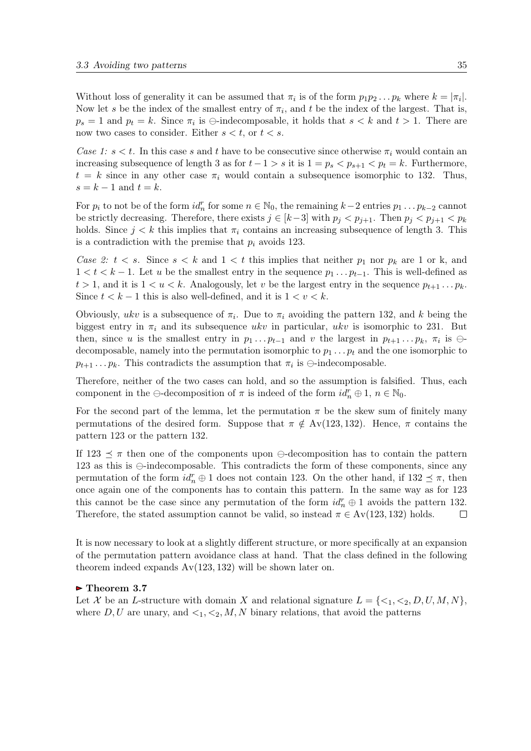Without loss of generality it can be assumed that  $\pi_i$  is of the form  $p_1p_2 \ldots p_k$  where  $k = |\pi_i|$ . Now let s be the index of the smallest entry of  $\pi_i$ , and t be the index of the largest. That is,  $p_s = 1$  and  $p_t = k$ . Since  $\pi_i$  is  $\ominus$ -indecomposable, it holds that  $s < k$  and  $t > 1$ . There are now two cases to consider. Either  $s < t$ , or  $t < s$ .

Case 1:  $s < t$ . In this case s and t have to be consecutive since otherwise  $\pi_i$  would contain an increasing subsequence of length 3 as for  $t - 1 > s$  it is  $1 = p_s < p_{s+1} < p_t = k$ . Furthermore,  $t = k$  since in any other case  $\pi_i$  would contain a subsequence isomorphic to 132. Thus,  $s = k - 1$  and  $t = k$ .

For  $p_i$  to not be of the form  $id_n^r$  for some  $n \in \mathbb{N}_0$ , the remaining  $k-2$  entries  $p_1 \dots p_{k-2}$  cannot be strictly decreasing. Therefore, there exists  $j \in [k-3]$  with  $p_j < p_{j+1}$ . Then  $p_j < p_{j+1} < p_k$ holds. Since  $j < k$  this implies that  $\pi_i$  contains an increasing subsequence of length 3. This is a contradiction with the premise that  $p_i$  avoids 123.

Case 2:  $t < s$ . Since  $s < k$  and  $1 < t$  this implies that neither  $p_1$  nor  $p_k$  are 1 or k, and  $1 < t < k-1$ . Let u be the smallest entry in the sequence  $p_1 \ldots p_{t-1}$ . This is well-defined as  $t > 1$ , and it is  $1 < u < k$ . Analogously, let v be the largest entry in the sequence  $p_{t+1} \dots p_k$ . Since  $t < k - 1$  this is also well-defined, and it is  $1 < v < k$ .

Obviously, ukv is a subsequence of  $\pi_i$ . Due to  $\pi_i$  avoiding the pattern 132, and k being the biggest entry in  $\pi_i$  and its subsequence ukv in particular, ukv is isomorphic to 231. But then, since u is the smallest entry in  $p_1 \dots p_{t-1}$  and v the largest in  $p_{t+1} \dots p_k$ ,  $\pi_i$  is  $\ominus$ decomposable, namely into the permutation isomorphic to  $p_1 \ldots p_t$  and the one isomorphic to  $p_{t+1} \dots p_k$ . This contradicts the assumption that  $\pi_i$  is  $\ominus$ -indecomposable.

Therefore, neither of the two cases can hold, and so the assumption is falsified. Thus, each component in the  $\ominus$ -decomposition of  $\pi$  is indeed of the form  $id_n^r \oplus 1, n \in \mathbb{N}_0$ .

For the second part of the lemma, let the permutation  $\pi$  be the skew sum of finitely many permutations of the desired form. Suppose that  $\pi \notin Av(123, 132)$ . Hence,  $\pi$  contains the pattern 123 or the pattern 132.

If 123  $\leq \pi$  then one of the components upon  $\ominus$ -decomposition has to contain the pattern 123 as this is  $\ominus$ -indecomposable. This contradicts the form of these components, since any permutation of the form  $id_n^r \oplus 1$  does not contain 123. On the other hand, if  $132 \preceq \pi$ , then once again one of the components has to contain this pattern. In the same way as for 123 this cannot be the case since any permutation of the form  $id_n^r \oplus 1$  avoids the pattern 132. Therefore, the stated assumption cannot be valid, so instead  $\pi \in Av(123, 132)$  holds.  $\Box$ 

It is now necessary to look at a slightly different structure, or more specifically at an expansion of the permutation pattern avoidance class at hand. That the class defined in the following theorem indeed expands  $Av(123, 132)$  will be shown later on.

#### • Theorem 3.7

Let X be an L-structure with domain X and relational signature  $L = \{ \langle 1, \langle 2, D, U, M, N \} \rangle$ , where D, U are unary, and  $\lt_1, \lt_2, M, N$  binary relations, that avoid the patterns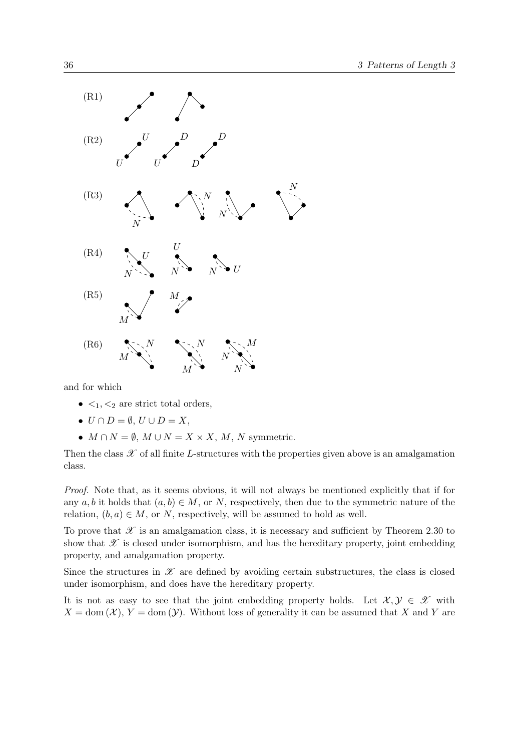

and for which

- $\lt_1, \lt_2$  are strict total orders,
- $U \cap D = \emptyset$ ,  $U \cup D = X$ ,
- $M \cap N = \emptyset$ ,  $M \cup N = X \times X$ , M, N symmetric.

Then the class  $\mathscr X$  of all finite L-structures with the properties given above is an amalgamation class.

Proof. Note that, as it seems obvious, it will not always be mentioned explicitly that if for any  $a, b$  it holds that  $(a, b) \in M$ , or N, respectively, then due to the symmetric nature of the relation,  $(b, a) \in M$ , or N, respectively, will be assumed to hold as well.

To prove that  $\mathscr X$  is an amalgamation class, it is necessary and sufficient by Theorem [2.30](#page-23-0) to show that  $\mathscr X$  is closed under isomorphism, and has the hereditary property, joint embedding property, and amalgamation property.

Since the structures in  $\mathscr X$  are defined by avoiding certain substructures, the class is closed under isomorphism, and does have the hereditary property.

It is not as easy to see that the joint embedding property holds. Let  $\mathcal{X}, \mathcal{Y} \in \mathcal{X}$  with  $X = \text{dom}(\mathcal{X}), Y = \text{dom}(\mathcal{Y}).$  Without loss of generality it can be assumed that X and Y are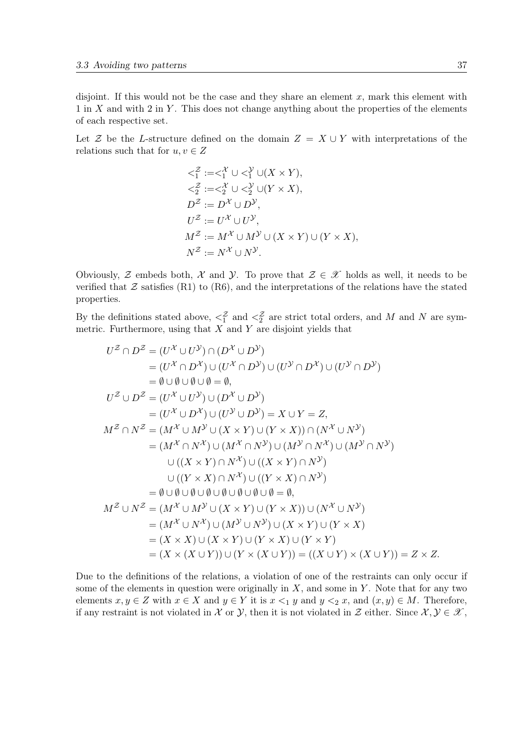disjoint. If this would not be the case and they share an element  $x$ , mark this element with  $1$  in X and with  $2$  in Y. This does not change anything about the properties of the elements of each respective set.

Let Z be the L-structure defined on the domain  $Z = X \cup Y$  with interpretations of the relations such that for  $u, v \in Z$ 

$$
\langle \zeta_1^Z := \langle \zeta_1^{\chi} \cup \langle \zeta_1^{\chi} \cup (X \times Y), \\ \langle \zeta_2^Z := \langle \zeta_2^{\chi} \cup \langle \zeta_2^{\chi} \cup (Y \times X), \\ D^{\mathcal{Z}} := D^{\mathcal{X}} \cup D^{\mathcal{Y}}, \\ U^{\mathcal{Z}} := U^{\mathcal{X}} \cup U^{\mathcal{Y}}, \\ M^{\mathcal{Z}} := M^{\mathcal{X}} \cup M^{\mathcal{Y}} \cup (X \times Y) \cup (Y \times X), \\ N^{\mathcal{Z}} := N^{\mathcal{X}} \cup N^{\mathcal{Y}}.
$$

Obviously, Z embeds both, X and Y. To prove that  $\mathcal{Z} \in \mathcal{X}$  holds as well, it needs to be verified that  $\mathcal Z$  satisfies ([R1\)](#page-35-0) to ([R6\)](#page-35-0), and the interpretations of the relations have the stated properties.

By the definitions stated above,  $\langle \xi_1^2 \rangle$  and  $\langle \xi_2^2 \rangle$  are strict total orders, and M and N are symmetric. Furthermore, using that  $X$  and  $Y$  are disjoint yields that

$$
U^{Z} \cap D^{Z} = (U^{X} \cup U^{Y}) \cap (D^{X} \cup D^{Y})
$$
  
\n
$$
= (U^{X} \cap D^{X}) \cup (U^{X} \cap D^{Y}) \cup (U^{Y} \cap D^{X}) \cup (U^{Y} \cap D^{Y})
$$
  
\n
$$
= \emptyset \cup \emptyset \cup \emptyset = \emptyset, U^{Z} \cup D^{Z} = (U^{X} \cup U^{Y}) \cup (D^{X} \cup D^{Y})
$$
  
\n
$$
= (U^{X} \cup D^{X}) \cup (U^{Y} \cup D^{Y}) = X \cup Y = Z,
$$
  
\n
$$
M^{Z} \cap N^{Z} = (M^{X} \cup M^{Y} \cup (X \times Y) \cup (Y \times X)) \cap (N^{X} \cup N^{Y})
$$
  
\n
$$
= (M^{X} \cap N^{X}) \cup (M^{X} \cap N^{Y}) \cup (M^{Y} \cap N^{X}) \cup (M^{Y} \cap N^{Y})
$$
  
\n
$$
\cup ((Y \times X) \cap N^{X}) \cup ((Y \times X) \cap N^{Y})
$$
  
\n
$$
= \emptyset \cup \emptyset \cup \emptyset \cup \emptyset \cup \emptyset \cup \emptyset \cup \emptyset = \emptyset, M^{Z} \cup N^{Z} = (M^{X} \cup M^{Y} \cup (X \times Y) \cup (Y \times X)) \cup (N^{X} \cup N^{Y})
$$
  
\n
$$
= (M^{X} \cup N^{X}) \cup (M^{Y} \cup N^{Y}) \cup (X \times Y) \cup (Y \times X)
$$
  
\n
$$
= (X \times X) \cup (X \times Y) \cup (Y \times X) \cup (Y \times Y)
$$
  
\n
$$
= (X \times (X \cup Y)) \cup (Y \times (X \cup Y)) = ((X \cup Y) \times (X \cup Y)) = Z \times Z.
$$

Due to the definitions of the relations, a violation of one of the restraints can only occur if some of the elements in question were originally in  $X$ , and some in  $Y$ . Note that for any two elements  $x, y \in Z$  with  $x \in X$  and  $y \in Y$  it is  $x \leq_1 y$  and  $y \leq_2 x$ , and  $(x, y) \in M$ . Therefore, if any restraint is not violated in X or Y, then it is not violated in Z either. Since  $\mathcal{X}, \mathcal{Y} \in \mathcal{X}$ ,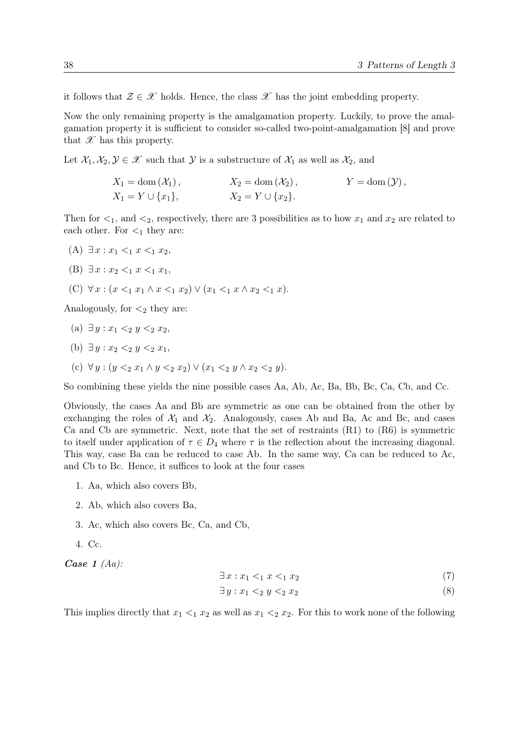<span id="page-37-0"></span>it follows that  $\mathcal{Z} \in \mathcal{X}$  holds. Hence, the class  $\mathcal{X}$  has the joint embedding property.

Now the only remaining property is the amalgamation property. Luckily, to prove the amalgamation property it is sufficient to consider so-called two-point-amalgamation [\[8\]](#page-90-0) and prove that  $\mathscr X$  has this property.

Let  $\mathcal{X}_1, \mathcal{X}_2, \mathcal{Y} \in \mathcal{X}$  such that  $\mathcal{Y}$  is a substructure of  $\mathcal{X}_1$  as well as  $\mathcal{X}_2$ , and

| $X_1 = \text{dom}(\mathcal{X}_1),$ | $X_2 = \text{dom}(\mathcal{X}_2),$ | $Y = \text{dom}(\mathcal{Y}),$ |
|------------------------------------|------------------------------------|--------------------------------|
| $X_1 = Y \cup \{x_1\},\$           | $X_2 = Y \cup \{x_2\}.$            |                                |

Then for  $\leq_1$ , and  $\leq_2$ , respectively, there are 3 possibilities as to how  $x_1$  and  $x_2$  are related to each other. For  $\lt_1$  they are:

- (A)  $\exists x : x_1 <_1 x <_1 x_2$
- (B)  $\exists x : x_2 <_1 x <_1 x_1$ ,
- (C) ∀  $x : (x <_1 x_1 \land x <_1 x_2) \lor (x_1 <_1 x \land x_2 <_1 x)$ .

Analogously, for  $\lt_2$  they are:

- (a)  $\exists y : x_1 \leq_2 y \leq_2 x_2$ ,
- (b)  $\exists u : x_2 \leq 2 u \leq 2 x_1$
- (c)  $\forall y : (y \leq_2 x_1 \land y \leq_2 x_2) \lor (x_1 \leq_2 y \land x_2 \leq_2 y).$

So combining these yields the nine possible cases Aa, Ab, Ac, Ba, Bb, Bc, Ca, Cb, and Cc.

Obviously, the cases Aa and Bb are symmetric as one can be obtained from the other by exchanging the roles of  $\mathcal{X}_1$  and  $\mathcal{X}_2$ . Analogously, cases Ab and Ba, Ac and Bc, and cases Ca and Cb are symmetric. Next, note that the set of restraints ([R1\)](#page-35-0) to ([R6\)](#page-35-0) is symmetric to itself under application of  $\tau \in D_4$  where  $\tau$  is the reflection about the increasing diagonal. This way, case Ba can be reduced to case Ab. In the same way, Ca can be reduced to Ac, and Cb to Bc. Hence, it suffices to look at the four cases

- 1. Aa, which also covers Bb,
- 2. Ab, which also covers Ba,
- 3. Ac, which also covers Bc, Ca, and Cb,
- 4. Cc.

Case  $1$  (Aa):

$$
\exists x: x_1 \leq_1 x \leq_1 x_2 \tag{7}
$$

$$
\exists y: x_1 <_2 y <_2 x_2 \tag{8}
$$

This implies directly that  $x_1 <_1 x_2$  as well as  $x_1 <_2 x_2$ . For this to work none of the following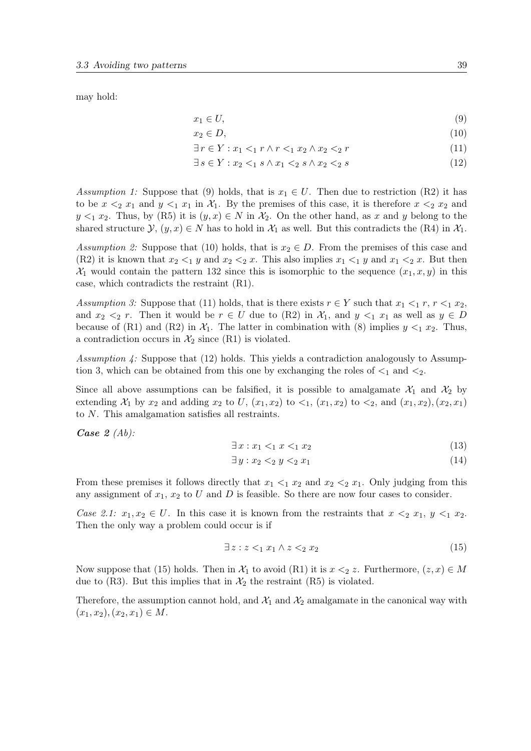<span id="page-38-0"></span>may hold:

$$
x_1 \in U,\tag{9}
$$

$$
x_2 \in D,\tag{10}
$$

$$
\exists r \in Y : x_1 <_1 r \land r <_1 x_2 \land x_2 <_2 r \tag{11}
$$

$$
\exists s \in Y : x_2 <_1 s \land x_1 <_2 s \land x_2 <_2 s \tag{12}
$$

Assumption 1: Suppose that (9) holds, that is  $x_1 \in U$ . Then due to restriction ([R2\)](#page-35-0) it has to be  $x \leq_2 x_1$  and  $y \leq_1 x_1$  in  $\mathcal{X}_1$ . By the premises of this case, it is therefore  $x \leq_2 x_2$  and  $y \leq_1 x_2$ . Thus, by ([R5\)](#page-35-0) it is  $(y, x) \in N$  in  $\mathcal{X}_2$ . On the other hand, as x and y belong to the shared structure  $\mathcal{Y}, (y, x) \in N$  has to hold in  $\mathcal{X}_1$  as well. But this contradicts the ([R4\)](#page-35-0) in  $\mathcal{X}_1$ .

Assumption 2: Suppose that (10) holds, that is  $x_2 \in D$ . From the premises of this case and ([R2\)](#page-35-0) it is known that  $x_2 <_1 y$  and  $x_2 <_2 x$ . This also implies  $x_1 <_1 y$  and  $x_1 <_2 x$ . But then  $\mathcal{X}_1$  would contain the pattern 132 since this is isomorphic to the sequence  $(x_1, x, y)$  in this case, which contradicts the restraint ([R1\)](#page-35-0).

Assumption 3: Suppose that (11) holds, that is there exists  $r \in Y$  such that  $x_1 \leq_1 r, r \leq_1 x_2$ , and  $x_2 \leq_2 r$ . Then it would be  $r \in U$  due to  $(R2)$  $(R2)$  in  $\mathcal{X}_1$ , and  $y \leq_1 x_1$  as well as  $y \in D$ because of ([R1\)](#page-35-0) and ([R2\)](#page-35-0) in  $\mathcal{X}_1$ . The latter in combination with [\(8\)](#page-37-0) implies  $y <_1 x_2$ . Thus, a contradiction occurs in  $\mathcal{X}_2$  since ([R1\)](#page-35-0) is violated.

Assumption  $\ddot{A}$ : Suppose that (12) holds. This yields a contradiction analogously to Assumption 3, which can be obtained from this one by exchanging the roles of  $\leq_1$  and  $\leq_2$ .

Since all above assumptions can be falsified, it is possible to amalgamate  $\mathcal{X}_1$  and  $\mathcal{X}_2$  by extending  $\mathcal{X}_1$  by  $x_2$  and adding  $x_2$  to U,  $(x_1, x_2)$  to  $\lt_1$ ,  $(x_1, x_2)$  to  $\lt_2$ , and  $(x_1, x_2)$ ,  $(x_2, x_1)$ to N. This amalgamation satisfies all restraints.

Case  $2 \; (Ab)$ :

$$
\exists x: x_1 \leq_1 x \leq_1 x_2 \tag{13}
$$

$$
\exists y: x_2 <_2 y <_2 x_1 \tag{14}
$$

From these premises it follows directly that  $x_1 \leq_1 x_2$  and  $x_2 \leq_2 x_1$ . Only judging from this any assignment of  $x_1, x_2$  to U and D is feasible. So there are now four cases to consider.

Case 2.1:  $x_1, x_2 \in U$ . In this case it is known from the restraints that  $x \leq_2 x_1, y \leq_1 x_2$ . Then the only way a problem could occur is if

$$
\exists z: z \leq_1 x_1 \land z \leq_2 x_2 \tag{15}
$$

Now suppose that (15) holds. Then in  $\mathcal{X}_1$  to avoid ([R1\)](#page-35-0) it is  $x \leq_2 z$ . Furthermore,  $(z, x) \in M$ due to ([R3\)](#page-35-0). But this implies that in  $\mathcal{X}_2$  the restraint ([R5\)](#page-35-0) is violated.

Therefore, the assumption cannot hold, and  $\mathcal{X}_1$  and  $\mathcal{X}_2$  amalgamate in the canonical way with  $(x_1, x_2), (x_2, x_1) \in M$ .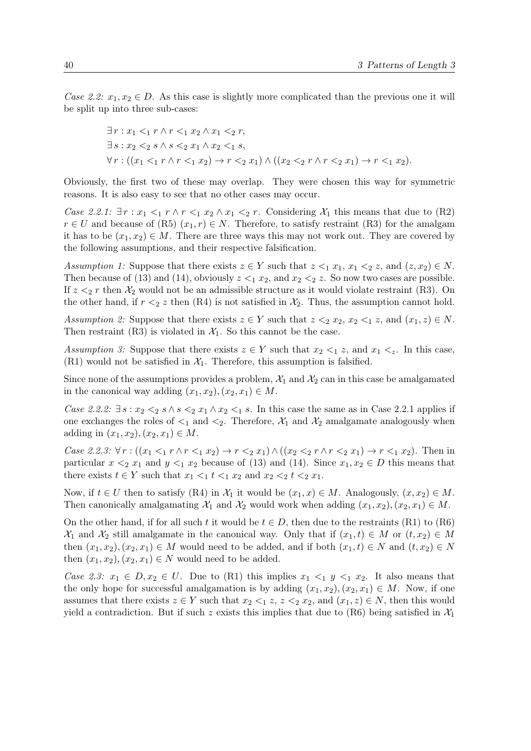Case 2.2:  $x_1, x_2 \in D$ . As this case is slightly more complicated than the previous one it will be split up into three sub-cases:

$$
\exists r: x_1 <_1 r \land r <_1 x_2 \land x_1 <_2 r,
$$
\n
$$
\exists s: x_2 <_2 s \land s <_2 x_1 \land x_2 <_1 s,
$$
\n
$$
\forall r: ((x_1 <_1 r \land r <_1 x_2) \to r <_2 x_1) \land ((x_2 <_2 r \land r <_2 x_1) \to r <_1 x_2).
$$

Obviously, the first two of these may overlap. They were chosen this way for symmetric reasons. It is also easy to see that no other cases may occur.

Case 2.2.1:  $\exists r : x_1 \leq_1 r \wedge r \leq_1 x_2 \wedge x_1 \leq_2 r$ . Considering  $\mathcal{X}_1$  this means that due to ([R2\)](#page-35-0)  $r \in U$  and because of ([R5\)](#page-35-0)  $(x_1, r) \in N$ . Therefore, to satisfy restraint ([R3\)](#page-35-0) for the amalgam it has to be  $(x_1, x_2) \in M$ . There are three ways this may not work out. They are covered by the following assumptions, and their respective falsification.

Assumption 1: Suppose that there exists  $z \in Y$  such that  $z \leq_1 x_1, x_1 \leq_2 z$ , and  $(z, x_2) \in N$ . Then because of [\(13\)](#page-38-0) and [\(14\)](#page-38-0), obviously  $z \leq_1 x_2$ , and  $x_2 \leq_2 z$ . So now two cases are possible. If  $z \leq_2 r$  then  $\mathcal{X}_2$  would not be an admissible structure as it would violate restraint ([R3\)](#page-35-0). On the other hand, if  $r <sub>2</sub> z$  then ([R4\)](#page-35-0) is not satisfied in  $\mathcal{X}_2$ . Thus, the assumption cannot hold.

Assumption 2: Suppose that there exists  $z \in Y$  such that  $z \leq_2 x_2, x_2 \leq_1 z$ , and  $(x_1, z) \in N$ . Then restraint ([R3\)](#page-35-0) is violated in  $\mathcal{X}_1$ . So this cannot be the case.

Assumption 3: Suppose that there exists  $z \in Y$  such that  $x_2 \leq_1 z$ , and  $x_1 \leq_z$ . In this case,  $(R1)$  $(R1)$  would not be satisfied in  $\mathcal{X}_1$ . Therefore, this assumption is falsified.

Since none of the assumptions provides a problem,  $\mathcal{X}_1$  and  $\mathcal{X}_2$  can in this case be amalgamated in the canonical way adding  $(x_1, x_2), (x_2, x_1) \in M$ .

Case 2.2.2:  $\exists s : x_2 <_2 s \land s <_2 x_1 \land x_2 <_1 s$ . In this case the same as in Case 2.2.1 applies if one exchanges the roles of  $\leq_1$  and  $\leq_2$ . Therefore,  $\mathcal{X}_1$  and  $\mathcal{X}_2$  amalgamate analogously when adding in  $(x_1, x_2), (x_2, x_1) \in M$ .

Case 2.2.3:  $\forall r: ((x_1 <_1 r \land r <_1 x_2) \rightarrow r <_2 x_1) \land ((x_2 <_2 r \land r <_2 x_1) \rightarrow r <_1 x_2)$ . Then in particular  $x \leq_2 x_1$  and  $y \leq_1 x_2$  because of [\(13\)](#page-38-0) and [\(14\)](#page-38-0). Since  $x_1, x_2 \in D$  this means that there exists  $t \in Y$  such that  $x_1 <_1 t <_1 x_2$  and  $x_2 <_2 t <_2 x_1$ .

Now, if  $t \in U$  then to satisfy ([R4\)](#page-35-0) in  $\mathcal{X}_1$  it would be  $(x_1, x) \in M$ . Analogously,  $(x, x_2) \in M$ . Then canonically amalgamating  $\mathcal{X}_1$  and  $\mathcal{X}_2$  would work when adding  $(x_1, x_2), (x_2, x_1) \in M$ .

On the other hand, if for all such t it would be  $t \in D$ , then due to the restraints ([R1\)](#page-35-0) to ([R6\)](#page-35-0)  $\mathcal{X}_1$  and  $\mathcal{X}_2$  still amalgamate in the canonical way. Only that if  $(x_1, t) \in M$  or  $(t, x_2) \in M$ then  $(x_1, x_2), (x_2, x_1) \in M$  would need to be added, and if both  $(x_1, t) \in N$  and  $(t, x_2) \in N$ then  $(x_1, x_2), (x_2, x_1) \in N$  would need to be added.

Case 2.3:  $x_1 \in D, x_2 \in U$ . Due to ([R1\)](#page-35-0) this implies  $x_1 \leq_1 y \leq_1 x_2$ . It also means that the only hope for successful amalgamation is by adding  $(x_1, x_2), (x_2, x_1) \in M$ . Now, if one assumes that there exists  $z \in Y$  such that  $x_2 <_1 z$ ,  $z <_2 x_2$ , and  $(x_1, z) \in N$ , then this would yield a contradiction. But if such z exists this implies that due to  $(R6)$  $(R6)$  being satisfied in  $\mathcal{X}_1$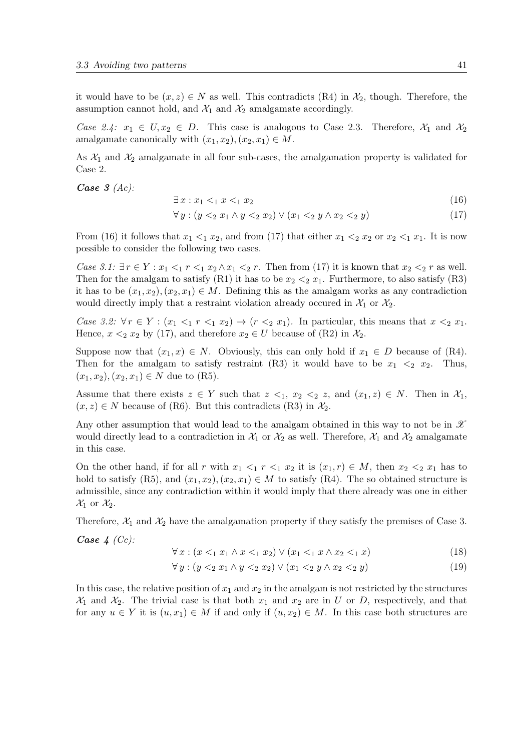<span id="page-40-0"></span>it would have to be  $(x, z) \in N$  as well. This contradicts  $(R4)$  $(R4)$  in  $\mathcal{X}_2$ , though. Therefore, the assumption cannot hold, and  $\mathcal{X}_1$  and  $\mathcal{X}_2$  amalgamate accordingly.

Case 2.4:  $x_1 \in U, x_2 \in D$ . This case is analogous to Case 2.3. Therefore,  $\mathcal{X}_1$  and  $\mathcal{X}_2$ amalgamate canonically with  $(x_1, x_2), (x_2, x_1) \in M$ .

As  $X_1$  and  $X_2$  amalgamate in all four sub-cases, the amalgamation property is validated for Case 2.

Case  $3(Ac)$ :

$$
\exists x: x_1 <_1 x <_1 x_2 \tag{16}
$$

$$
\forall y: (y <_{2} x_{1} \land y <_{2} x_{2}) \lor (x_{1} <_{2} y \land x_{2} <_{2} y) \tag{17}
$$

From (16) it follows that  $x_1 \leq_1 x_2$ , and from (17) that either  $x_1 \leq_2 x_2$  or  $x_2 \leq_1 x_1$ . It is now possible to consider the following two cases.

Case 3.1:  $\exists r \in Y : x_1 <_1 r <_1 x_2 \wedge x_1 <_2 r$ . Then from (17) it is known that  $x_2 <_2 r$  as well. Then for the amalgam to satisfy  $(R1)$  $(R1)$  it has to be  $x_2 < 2x_1$ . Furthermore, to also satisfy  $(R3)$  $(R3)$ it has to be  $(x_1, x_2), (x_2, x_1) \in M$ . Defining this as the amalgam works as any contradiction would directly imply that a restraint violation already occured in  $\mathcal{X}_1$  or  $\mathcal{X}_2$ .

Case 3.2:  $\forall r \in Y : (x_1 <_1 r <_1 x_2) \rightarrow (r <_2 x_1)$ . In particular, this means that  $x <_2 x_1$ . Hence,  $x \leq_2 x_2$  by (17), and therefore  $x_2 \in U$  because of ([R2\)](#page-35-0) in  $\mathcal{X}_2$ .

Suppose now that  $(x_1, x) \in N$ . Obviously, this can only hold if  $x_1 \in D$  because of ([R4\)](#page-35-0). Then for the amalgam to satisfy restraint ([R3\)](#page-35-0) it would have to be  $x_1 \leq_2 x_2$ . Thus,  $(x_1, x_2), (x_2, x_1) \in N$  due to  $(R5)$  $(R5)$ .

Assume that there exists  $z \in Y$  such that  $z \leq_1, x_2 \leq_2 z$ , and  $(x_1, z) \in N$ . Then in  $\mathcal{X}_1$ ,  $(x, z) \in N$  because of ([R6\)](#page-35-0). But this contradicts ([R3\)](#page-35-0) in  $\mathcal{X}_2$ .

Any other assumption that would lead to the amalgam obtained in this way to not be in  $\mathscr X$ would directly lead to a contradiction in  $\mathcal{X}_1$  or  $\mathcal{X}_2$  as well. Therefore,  $\mathcal{X}_1$  and  $\mathcal{X}_2$  amalgamate in this case.

On the other hand, if for all r with  $x_1 <_1 r <_1 x_2$  it is  $(x_1, r) \in M$ , then  $x_2 <_2 x_1$  has to hold to satisfy ([R5\)](#page-35-0), and  $(x_1, x_2), (x_2, x_1) \in M$  to satisfy ([R4\)](#page-35-0). The so obtained structure is admissible, since any contradiction within it would imply that there already was one in either  $\mathcal{X}_1$  or  $\mathcal{X}_2$ .

Therefore,  $\mathcal{X}_1$  and  $\mathcal{X}_2$  have the amalgamation property if they satisfy the premises of Case 3.

Case  $4$  (Cc):

$$
\forall x: (x <_1 x_1 \land x <_1 x_2) \lor (x_1 <_1 x \land x_2 <_1 x)
$$
\n(18)

$$
\forall y: (y <_{2} x_{1} \land y <_{2} x_{2}) \lor (x_{1} <_{2} y \land x_{2} <_{2} y) \tag{19}
$$

In this case, the relative position of  $x_1$  and  $x_2$  in the amalgam is not restricted by the structures  $\mathcal{X}_1$  and  $\mathcal{X}_2$ . The trivial case is that both  $x_1$  and  $x_2$  are in U or D, respectively, and that for any  $u \in Y$  it is  $(u, x_1) \in M$  if and only if  $(u, x_2) \in M$ . In this case both structures are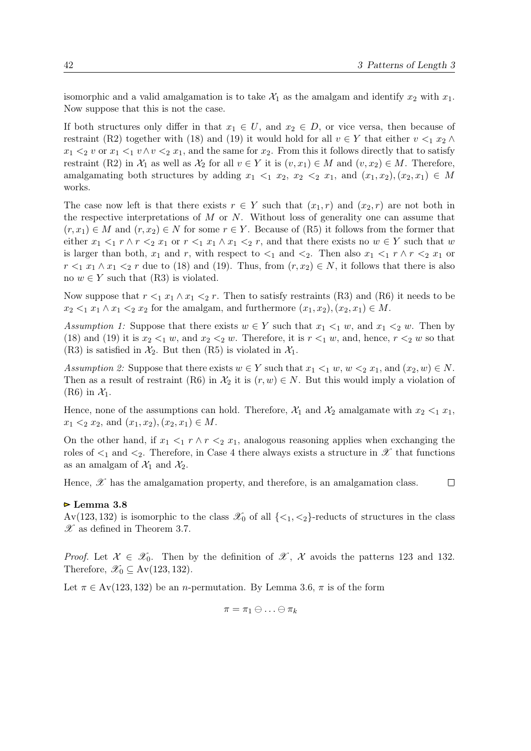<span id="page-41-0"></span>isomorphic and a valid amalgamation is to take  $\mathcal{X}_1$  as the amalgam and identify  $x_2$  with  $x_1$ . Now suppose that this is not the case.

If both structures only differ in that  $x_1 \in U$ , and  $x_2 \in D$ , or vice versa, then because of restraint ([R2\)](#page-35-0) together with [\(18\)](#page-40-0) and [\(19\)](#page-40-0) it would hold for all  $v \in Y$  that either  $v <_1 x_2 \wedge$  $x_1 <_2 v$  or  $x_1 <_1 v \wedge v <_2 x_1$ , and the same for  $x_2$ . From this it follows directly that to satisfy restraint ([R2\)](#page-35-0) in  $\mathcal{X}_1$  as well as  $\mathcal{X}_2$  for all  $v \in Y$  it is  $(v, x_1) \in M$  and  $(v, x_2) \in M$ . Therefore, amalgamating both structures by adding  $x_1 \leq_1 x_2, x_2 \leq_2 x_1$ , and  $(x_1, x_2), (x_2, x_1) \in M$ works.

The case now left is that there exists  $r \in Y$  such that  $(x_1, r)$  and  $(x_2, r)$  are not both in the respective interpretations of  $M$  or  $N$ . Without loss of generality one can assume that  $(r, x_1) \in M$  and  $(r, x_2) \in N$  for some  $r \in Y$ . Because of ([R5\)](#page-35-0) it follows from the former that either  $x_1 <_1 r \wedge r <_2 x_1$  or  $r <_1 x_1 \wedge x_1 <_2 r$ , and that there exists no  $w \in Y$  such that w is larger than both,  $x_1$  and r, with respect to  $\lt_1$  and  $\lt_2$ . Then also  $x_1 \lt_1 r \wedge r \lt_2 x_1$  or  $r <_1 x_1 \wedge x_1 <_2 r$  due to [\(18\)](#page-40-0) and [\(19\)](#page-40-0). Thus, from  $(r, x_2) \in N$ , it follows that there is also no  $w \in Y$  such that ([R3\)](#page-35-0) is violated.

Now suppose that  $r <_1 x_1 \wedge x_1 <_2 r$ . Then to satisfy restraints ([R3\)](#page-35-0) and ([R6\)](#page-35-0) it needs to be  $x_2 \leq_1 x_1 \wedge x_1 \leq_2 x_2$  for the amalgam, and furthermore  $(x_1, x_2), (x_2, x_1) \in M$ .

Assumption 1: Suppose that there exists  $w \in Y$  such that  $x_1 \leq_1 w$ , and  $x_1 \leq_2 w$ . Then by [\(18\)](#page-40-0) and [\(19\)](#page-40-0) it is  $x_2 <_1 w$ , and  $x_2 <_2 w$ . Therefore, it is  $r <_1 w$ , and, hence,  $r <_2 w$  so that ([R3\)](#page-35-0) is satisfied in  $\mathcal{X}_2$ . But then ([R5\)](#page-35-0) is violated in  $\mathcal{X}_1$ .

Assumption 2: Suppose that there exists  $w \in Y$  such that  $x_1 \leq_1 w$ ,  $w \leq_2 x_1$ , and  $(x_2, w) \in N$ . Then as a result of restraint ([R6\)](#page-35-0) in  $\mathcal{X}_2$  it is  $(r, w) \in N$ . But this would imply a violation of  $(R6)$  $(R6)$  in  $\mathcal{X}_1$ .

Hence, none of the assumptions can hold. Therefore,  $\mathcal{X}_1$  and  $\mathcal{X}_2$  amalgamate with  $x_2 < 1$ ,  $x_1$ ,  $x_1 \leq_2 x_2$ , and  $(x_1, x_2), (x_2, x_1) \in M$ .

On the other hand, if  $x_1 \leq_1 r \wedge r \leq_2 x_1$ , analogous reasoning applies when exchanging the roles of  $\leq_1$  and  $\leq_2$ . Therefore, in Case 4 there always exists a structure in  $\mathscr X$  that functions as an amalgam of  $\mathcal{X}_1$  and  $\mathcal{X}_2$ .

Hence,  $\mathscr X$  has the amalgamation property, and therefore, is an amalgamation class.  $\Box$ 

#### Lemma 3.8

Av(123, 132) is isomorphic to the class  $\mathscr{X}_0$  of all  $\{\langle 1, \langle 2 \rangle\}$ -reducts of structures in the class  $\mathscr X$  as defined in Theorem [3.7.](#page-34-0)

*Proof.* Let  $\mathcal{X} \in \mathcal{X}_0$ . Then by the definition of  $\mathcal{X}, \mathcal{X}$  avoids the patterns 123 and 132. Therefore,  $\mathscr{X}_0 \subseteq Av(123, 132)$ .

Let  $\pi \in Av(123, 132)$  be an *n*-permutation. By Lemma [3.6,](#page-33-0)  $\pi$  is of the form

$$
\pi = \pi_1 \oplus \ldots \oplus \pi_k
$$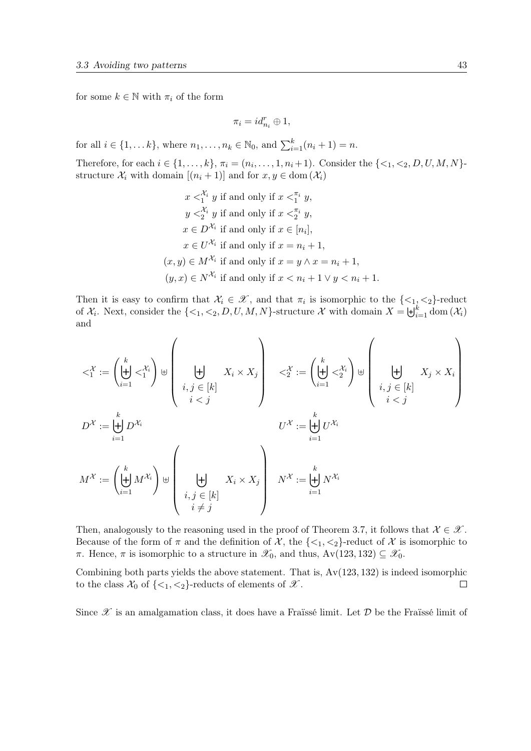for some  $k \in \mathbb{N}$  with  $\pi_i$  of the form

$$
\pi_i=id_{n_i}^r\oplus 1,
$$

for all  $i \in \{1, ..., k\}$ , where  $n_1, ..., n_k \in \mathbb{N}_0$ , and  $\sum_{i=1}^k (n_i + 1) = n$ .

Therefore, for each  $i \in \{1, ..., k\}$ ,  $\pi_i = (n_i, ..., 1, n_i + 1)$ . Consider the  $\{<_1, <_2, D, U, M, N\}$ structure  $\mathcal{X}_i$  with domain  $[(n_i + 1)]$  and for  $x, y \in \text{dom}(\mathcal{X}_i)$ 

$$
x <_{1}^{\mathcal{X}_{i}} y
$$
 if and only if  $x <_{1}^{\pi_{i}} y$ ,  
\n $y <_{2}^{\mathcal{X}_{i}} y$  if and only if  $x <_{2}^{\pi_{i}} y$ ,  
\n $x \in D^{\mathcal{X}_{i}}$  if and only if  $x \in [n_{i}]$ ,  
\n $x \in U^{\mathcal{X}_{i}}$  if and only if  $x = n_{i} + 1$ ,  
\n $(x, y) \in M^{\mathcal{X}_{i}}$  if and only if  $x = y \land x = n_{i} + 1$ ,  
\n $(y, x) \in N^{\mathcal{X}_{i}}$  if and only if  $x < n_{i} + 1 \lor y < n_{i} + 1$ .

Then it is easy to confirm that  $\mathcal{X}_i \in \mathcal{X}$ , and that  $\pi_i$  is isomorphic to the  $\{\leq_1, \leq_2\}$ -reduct of  $\mathcal{X}_i$ . Next, consider the  $\{<_1, <_2, D, U, M, N\}$ -structure  $\mathcal{X}$  with domain  $X = \biguplus_{i=1}^k \text{dom}(\mathcal{X}_i)$ and

$$
\langle \lambda_i^{\mathcal{X}} \coloneqq \left( \biguplus_{i=1}^k \langle \lambda_i^{\mathcal{X}_i} \rangle \right) \uplus \left( \biguplus_{i,j \in [k]} X_i \times X_j \right) \langle \lambda_i^{\mathcal{X}} \coloneqq \left( \biguplus_{i=1}^k \langle \lambda_i^{\mathcal{X}_i} \rangle \right) \uplus \left( \biguplus_{i,j \in [k]} X_j \times X_i \right)
$$
\n
$$
D^{\mathcal{X}} \coloneqq \biguplus_{i=1}^k D^{\mathcal{X}_i} \qquad U^{\mathcal{X}} \coloneqq \biguplus_{i=1}^k U^{\mathcal{X}_i}
$$
\n
$$
M^{\mathcal{X}} \coloneqq \left( \biguplus_{i=1}^k M^{\mathcal{X}_i} \right) \uplus \left( \biguplus_{i,j \in [k]} X_i \times X_j \right) \qquad N^{\mathcal{X}} \coloneqq \biguplus_{i=1}^k N^{\mathcal{X}_i}
$$

Then, analogously to the reasoning used in the proof of Theorem [3.7,](#page-34-0) it follows that  $\mathcal{X} \in \mathcal{X}$ . Because of the form of  $\pi$  and the definition of X, the  $\{\leq_1, \leq_2\}$ -reduct of X is isomorphic to π. Hence, π is isomorphic to a structure in  $\mathscr{X}_0$ , and thus, Av(123, 132)  $\subseteq \mathscr{X}_0$ .

Combining both parts yields the above statement. That is,  $Av(123, 132)$  is indeed isomorphic to the class  $\mathcal{X}_0$  of  $\{\langle 1, \langle 2 \rangle\}$ -reducts of elements of  $\mathcal{X}$ .  $\Box$ 

Since  $\mathscr X$  is an amalgamation class, it does have a Fraïssé limit. Let  $\mathcal D$  be the Fraïssé limit of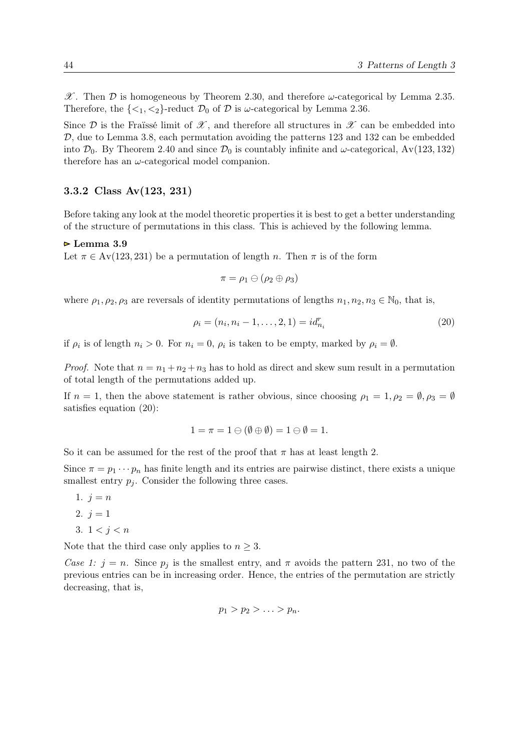<span id="page-43-0"></span> $\mathscr{X}$ . Then  $\mathcal D$  is homogeneous by Theorem [2.30,](#page-23-0) and therefore  $\omega$ -categorical by Lemma [2.35.](#page-25-0) Therefore, the  $\{\langle 1, \langle 2 \rangle\}$ -reduct  $\mathcal{D}_0$  of  $\mathcal D$  is  $\omega$ -categorical by Lemma [2.36.](#page-25-0)

Since  $\mathcal D$  is the Fraïssé limit of  $\mathscr X$ , and therefore all structures in  $\mathscr X$  can be embedded into  $\mathcal{D}$ , due to Lemma [3.8,](#page-41-0) each permutation avoiding the patterns 123 and 132 can be embedded into  $\mathcal{D}_0$ . By Theorem [2.40](#page-26-0) and since  $\mathcal{D}_0$  is countably infinite and  $\omega$ -categorical, Av(123, 132) therefore has an  $\omega$ -categorical model companion.

## 3.3.2 Class Av(123, 231)

Before taking any look at the model theoretic properties it is best to get a better understanding of the structure of permutations in this class. This is achieved by the following lemma.

#### Lemma 3.9

Let  $\pi \in Av(123, 231)$  be a permutation of length n. Then  $\pi$  is of the form

$$
\pi=\rho_1\ominus(\rho_2\oplus\rho_3)
$$

where  $\rho_1, \rho_2, \rho_3$  are reversals of identity permutations of lengths  $n_1, n_2, n_3 \in \mathbb{N}_0$ , that is,

$$
\rho_i = (n_i, n_i - 1, \dots, 2, 1) = id_{n_i}^r \tag{20}
$$

if  $\rho_i$  is of length  $n_i > 0$ . For  $n_i = 0$ ,  $\rho_i$  is taken to be empty, marked by  $\rho_i = \emptyset$ .

*Proof.* Note that  $n = n_1 + n_2 + n_3$  has to hold as direct and skew sum result in a permutation of total length of the permutations added up.

If  $n = 1$ , then the above statement is rather obvious, since choosing  $\rho_1 = 1, \rho_2 = \emptyset, \rho_3 = \emptyset$ satisfies equation (20):

$$
1 = \pi = 1 \oplus (\emptyset \oplus \emptyset) = 1 \oplus \emptyset = 1.
$$

So it can be assumed for the rest of the proof that  $\pi$  has at least length 2.

Since  $\pi = p_1 \cdots p_n$  has finite length and its entries are pairwise distinct, there exists a unique smallest entry  $p_j$ . Consider the following three cases.

- 1.  $j = n$ 2.  $i = 1$
- 3.  $1 < i < n$

Note that the third case only applies to  $n \geq 3$ .

Case 1:  $j = n$ . Since  $p_j$  is the smallest entry, and  $\pi$  avoids the pattern 231, no two of the previous entries can be in increasing order. Hence, the entries of the permutation are strictly decreasing, that is,

$$
p_1 > p_2 > \ldots > p_n.
$$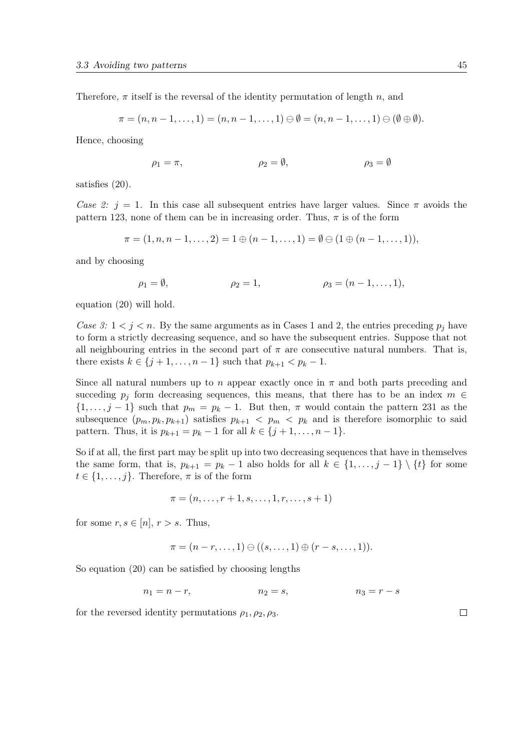Therefore,  $\pi$  itself is the reversal of the identity permutation of length n, and

$$
\pi=(n,n-1,\ldots,1)=(n,n-1,\ldots,1)\ominus\emptyset=(n,n-1,\ldots,1)\ominus(\emptyset\oplus\emptyset).
$$

Hence, choosing

$$
\rho_1 = \pi, \qquad \qquad \rho_2 = \emptyset, \qquad \qquad \rho_3 = \emptyset
$$

satisfies [\(20\)](#page-43-0).

Case 2:  $j = 1$ . In this case all subsequent entries have larger values. Since  $\pi$  avoids the pattern 123, none of them can be in increasing order. Thus,  $\pi$  is of the form

$$
\pi = (1, n, n-1, \ldots, 2) = 1 \oplus (n-1, \ldots, 1) = \emptyset \oplus (1 \oplus (n-1, \ldots, 1)),
$$

and by choosing

$$
\rho_1 = \emptyset,
$$
\n $\rho_2 = 1,$ \n $\rho_3 = (n - 1, ..., 1),$ 

equation [\(20\)](#page-43-0) will hold.

Case 3:  $1 < j < n$ . By the same arguments as in Cases 1 and 2, the entries preceding  $p_j$  have to form a strictly decreasing sequence, and so have the subsequent entries. Suppose that not all neighbouring entries in the second part of  $\pi$  are consecutive natural numbers. That is, there exists  $k \in \{j+1, ..., n-1\}$  such that  $p_{k+1} < p_k - 1$ .

Since all natural numbers up to n appear exactly once in  $\pi$  and both parts preceding and succeding  $p_i$  form decreasing sequences, this means, that there has to be an index  $m \in$  $\{1,\ldots,j-1\}$  such that  $p_m = p_k - 1$ . But then,  $\pi$  would contain the pattern 231 as the subsequence  $(p_m, p_k, p_{k+1})$  satisfies  $p_{k+1} < p_m < p_k$  and is therefore isomorphic to said pattern. Thus, it is  $p_{k+1} = p_k - 1$  for all  $k \in \{j+1, ..., n-1\}$ .

So if at all, the first part may be split up into two decreasing sequences that have in themselves the same form, that is,  $p_{k+1} = p_k - 1$  also holds for all  $k \in \{1, \ldots, j-1\} \setminus \{t\}$  for some  $t \in \{1, \ldots, j\}$ . Therefore,  $\pi$  is of the form

$$
\pi = (n, \ldots, r+1, s, \ldots, 1, r, \ldots, s+1)
$$

for some  $r, s \in [n], r > s$ . Thus,

$$
\pi = (n - r, \ldots, 1) \oplus ((s, \ldots, 1) \oplus (r - s, \ldots, 1)).
$$

So equation [\(20\)](#page-43-0) can be satisfied by choosing lengths

 $n_1 = n - r,$   $n_2 = s,$   $n_3 = r - s$ 

for the reversed identity permutations  $\rho_1, \rho_2, \rho_3$ .

 $\Box$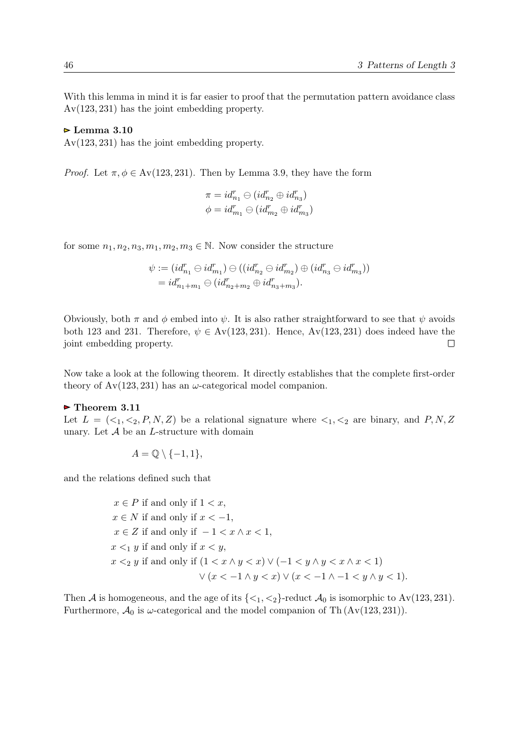With this lemma in mind it is far easier to proof that the permutation pattern avoidance class Av(123, 231) has the joint embedding property.

### $\triangleright$  Lemma 3.10

Av(123, 231) has the joint embedding property.

*Proof.* Let  $\pi, \phi \in Av(123, 231)$ . Then by Lemma [3.9,](#page-43-0) they have the form

$$
\pi = id_{n_1}^r \ominus (id_{n_2}^r \oplus id_{n_3}^r)
$$
  

$$
\phi = id_{m_1}^r \ominus (id_{m_2}^r \oplus id_{m_3}^r)
$$

for some  $n_1, n_2, n_3, m_1, m_2, m_3 \in \mathbb{N}$ . Now consider the structure

$$
\psi := (id_{n_1}^r \oplus id_{m_1}^r) \oplus ((id_{n_2}^r \oplus id_{m_2}^r) \oplus (id_{n_3}^r \oplus id_{m_3}^r))
$$
  
=  $id_{n_1+m_1}^r \oplus (id_{n_2+m_2}^r \oplus id_{n_3+m_3}^r).$ 

Obviously, both  $\pi$  and  $\phi$  embed into  $\psi$ . It is also rather straightforward to see that  $\psi$  avoids both 123 and 231. Therefore,  $\psi \in Av(123, 231)$ . Hence,  $Av(123, 231)$  does indeed have the joint embedding property.  $\Box$ 

Now take a look at the following theorem. It directly establishes that the complete first-order theory of  $Av(123, 231)$  has an  $\omega$ -categorical model companion.

### $\triangleright$  Theorem 3.11

Let  $L = \langle \langle 1, \langle 2, P, N, Z \rangle \rangle$  be a relational signature where  $\langle 1, \langle 2 \rangle$  are binary, and P, N, Z unary. Let  $A$  be an  $L$ -structure with domain

$$
A = \mathbb{Q} \setminus \{-1, 1\},\
$$

and the relations defined such that

$$
x \in P
$$
 if and only if  $1 < x$ ,  $x \in N$  if and only if  $x < -1$ ,  $x \in Z$  if and only if  $-1 < x \wedge x < 1$ ,  $x <_1 y$  if and only if  $x < y$ ,  $x <_2 y$  if and only if  $(1 < x \wedge y < x) \vee (-1 < y \wedge y < x \wedge x < 1)$   $\vee (x < -1 \wedge y < x) \vee (x < -1 \wedge -1 < y \wedge y < 1).$ 

Then A is homogeneous, and the age of its  $\{\langle 1, \langle 2 \rangle\}$ -reduct  $\mathcal{A}_0$  is isomorphic to  $Av(123, 231)$ . Furthermore,  $\mathcal{A}_0$  is  $\omega$ -categorical and the model companion of Th (Av(123, 231)).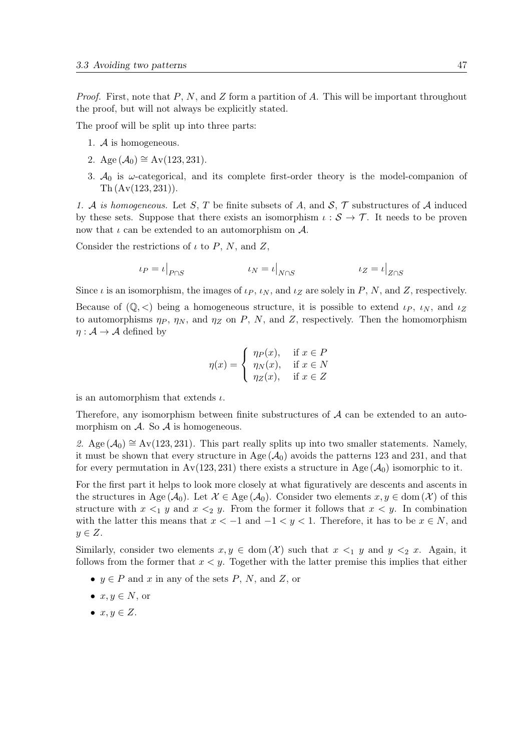*Proof.* First, note that P, N, and Z form a partition of A. This will be important throughout the proof, but will not always be explicitly stated.

The proof will be split up into three parts:

- 1. A is homogeneous.
- 2. Age  $(\mathcal{A}_0) \cong Av(123, 231)$ .
- 3.  $\mathcal{A}_0$  is  $\omega$ -categorical, and its complete first-order theory is the model-companion of  $\text{Th}(\text{Av}(123, 231))$

1. A is homogeneous. Let S, T be finite subsets of A, and  $S$ ,  $\mathcal T$  substructures of A induced by these sets. Suppose that there exists an isomorphism  $\iota : \mathcal{S} \to \mathcal{T}$ . It needs to be proven now that  $\iota$  can be extended to an automorphism on  $\mathcal{A}$ .

Consider the restrictions of  $\iota$  to P, N, and Z,

$$
\iota_P = \iota|_{P \cap S} \qquad \qquad \iota_N = \iota|_{N \cap S} \qquad \qquad \iota_Z = \iota|_{Z \cap S}
$$

Since  $\iota$  is an isomorphism, the images of  $\iota_P$ ,  $\iota_N$ , and  $\iota_Z$  are solely in P, N, and Z, respectively.

Because of  $(\mathbb{Q}, \leq)$  being a homogeneous structure, it is possible to extend  $\iota_P$ ,  $\iota_N$ , and  $\iota_Z$ to automorphisms  $\eta_P$ ,  $\eta_N$ , and  $\eta_Z$  on P, N, and Z, respectively. Then the homomorphism  $\eta : \mathcal{A} \to \mathcal{A}$  defined by

$$
\eta(x) = \begin{cases} \eta_P(x), & \text{if } x \in P \\ \eta_N(x), & \text{if } x \in N \\ \eta_Z(x), & \text{if } x \in Z \end{cases}
$$

is an automorphism that extends  $\iota$ .

Therefore, any isomorphism between finite substructures of  $A$  can be extended to an automorphism on  $A$ . So  $A$  is homogeneous.

2. Age ( $A_0$ ) ≅ Av(123, 231). This part really splits up into two smaller statements. Namely, it must be shown that every structure in Age  $(\mathcal{A}_0)$  avoids the patterns 123 and 231, and that for every permutation in  $Av(123, 231)$  there exists a structure in Age  $(\mathcal{A}_0)$  isomorphic to it.

For the first part it helps to look more closely at what figuratively are descents and ascents in the structures in Age ( $A_0$ ). Let  $\mathcal{X} \in \text{Age}(\mathcal{A}_0)$ . Consider two elements  $x, y \in \text{dom}(\mathcal{X})$  of this structure with  $x \leq_1 y$  and  $x \leq_2 y$ . From the former it follows that  $x \leq y$ . In combination with the latter this means that  $x < -1$  and  $-1 < y < 1$ . Therefore, it has to be  $x \in N$ , and  $y \in Z$ .

Similarly, consider two elements  $x, y \in \text{dom}(\mathcal{X})$  such that  $x \leq_1 y$  and  $y \leq_2 x$ . Again, it follows from the former that  $x < y$ . Together with the latter premise this implies that either

- $y \in P$  and x in any of the sets P, N, and Z, or
- $x, y \in N$ , or
- $x, y \in Z$ .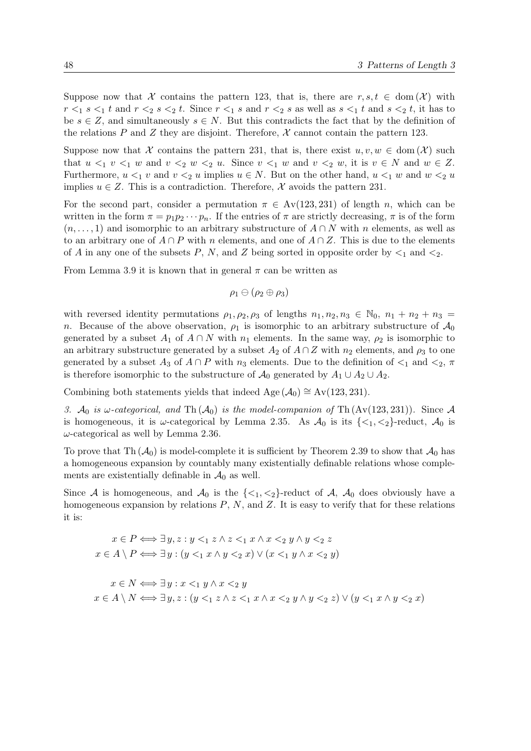Suppose now that X contains the pattern 123, that is, there are  $r, s, t \in \text{dom}(\mathcal{X})$  with  $r <_1 s <_1 t$  and  $r <_2 s <_2 t$ . Since  $r <_1 s$  and  $r <_2 s$  as well as  $s <_1 t$  and  $s <_2 t$ , it has to be  $s \in \mathbb{Z}$ , and simultaneously  $s \in \mathbb{N}$ . But this contradicts the fact that by the definition of the relations P and Z they are disjoint. Therefore,  $\mathcal X$  cannot contain the pattern 123.

Suppose now that X contains the pattern 231, that is, there exist  $u, v, w \in \text{dom}(\mathcal{X})$  such that  $u \leq_1 v \leq_1 w$  and  $v \leq_2 w \leq_2 u$ . Since  $v \leq_1 w$  and  $v \leq_2 w$ , it is  $v \in N$  and  $w \in Z$ . Furthermore,  $u <_1 v$  and  $v <_2 u$  implies  $u \in N$ . But on the other hand,  $u <_1 w$  and  $w <_2 u$ implies  $u \in Z$ . This is a contradiction. Therefore, X avoids the pattern 231.

For the second part, consider a permutation  $\pi \in Av(123, 231)$  of length n, which can be written in the form  $\pi = p_1p_2\cdots p_n$ . If the entries of  $\pi$  are strictly decreasing,  $\pi$  is of the form  $(n, \ldots, 1)$  and isomorphic to an arbitrary substructure of  $A \cap N$  with n elements, as well as to an arbitrary one of  $A \cap P$  with n elements, and one of  $A \cap Z$ . This is due to the elements of A in any one of the subsets P, N, and Z being sorted in opposite order by  $\leq_1$  and  $\leq_2$ .

From Lemma [3.9](#page-43-0) it is known that in general  $\pi$  can be written as

$$
\rho_1 \ominus (\rho_2 \oplus \rho_3)
$$

with reversed identity permutations  $\rho_1, \rho_2, \rho_3$  of lengths  $n_1, n_2, n_3 \in \mathbb{N}_0$ ,  $n_1 + n_2 + n_3 =$ n. Because of the above observation,  $\rho_1$  is isomorphic to an arbitrary substructure of  $\mathcal{A}_0$ generated by a subset  $A_1$  of  $A \cap N$  with  $n_1$  elements. In the same way,  $\rho_2$  is isomorphic to an arbitrary substructure generated by a subset  $A_2$  of  $A \cap Z$  with  $n_2$  elements, and  $\rho_3$  to one generated by a subset  $A_3$  of  $A \cap P$  with  $n_3$  elements. Due to the definition of  $\lt_1$  and  $\lt_2$ ,  $\pi$ is therefore isomorphic to the substructure of  $\mathcal{A}_0$  generated by  $A_1 \cup A_2 \cup A_2$ .

Combining both statements yields that indeed Age  $(\mathcal{A}_0) \cong Av(123, 231)$ .

3.  $\mathcal{A}_0$  is  $\omega$ -categorical, and Th $(\mathcal{A}_0)$  is the model-companion of Th $(\text{Av}(123, 231))$ . Since A is homogeneous, it is  $\omega$ -categorical by Lemma [2.35.](#page-25-0) As  $\mathcal{A}_0$  is its  $\{<_1, <_2\}$ -reduct,  $\mathcal{A}_0$  is  $\omega$ -categorical as well by Lemma [2.36.](#page-25-0)

To prove that Th  $(\mathcal{A}_0)$  is model-complete it is sufficient by Theorem [2.39](#page-25-0) to show that  $\mathcal{A}_0$  has a homogeneous expansion by countably many existentially definable relations whose complements are existentially definable in  $\mathcal{A}_0$  as well.

Since A is homogeneous, and  $\mathcal{A}_0$  is the  $\{\langle 1, \langle 2 \rangle\}$ -reduct of A,  $\mathcal{A}_0$  does obviously have a homogeneous expansion by relations  $P$ ,  $N$ , and  $Z$ . It is easy to verify that for these relations it is:

$$
x \in P \Longleftrightarrow \exists y, z : y \leq_1 z \land z \leq_1 x \land x \leq_2 y \land y \leq_2 z
$$

$$
x \in A \setminus P \Longleftrightarrow \exists y : (y \leq_1 x \land y \leq_2 x) \lor (x \leq_1 y \land x \leq_2 y)
$$

 $x \in N \Longleftrightarrow \exists y : x \leq_1 y \land x \leq_2 y$  $x \in A \setminus N \Longleftrightarrow \exists y, z : (y \leq_1 z \land z \leq_1 x \land x \leq_2 y \land y \leq_2 z) \lor (y \leq_1 x \land y \leq_2 x)$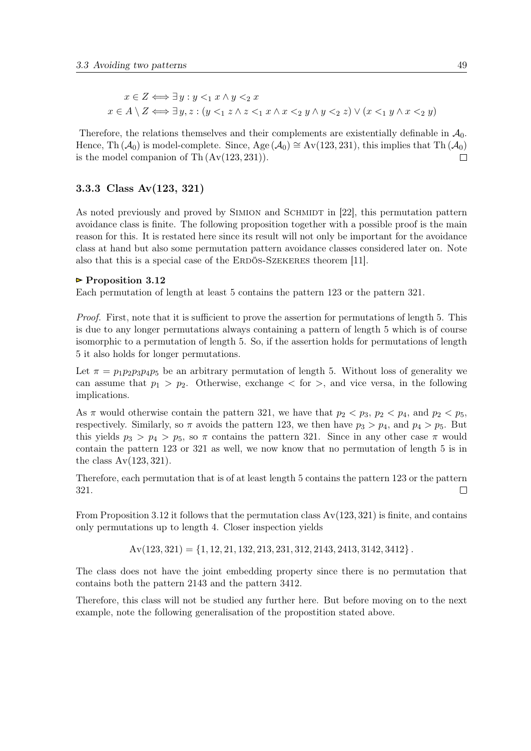<span id="page-48-0"></span>
$$
x \in Z \iff \exists y : y <_1 x \land y <_2 x
$$
\n
$$
x \in A \setminus Z \iff \exists y, z : (y <_1 z \land z <_1 x \land x <_2 y \land y <_2 z) \lor (x <_1 y \land x <_2 y)
$$

Therefore, the relations themselves and their complements are existentially definable in  $\mathcal{A}_0$ . Hence, Th ( $\mathcal{A}_0$ ) is model-complete. Since, Age ( $\mathcal{A}_0 \cong Av(123, 231)$ , this implies that Th ( $\mathcal{A}_0$ ) is the model companion of Th $(Av(123, 231))$ .  $\Box$ 

## 3.3.3 Class Av(123, 321)

As noted previously and proved by SIMION and SCHMIDT in [\[22\]](#page-91-0), this permutation pattern avoidance class is finite. The following proposition together with a possible proof is the main reason for this. It is restated here since its result will not only be important for the avoidance class at hand but also some permutation pattern avoidance classes considered later on. Note also that this is a special case of the ERDÖS-SZEKERES theorem [\[11\]](#page-90-0).

#### $\triangleright$  Proposition 3.12

Each permutation of length at least 5 contains the pattern 123 or the pattern 321.

Proof. First, note that it is sufficient to prove the assertion for permutations of length 5. This is due to any longer permutations always containing a pattern of length 5 which is of course isomorphic to a permutation of length 5. So, if the assertion holds for permutations of length 5 it also holds for longer permutations.

Let  $\pi = p_1p_2p_3p_4p_5$  be an arbitrary permutation of length 5. Without loss of generality we can assume that  $p_1 > p_2$ . Otherwise, exchange  $\lt$  for  $\gt$ , and vice versa, in the following implications.

As  $\pi$  would otherwise contain the pattern 321, we have that  $p_2 < p_3$ ,  $p_2 < p_4$ , and  $p_2 < p_5$ , respectively. Similarly, so  $\pi$  avoids the pattern 123, we then have  $p_3 > p_4$ , and  $p_4 > p_5$ . But this yields  $p_3 > p_4 > p_5$ , so  $\pi$  contains the pattern 321. Since in any other case  $\pi$  would contain the pattern 123 or 321 as well, we now know that no permutation of length 5 is in the class  $Av(123, 321)$ .

Therefore, each permutation that is of at least length 5 contains the pattern 123 or the pattern 321.  $\Box$ 

From Proposition 3.12 it follows that the permutation class  $Av(123, 321)$  is finite, and contains only permutations up to length 4. Closer inspection yields

 $Av(123, 321) = \{1, 12, 21, 132, 213, 231, 312, 2143, 2413, 3142, 3412\}$ .

The class does not have the joint embedding property since there is no permutation that contains both the pattern 2143 and the pattern 3412.

Therefore, this class will not be studied any further here. But before moving on to the next example, note the following generalisation of the propostition stated above.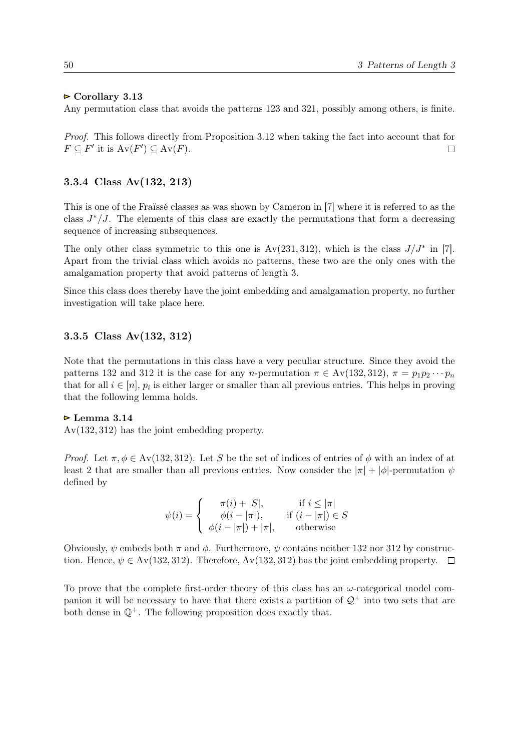### $\triangleright$  Corollary 3.13

Any permutation class that avoids the patterns 123 and 321, possibly among others, is finite.

Proof. This follows directly from Proposition [3.12](#page-48-0) when taking the fact into account that for  $F \subseteq F'$  it is  $Av(F') \subseteq Av(F)$ .  $\Box$ 

## 3.3.4 Class Av(132, 213)

This is one of the Fraïssé classes as was shown by Cameron in [\[7\]](#page-90-0) where it is referred to as the class  $J^*/J$ . The elements of this class are exactly the permutations that form a decreasing sequence of increasing subsequences.

The only other class symmetric to this one is  $Av(231, 312)$ , which is the class  $J/J^*$  in [\[7\]](#page-90-0). Apart from the trivial class which avoids no patterns, these two are the only ones with the amalgamation property that avoid patterns of length 3.

Since this class does thereby have the joint embedding and amalgamation property, no further investigation will take place here.

## 3.3.5 Class Av(132, 312)

Note that the permutations in this class have a very peculiar structure. Since they avoid the patterns 132 and 312 it is the case for any n-permutation  $\pi \in Av(132, 312)$ ,  $\pi = p_1p_2 \cdots p_n$ that for all  $i \in [n]$ ,  $p_i$  is either larger or smaller than all previous entries. This helps in proving that the following lemma holds.

### $\triangleright$  Lemma 3.14

Av(132, 312) has the joint embedding property.

*Proof.* Let  $\pi, \phi \in Av(132, 312)$ . Let S be the set of indices of entries of  $\phi$  with an index of at least 2 that are smaller than all previous entries. Now consider the  $|\pi| + |\phi|$ -permutation  $\psi$ defined by

$$
\psi(i) = \begin{cases}\n\pi(i) + |S|, & \text{if } i \leq |\pi| \\
\phi(i - |\pi|), & \text{if } (i - |\pi|) \in S \\
\phi(i - |\pi|) + |\pi|, & \text{otherwise}\n\end{cases}
$$

Obviously,  $\psi$  embeds both  $\pi$  and  $\phi$ . Furthermore,  $\psi$  contains neither 132 nor 312 by construction. Hence,  $\psi \in Av(132, 312)$ . Therefore,  $Av(132, 312)$  has the joint embedding property.  $\square$ 

To prove that the complete first-order theory of this class has an  $\omega$ -categorical model companion it will be necessary to have that there exists a partition of  $\mathcal{Q}^+$  into two sets that are both dense in  $\mathbb{Q}^+$ . The following proposition does exactly that.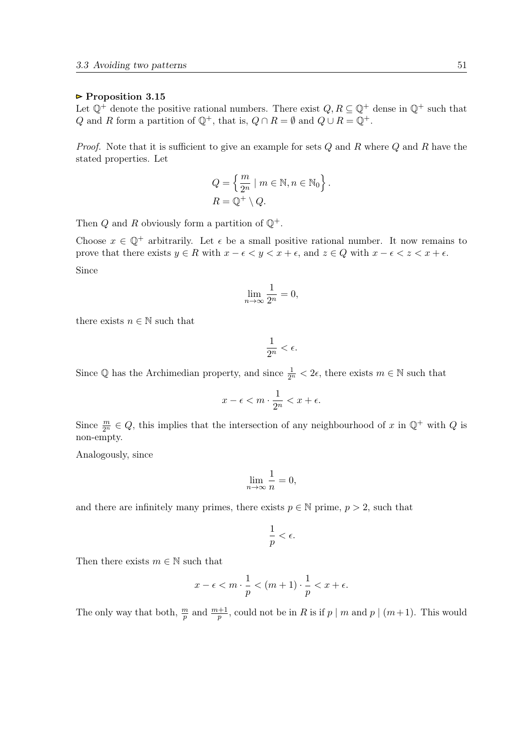### $\triangleright$  Proposition 3.15

Let  $\mathbb{Q}^+$  denote the positive rational numbers. There exist  $Q, R \subseteq \mathbb{Q}^+$  dense in  $\mathbb{Q}^+$  such that Q and R form a partition of  $\mathbb{Q}^+$ , that is,  $Q \cap R = \emptyset$  and  $Q \cup R = \mathbb{Q}^+$ .

*Proof.* Note that it is sufficient to give an example for sets  $Q$  and  $R$  where  $Q$  and  $R$  have the stated properties. Let

$$
Q = \left\{ \frac{m}{2^n} \mid m \in \mathbb{N}, n \in \mathbb{N}_0 \right\}.
$$
  

$$
R = \mathbb{Q}^+ \setminus Q.
$$

Then  $Q$  and  $R$  obviously form a partition of  $\mathbb{Q}^+$ .

Choose  $x \in \mathbb{Q}^+$  arbitrarily. Let  $\epsilon$  be a small positive rational number. It now remains to prove that there exists  $y \in R$  with  $x - \epsilon < y < x + \epsilon$ , and  $z \in Q$  with  $x - \epsilon < z < x + \epsilon$ . Since

$$
\lim_{n \to \infty} \frac{1}{2^n} = 0,
$$

there exists  $n \in \mathbb{N}$  such that

$$
\frac{1}{2^n} < \epsilon.
$$

Since  $\mathbb Q$  has the Archimedian property, and since  $\frac{1}{2^n} < 2\epsilon$ , there exists  $m \in \mathbb N$  such that

$$
x - \epsilon < m \cdot \frac{1}{2^n} < x + \epsilon.
$$

Since  $\frac{m}{2^n} \in Q$ , this implies that the intersection of any neighbourhood of x in  $\mathbb{Q}^+$  with Q is non-empty.

Analogously, since

$$
\lim_{n \to \infty} \frac{1}{n} = 0,
$$

and there are infinitely many primes, there exists  $p \in \mathbb{N}$  prime,  $p > 2$ , such that

$$
\frac{1}{p} < \epsilon.
$$

Then there exists  $m \in \mathbb{N}$  such that

$$
x - \epsilon < m \cdot \frac{1}{p} < (m+1) \cdot \frac{1}{p} < x + \epsilon.
$$

The only way that both,  $\frac{m}{p}$  and  $\frac{m+1}{p}$ , could not be in R is if  $p \mid m$  and  $p \mid (m+1)$ . This would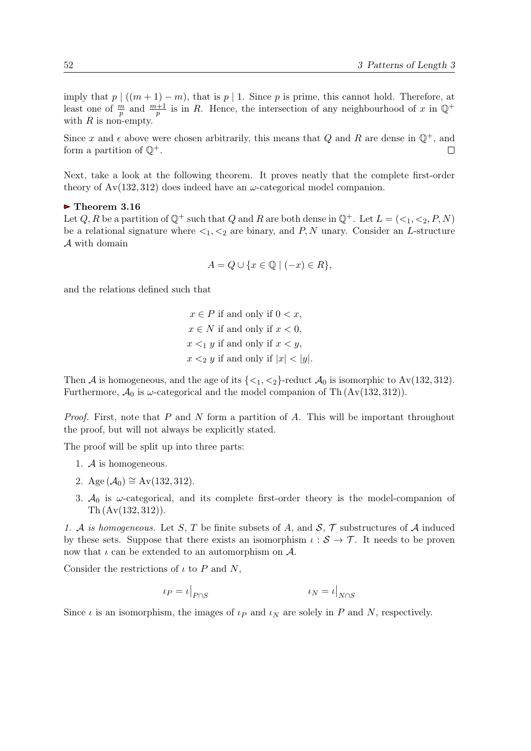imply that  $p \mid ((m+1)-m)$ , that is  $p \mid 1$ . Since p is prime, this cannot hold. Therefore, at least one of  $\frac{m}{p}$  and  $\frac{m+1}{p}$  is in R. Hence, the intersection of any neighbourhood of x in  $\mathbb{Q}^+$ with  $R$  is non-empty.

Since x and  $\epsilon$  above were chosen arbitrarily, this means that Q and R are dense in  $\mathbb{Q}^+$ , and form a partition of  $\mathbb{Q}^+$ .  $\Box$ 

Next, take a look at the following theorem. It proves neatly that the complete first-order theory of  $Av(132, 312)$  does indeed have an  $\omega$ -categorical model companion.

#### $\triangleright$  Theorem 3.16

Let Q, R be a partition of  $\mathbb{Q}^+$  such that Q and R are both dense in  $\mathbb{Q}^+$ . Let  $L = \{ \leq_1, \leq_2, P, N \}$ be a relational signature where  $\lt_1, \lt_2$  are binary, and P, N unary. Consider an L-structure A with domain

$$
A = Q \cup \{x \in \mathbb{Q} \mid (-x) \in R\},\
$$

and the relations defined such that

 $x \in P$  if and only if  $0 < x$ ,  $x \in N$  if and only if  $x < 0$ .  $x \leq_1 y$  if and only if  $x \leq y$ ,  $x \leq_2 y$  if and only if  $|x| \leq |y|$ .

Then A is homogeneous, and the age of its  $\{\langle 1, \langle 2 \rangle\}$ -reduct  $\mathcal{A}_0$  is isomorphic to Av(132, 312). Furthermore,  $\mathcal{A}_0$  is  $\omega$ -categorical and the model companion of Th  $(Av(132, 312))$ .

*Proof.* First, note that P and N form a partition of A. This will be important throughout the proof, but will not always be explicitly stated.

The proof will be split up into three parts:

- 1. A is homogeneous.
- 2. Age  $(\mathcal{A}_0) \cong Av(132, 312)$ .
- 3.  $A_0$  is  $\omega$ -categorical, and its complete first-order theory is the model-companion of Th (Av(132, 312)).

1. A is homogeneous. Let S, T be finite subsets of A, and  $S$ ,  $\mathcal{T}$  substructures of A induced by these sets. Suppose that there exists an isomorphism  $\iota : \mathcal{S} \to \mathcal{T}$ . It needs to be proven now that  $\iota$  can be extended to an automorphism on  $\mathcal{A}$ .

Consider the restrictions of  $\iota$  to P and N,

$$
\iota_P = \iota|_{P \cap S} \qquad \qquad \iota_N = \iota|_{N \cap S}
$$

Since  $\iota$  is an isomorphism, the images of  $\iota_P$  and  $\iota_N$  are solely in P and N, respectively.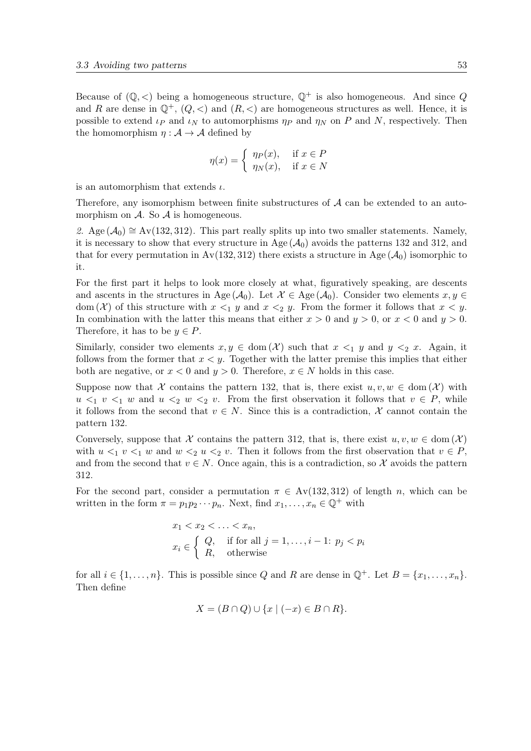Because of  $(\mathbb{Q}, \leq)$  being a homogeneous structure,  $\mathbb{Q}^+$  is also homogeneous. And since Q and R are dense in  $\mathbb{Q}^+$ ,  $(Q, \leq)$  and  $(R, \leq)$  are homogeneous structures as well. Hence, it is possible to extend  $\iota_P$  and  $\iota_N$  to automorphisms  $\eta_P$  and  $\eta_N$  on P and N, respectively. Then the homomorphism  $\eta : \mathcal{A} \to \mathcal{A}$  defined by

$$
\eta(x) = \begin{cases} \eta_P(x), & \text{if } x \in P \\ \eta_N(x), & \text{if } x \in N \end{cases}
$$

is an automorphism that extends  $\iota$ .

Therefore, any isomorphism between finite substructures of  $A$  can be extended to an automorphism on  $\mathcal A$ . So  $\mathcal A$  is homogeneous.

2. Age ( $\mathcal{A}_0$ ) ≅ Av(132, 312). This part really splits up into two smaller statements. Namely, it is necessary to show that every structure in Age  $(\mathcal{A}_0)$  avoids the patterns 132 and 312, and that for every permutation in Av(132, 312) there exists a structure in Age  $(\mathcal{A}_0)$  isomorphic to it.

For the first part it helps to look more closely at what, figuratively speaking, are descents and ascents in the structures in Age ( $A_0$ ). Let  $\mathcal{X} \in \text{Age}(\mathcal{A}_0)$ . Consider two elements  $x, y \in$ dom  $(X)$  of this structure with  $x \leq_1 y$  and  $x \leq_2 y$ . From the former it follows that  $x \leq y$ . In combination with the latter this means that either  $x > 0$  and  $y > 0$ , or  $x < 0$  and  $y > 0$ . Therefore, it has to be  $y \in P$ .

Similarly, consider two elements  $x, y \in \text{dom}(\mathcal{X})$  such that  $x \leq_1 y$  and  $y \leq_2 x$ . Again, it follows from the former that  $x < y$ . Together with the latter premise this implies that either both are negative, or  $x < 0$  and  $y > 0$ . Therefore,  $x \in N$  holds in this case.

Suppose now that X contains the pattern 132, that is, there exist  $u, v, w \in \text{dom}(\mathcal{X})$  with  $u \leq_1 v \leq_1 w$  and  $u \leq_2 w \leq_2 v$ . From the first observation it follows that  $v \in P$ , while it follows from the second that  $v \in N$ . Since this is a contradiction, X cannot contain the pattern 132.

Conversely, suppose that X contains the pattern 312, that is, there exist  $u, v, w \in \text{dom}(\mathcal{X})$ with  $u \leq_1 v \leq_1 w$  and  $w \leq_2 u \leq_2 v$ . Then it follows from the first observation that  $v \in P$ , and from the second that  $v \in N$ . Once again, this is a contradiction, so X avoids the pattern 312.

For the second part, consider a permutation  $\pi \in Av(132, 312)$  of length n, which can be written in the form  $\pi = p_1p_2\cdots p_n$ . Next, find  $x_1,\ldots,x_n \in \mathbb{Q}^+$  with

$$
x_1 < x_2 < \ldots < x_n,
$$
\n
$$
x_i \in \begin{cases} Q, & \text{if for all } j = 1, \ldots, i-1; \ p_j < p_i \\ R, & \text{otherwise} \end{cases}
$$

for all  $i \in \{1, \ldots, n\}$ . This is possible since Q and R are dense in  $\mathbb{Q}^+$ . Let  $B = \{x_1, \ldots, x_n\}$ . Then define

$$
X = (B \cap Q) \cup \{x \mid (-x) \in B \cap R\}.
$$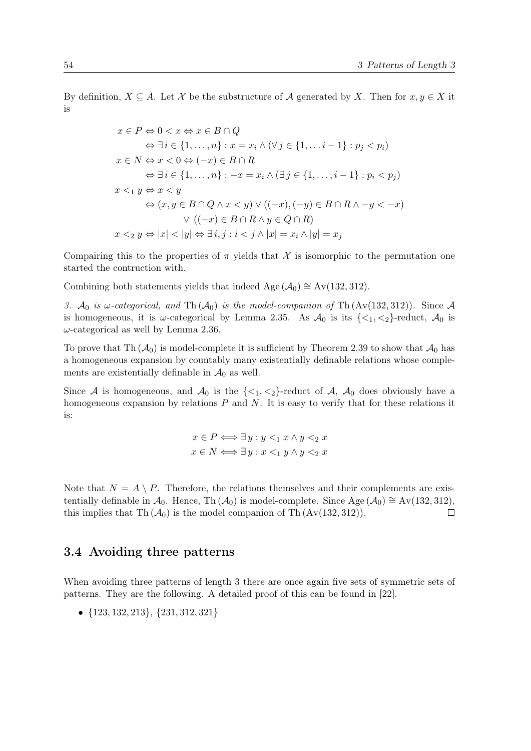By definition,  $X \subseteq A$ . Let X be the substructure of A generated by X. Then for  $x, y \in X$  it is

$$
x \in P \Leftrightarrow 0 < x \Leftrightarrow x \in B \cap Q
$$
\n
$$
\Leftrightarrow \exists i \in \{1, \ldots, n\} : x = x_i \land (\forall j \in \{1, \ldots, i-1\} : p_j < p_i)
$$
\n
$$
x \in N \Leftrightarrow x < 0 \Leftrightarrow (-x) \in B \cap R
$$
\n
$$
\Leftrightarrow \exists i \in \{1, \ldots, n\} : -x = x_i \land (\exists j \in \{1, \ldots, i-1\} : p_i < p_j)
$$
\n
$$
x <_1 y \Leftrightarrow x < y
$$
\n
$$
\Leftrightarrow (x, y \in B \cap Q \land x < y) \lor ((-x), (-y) \in B \cap R \land -y < -x)
$$
\n
$$
\lor ((-x) \in B \cap R \land y \in Q \cap R)
$$
\n
$$
x <_2 y \Leftrightarrow |x| < |y| \Leftrightarrow \exists i, j : i < j \land |x| = x_i \land |y| = x_j
$$

Compairing this to the properties of  $\pi$  yields that X is isomorphic to the permutation one started the contruction with.

Combining both statements yields that indeed Age  $(\mathcal{A}_0) \cong Av(132, 312)$ .

3. A<sub>0</sub> is  $\omega$ -categorical, and Th $(A_0)$  is the model-companion of Th $(Av(132, 312))$ . Since A is homogeneous, it is  $\omega$ -categorical by Lemma [2.35.](#page-25-0) As  $\mathcal{A}_0$  is its  $\{\langle 1, \langle 2 \rangle\}$ -reduct,  $\mathcal{A}_0$  is  $\omega$ -categorical as well by Lemma [2.36.](#page-25-0)

To prove that Th  $(\mathcal{A}_0)$  is model-complete it is sufficient by Theorem [2.39](#page-25-0) to show that  $\mathcal{A}_0$  has a homogeneous expansion by countably many existentially definable relations whose complements are existentially definable in  $\mathcal{A}_0$  as well.

Since A is homogeneous, and  $\mathcal{A}_0$  is the  $\{\langle 1, \langle 2 \rangle\}$ -reduct of A,  $\mathcal{A}_0$  does obviously have a homogeneous expansion by relations  $P$  and  $N$ . It is easy to verify that for these relations it is:

$$
x \in P \Longleftrightarrow \exists y : y <_1 x \land y <_2 x
$$
\n
$$
x \in N \Longleftrightarrow \exists y : x <_1 y \land y <_2 x
$$

Note that  $N = A \setminus P$ . Therefore, the relations themselves and their complements are existentially definable in  $\mathcal{A}_0$ . Hence, Th ( $\mathcal{A}_0$ ) is model-complete. Since Age ( $\mathcal{A}_0$ ) ≅ Av(132, 312), this implies that Th  $(A_0)$  is the model companion of Th  $(Av(132, 312))$ .  $\Box$ 

# 3.4 Avoiding three patterns

When avoiding three patterns of length 3 there are once again five sets of symmetric sets of patterns. They are the following. A detailed proof of this can be found in [\[22\]](#page-91-0).

• {123, 132, 213}, {231, 312, 321}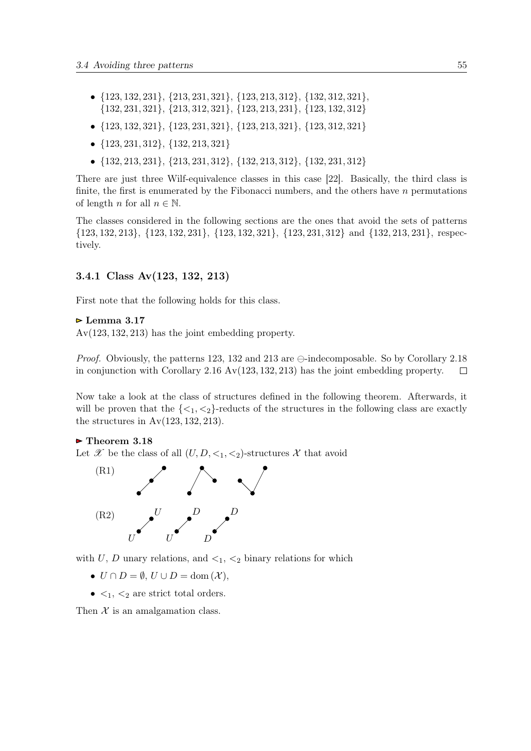- <span id="page-54-0"></span>• {123, 132, 231}, {213, 231, 321}, {123, 213, 312}, {132, 312, 321}, {132, 231, 321}, {213, 312, 321}, {123, 213, 231}, {123, 132, 312}
- {123, 132, 321}, {123, 231, 321}, {123, 213, 321}, {123, 312, 321}
- {123, 231, 312}, {132, 213, 321}
- {132, 213, 231}, {213, 231, 312}, {132, 213, 312}, {132, 231, 312}

There are just three Wilf-equivalence classes in this case [\[22\]](#page-91-0). Basically, the third class is finite, the first is enumerated by the Fibonacci numbers, and the others have  $n$  permutations of length n for all  $n \in \mathbb{N}$ .

The classes considered in the following sections are the ones that avoid the sets of patterns {123, 132, 213}, {123, 132, 231}, {123, 132, 321}, {123, 231, 312} and {132, 213, 231}, respectively.

## 3.4.1 Class Av(123, 132, 213)

First note that the following holds for this class.

## $\triangleright$  Lemma 3.17

Av(123, 132, 213) has the joint embedding property.

*Proof.* Obviously, the patterns 123, 132 and 213 are  $\ominus$ -indecomposable. So by Corollary [2.18](#page-18-0) in conjunction with Corollary [2.16](#page-17-0) Av(123, 132, 213) has the joint embedding property.  $\Box$ 

Now take a look at the class of structures defined in the following theorem. Afterwards, it will be proven that the  $\{\langle 1, \langle 2 \rangle\}$ -reducts of the structures in the following class are exactly the structures in  $Av(123, 132, 213)$ .

### $\triangleright$  Theorem 3.18

Let X be the class of all  $(U, D, \leq_1, \leq_2)$ -structures X that avoid



with U, D unary relations, and  $\lt_1$ ,  $\lt_2$  binary relations for which

- $U \cap D = \emptyset$ ,  $U \cup D = \text{dom}(\mathcal{X})$ ,
- $\lt_1$ ,  $\lt_2$  are strict total orders.

Then  $X$  is an amalgamation class.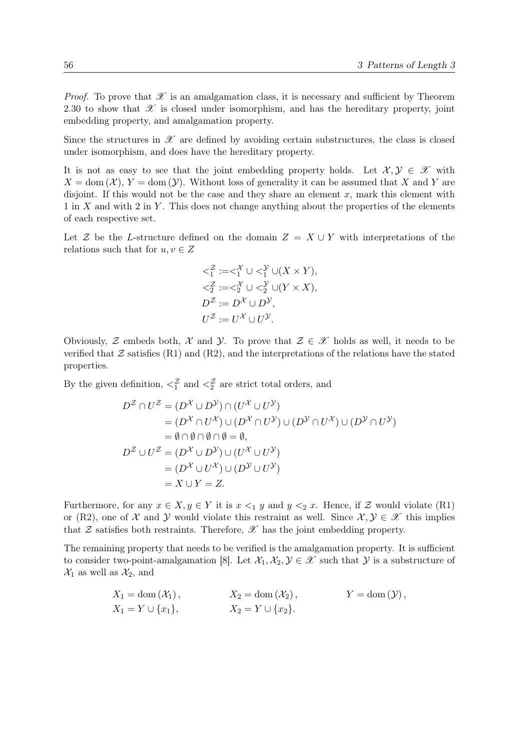*Proof.* To prove that  $\mathscr X$  is an amalgamation class, it is necessary and sufficient by Theorem [2.30](#page-23-0) to show that  $\mathscr X$  is closed under isomorphism, and has the hereditary property, joint embedding property, and amalgamation property.

Since the structures in  $\mathscr X$  are defined by avoiding certain substructures, the class is closed under isomorphism, and does have the hereditary property.

It is not as easy to see that the joint embedding property holds. Let  $\mathcal{X}, \mathcal{Y} \in \mathcal{X}$  with  $X = \text{dom}(\mathcal{X})$ ,  $Y = \text{dom}(\mathcal{Y})$ . Without loss of generality it can be assumed that X and Y are disjoint. If this would not be the case and they share an element  $x$ , mark this element with  $1$  in X and with  $2$  in Y. This does not change anything about the properties of the elements of each respective set.

Let Z be the L-structure defined on the domain  $Z = X \cup Y$  with interpretations of the relations such that for  $u, v \in Z$ 

$$
\begin{aligned}\n& <_1^{\mathcal{Z}} := <_1^{\mathcal{X}} \cup <_1^{\mathcal{Y}} \cup (X \times Y), \\
& <_2^{\mathcal{Z}} := <_2^{\mathcal{X}} \cup <_2^{\mathcal{Y}} \cup (Y \times X), \\
D^{\mathcal{Z}} := D^{\mathcal{X}} \cup D^{\mathcal{Y}}, \\
U^{\mathcal{Z}} := U^{\mathcal{X}} \cup U^{\mathcal{Y}}.\n\end{aligned}
$$

Obviously,  $\mathcal Z$  embeds both,  $\mathcal X$  and  $\mathcal Y$ . To prove that  $\mathcal Z \in \mathcal X$  holds as well, it needs to be verified that  $\mathcal Z$  satisfies ([R1\)](#page-54-0) and ([R2\)](#page-54-0), and the interpretations of the relations have the stated properties.

By the given definition,  $\langle \xi \rangle^2$  and  $\langle \xi \rangle^2$  are strict total orders, and

$$
D^{\mathcal{Z}} \cap U^{\mathcal{Z}} = (D^{\mathcal{X}} \cup D^{\mathcal{Y}}) \cap (U^{\mathcal{X}} \cup U^{\mathcal{Y}})
$$
  
\n
$$
= (D^{\mathcal{X}} \cap U^{\mathcal{X}}) \cup (D^{\mathcal{X}} \cap U^{\mathcal{Y}}) \cup (D^{\mathcal{Y}} \cap U^{\mathcal{X}}) \cup (D^{\mathcal{Y}} \cap U^{\mathcal{Y}})
$$
  
\n
$$
= \emptyset \cap \emptyset \cap \emptyset \cap \emptyset = \emptyset,
$$
  
\n
$$
D^{\mathcal{Z}} \cup U^{\mathcal{Z}} = (D^{\mathcal{X}} \cup D^{\mathcal{Y}}) \cup (U^{\mathcal{X}} \cup U^{\mathcal{Y}})
$$
  
\n
$$
= (D^{\mathcal{X}} \cup U^{\mathcal{X}}) \cup (D^{\mathcal{Y}} \cup U^{\mathcal{Y}})
$$
  
\n
$$
= X \cup Y = Z.
$$

Furthermore, for any  $x \in X, y \in Y$  it is  $x \leq_1 y$  and  $y \leq_2 x$ . Hence, if Z would violate ([R1\)](#page-54-0) or ([R2\)](#page-54-0), one of X and Y would violate this restraint as well. Since  $\mathcal{X}, \mathcal{Y} \in \mathcal{X}$  this implies that  $\mathcal Z$  satisfies both restraints. Therefore,  $\mathcal X$  has the joint embedding property.

The remaining property that needs to be verified is the amalgamation property. It is sufficient to consider two-point-amalgamation [\[8\]](#page-90-0). Let  $\mathcal{X}_1, \mathcal{X}_2, \mathcal{Y} \in \mathcal{X}$  such that  $\mathcal{Y}$  is a substructure of  $\mathcal{X}_1$  as well as  $\mathcal{X}_2$ , and

$$
X_1 = \text{dom}(\mathcal{X}_1), \qquad X_2 = \text{dom}(\mathcal{X}_2), \qquad Y = \text{dom}(\mathcal{Y}),
$$
  
\n
$$
X_1 = Y \cup \{x_1\}, \qquad X_2 = Y \cup \{x_2\}.
$$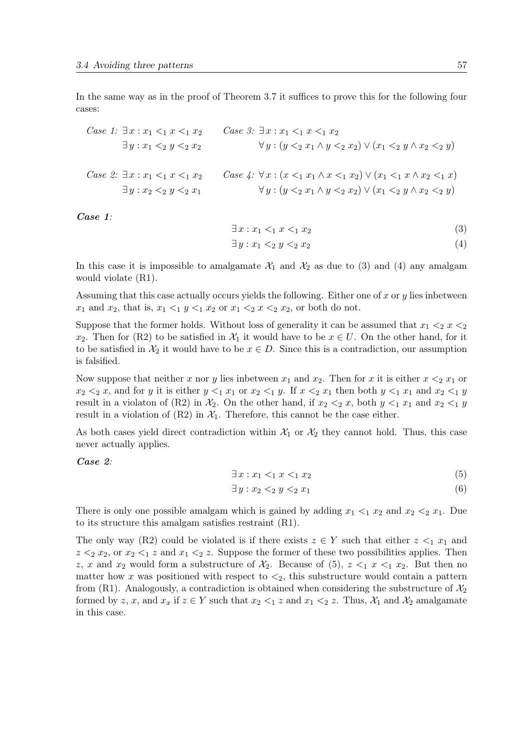In the same way as in the proof of Theorem [3.7](#page-34-0) it suffices to prove this for the following four cases:

Case 1: 
$$
\exists x : x_1 <_1 x <_1 x_2
$$
  
\n $\exists y : x_1 <_2 y <_2 x_2$   
\nCase 2:  $\exists x : x_1 <_1 x <_1 x_2$   
\n $\exists y : x_1 <_2 y <_2 x_2$   
\nCase 4:  $\forall x : (x <_1 x_1 \land x <_1 x_2) \lor (x_1 <_2 y \land x_2 <_2 y)$   
\n $\exists y : x_2 <_2 y <_2 x_1$   
\n $\forall y : (y <_2 x_1 \land x <_1 x_2) \lor (x_1 <_1 x \land x_2 <_1 x)$   
\n $\forall y : (y <_2 x_1 \land y <_2 x_2) \lor (x_1 <_2 y \land x_2 <_2 y)$ 

Case 1:

$$
\exists x : x_1 <_1 x <_1 x_2 \n\exists y : x_1 <_2 y <_2 x_2
$$
\n(3)\n(4)

In this case it is impossible to amalgamate  $\mathcal{X}_1$  and  $\mathcal{X}_2$  as due to (3) and (4) any amalgam would violate ([R1\)](#page-54-0).

Assuming that this case actually occurs yields the following. Either one of x or  $\eta$  lies inbetween  $x_1$  and  $x_2$ , that is,  $x_1 \leq_1 y \leq_1 x_2$  or  $x_1 \leq_2 x \leq_2 x_2$ , or both do not.

Suppose that the former holds. Without loss of generality it can be assumed that  $x_1 <_2 x <_2$ x<sub>2</sub>. Then for ([R2\)](#page-54-0) to be satisfied in  $\mathcal{X}_1$  it would have to be  $x \in U$ . On the other hand, for it to be satisfied in  $\mathcal{X}_2$  it would have to be  $x \in D$ . Since this is a contradiction, our assumption is falsified.

Now suppose that neither x nor y lies inbetween  $x_1$  and  $x_2$ . Then for x it is either  $x \leq_2 x_1$  or  $x_2 <_2 x$ , and for y it is either  $y <_1 x_1$  or  $x_2 <_1 y$ . If  $x <_2 x_1$  then both  $y <_1 x_1$  and  $x_2 <_1 y$ result in a violaton of ([R2\)](#page-54-0) in  $\mathcal{X}_2$ . On the other hand, if  $x_2 <_2 x$ , both  $y <_1 x_1$  and  $x_2 <_1 y$ result in a violation of  $(R2)$  $(R2)$  in  $\mathcal{X}_1$ . Therefore, this cannot be the case either.

As both cases yield direct contradiction within  $\mathcal{X}_1$  or  $\mathcal{X}_2$  they cannot hold. Thus, this case never actually applies.

Case 2:

$$
\exists x: x_1 <_1 x <_1 x_2 \tag{5}
$$

$$
\exists y: x_2 <_2 y <_2 x_1 \tag{6}
$$

There is only one possible amalgam which is gained by adding  $x_1 \leq_1 x_2$  and  $x_2 \leq_2 x_1$ . Due to its structure this amalgam satisfies restraint ([R1\)](#page-54-0).

The only way ([R2\)](#page-54-0) could be violated is if there exists  $z \in Y$  such that either  $z \leq_1 x_1$  and  $z \leq_2 x_2$ , or  $x_2 \leq_1 z$  and  $x_1 \leq_2 z$ . Suppose the former of these two possibilities applies. Then z, x and  $x_2$  would form a substructure of  $\mathcal{X}_2$ . Because of (5),  $z \leq_1 x \leq_1 x_2$ . But then no matter how x was positioned with respect to  $\lt_2$ , this substructure would contain a pattern from ([R1\)](#page-54-0). Analogously, a contradiction is obtained when considering the substructure of  $\mathcal{X}_2$ formed by z, x, and  $x_x$  if  $z \in Y$  such that  $x_2 \leq_1 z$  and  $x_1 \leq_2 z$ . Thus,  $\mathcal{X}_1$  and  $\mathcal{X}_2$  amalgamate in this case.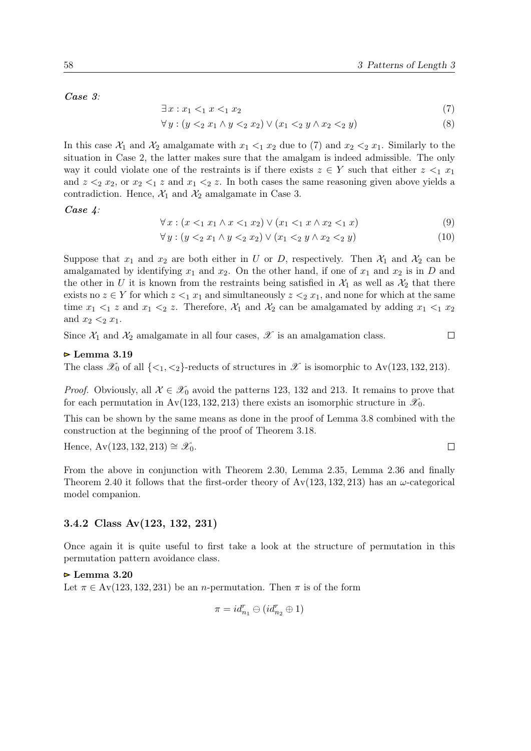<span id="page-57-0"></span>Case 3:

$$
\exists x: x_1 <_1 x <_1 x_2 \tag{7}
$$

$$
\forall y : (y 2 x1 \land y 2 x2) \lor (x1 2 y \land x2 2 y)
$$
\n(8)

In this case  $\mathcal{X}_1$  and  $\mathcal{X}_2$  amalgamate with  $x_1 \leq_1 x_2$  due to (7) and  $x_2 \leq_2 x_1$ . Similarly to the situation in Case 2, the latter makes sure that the amalgam is indeed admissible. The only way it could violate one of the restraints is if there exists  $z \in Y$  such that either  $z \leq_1 x_1$ and  $z \leq_2 x_2$ , or  $x_2 \leq_1 z$  and  $x_1 \leq_2 z$ . In both cases the same reasoning given above yields a contradiction. Hence,  $\mathcal{X}_1$  and  $\mathcal{X}_2$  amalgamate in Case 3.

Case 4:

$$
\forall x: (x <_1 x_1 \land x <_1 x_2) \lor (x_1 <_1 x \land x_2 <_1 x)
$$
\n
$$
(9)
$$

$$
\forall y: (y <_{2} x_{1} \land y <_{2} x_{2}) \lor (x_{1} <_{2} y \land x_{2} <_{2} y) \tag{10}
$$

Suppose that  $x_1$  and  $x_2$  are both either in U or D, respectively. Then  $\mathcal{X}_1$  and  $\mathcal{X}_2$  can be amalgamated by identifying  $x_1$  and  $x_2$ . On the other hand, if one of  $x_1$  and  $x_2$  is in D and the other in U it is known from the restraints being satisfied in  $\mathcal{X}_1$  as well as  $\mathcal{X}_2$  that there exists no  $z \in Y$  for which  $z \leq_1 x_1$  and simultaneously  $z \leq_2 x_1$ , and none for which at the same time  $x_1 <_1 z$  and  $x_1 <_2 z$ . Therefore,  $\mathcal{X}_1$  and  $\mathcal{X}_2$  can be amalgamated by adding  $x_1 <_1 x_2$ and  $x_2 \leq_2 x_1$ .

Since  $\mathcal{X}_1$  and  $\mathcal{X}_2$  amalgamate in all four cases,  $\mathcal X$  is an amalgamation class.

#### $\triangleright$  Lemma 3.19

The class  $\mathscr{X}_0$  of all  $\{\langle 1, \langle 2 \rangle\}$ -reducts of structures in  $\mathscr{X}$  is isomorphic to Av(123, 132, 213).

*Proof.* Obviously, all  $\mathcal{X} \in \mathcal{X}_0$  avoid the patterns 123, 132 and 213. It remains to prove that for each permutation in Av(123, 132, 213) there exists an isomorphic structure in  $\mathscr{X}_0$ .

This can be shown by the same means as done in the proof of Lemma [3.8](#page-41-0) combined with the construction at the beginning of the proof of Theorem [3.18.](#page-54-0)

Hence, Av(123, 132, 213) ≅  $\mathscr{X}_0$ .

From the above in conjunction with Theorem [2.30,](#page-23-0) Lemma [2.35,](#page-25-0) Lemma [2.36](#page-25-0) and finally Theorem [2.40](#page-26-0) it follows that the first-order theory of  $Av(123, 132, 213)$  has an  $\omega$ -categorical model companion.

## 3.4.2 Class Av(123, 132, 231)

Once again it is quite useful to first take a look at the structure of permutation in this permutation pattern avoidance class.

 $\triangleright$  Lemma 3.20

Let  $\pi \in Av(123, 132, 231)$  be an *n*-permutation. Then  $\pi$  is of the form

$$
\pi=id_{n_1}^r\ominus(id_{n_2}^r\oplus 1)
$$

$$
\qquad \qquad \Box
$$

 $\Box$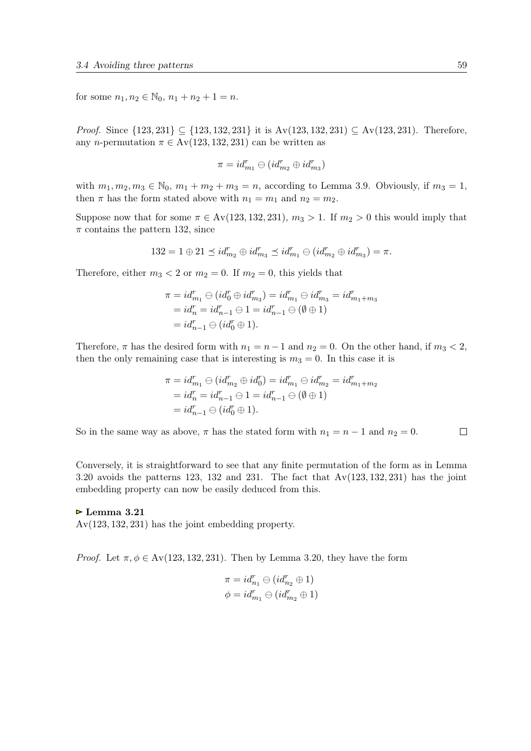for some  $n_1, n_2 \in \mathbb{N}_0$ ,  $n_1 + n_2 + 1 = n$ .

*Proof.* Since  $\{123, 231\} \subseteq \{123, 132, 231\}$  it is  $Av(123, 132, 231) ⊆ Av(123, 231)$ . Therefore, any n-permutation  $\pi \in Av(123, 132, 231)$  can be written as

$$
\pi = id_{m_1}^r \ominus (id_{m_2}^r \oplus id_{m_3}^r)
$$

with  $m_1, m_2, m_3 \in \mathbb{N}_0$ ,  $m_1 + m_2 + m_3 = n$ , according to Lemma [3.9.](#page-43-0) Obviously, if  $m_3 = 1$ , then  $\pi$  has the form stated above with  $n_1 = m_1$  and  $n_2 = m_2$ .

Suppose now that for some  $\pi \in Av(123, 132, 231)$ ,  $m_3 > 1$ . If  $m_2 > 0$  this would imply that  $\pi$  contains the pattern 132, since

$$
132 = 1 \oplus 21 \preceq id_{m_2}^r \oplus id_{m_3}^r \preceq id_{m_1}^r \ominus (id_{m_2}^r \oplus id_{m_3}^r) = \pi.
$$

Therefore, either  $m_3 < 2$  or  $m_2 = 0$ . If  $m_2 = 0$ , this yields that

$$
\begin{aligned}\n\pi &= id_{m_1}^r \ominus (id_0^r \oplus id_{m_3}^r) = id_{m_1}^r \ominus id_{m_3}^r = id_{m_1 + m_3}^r \\
&= id_n^r = id_{n-1}^r \ominus 1 = id_{n-1}^r \ominus (\emptyset \oplus 1) \\
&= id_{n-1}^r \ominus (id_0^r \oplus 1).\n\end{aligned}
$$

Therefore,  $\pi$  has the desired form with  $n_1 = n - 1$  and  $n_2 = 0$ . On the other hand, if  $m_3 < 2$ , then the only remaining case that is interesting is  $m_3 = 0$ . In this case it is

$$
\pi = id_{m_1}^r \ominus (id_{m_2}^r \oplus id_0^r) = id_{m_1}^r \ominus id_{m_2}^r = id_{m_1 + m_2}^r \n = id_n^r = id_{n-1}^r \ominus 1 = id_{n-1}^r \ominus (\emptyset \oplus 1) \n = id_{n-1}^r \ominus (id_0^r \oplus 1).
$$

 $\Box$ So in the same way as above,  $\pi$  has the stated form with  $n_1 = n - 1$  and  $n_2 = 0$ .

Conversely, it is straightforward to see that any finite permutation of the form as in Lemma [3.20](#page-57-0) avoids the patterns 123, 132 and 231. The fact that  $Av(123, 132, 231)$  has the joint embedding property can now be easily deduced from this.

### $\triangleright$  Lemma 3.21

Av(123, 132, 231) has the joint embedding property.

*Proof.* Let  $\pi, \phi \in Av(123, 132, 231)$ . Then by Lemma [3.20,](#page-57-0) they have the form

$$
\pi = id_{n_1}^r \ominus (id_{n_2}^r \oplus 1)
$$
  

$$
\phi = id_{m_1}^r \ominus (id_{m_2}^r \oplus 1)
$$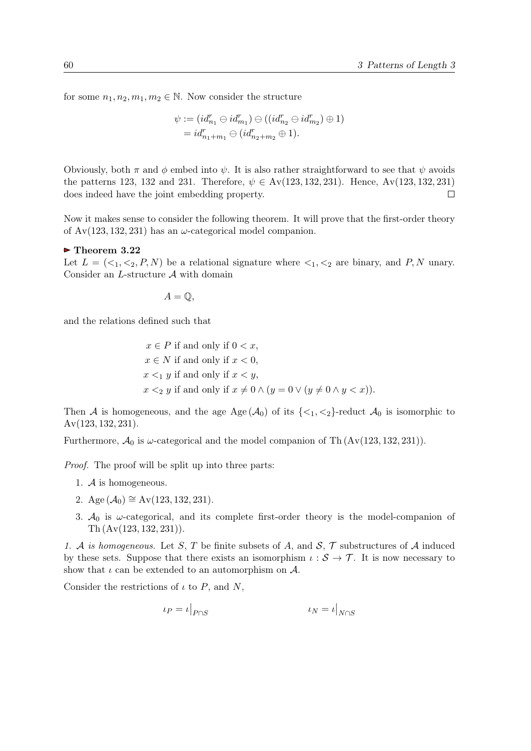for some  $n_1, n_2, m_1, m_2 \in \mathbb{N}$ . Now consider the structure

$$
\psi := (id_{n_1}^r \ominus id_{m_1}^r) \ominus ((id_{n_2}^r \ominus id_{m_2}^r) \oplus 1)
$$
  
=  $id_{n_1+m_1}^r \ominus (id_{n_2+m_2}^r \oplus 1).$ 

Obviously, both  $\pi$  and  $\phi$  embed into  $\psi$ . It is also rather straightforward to see that  $\psi$  avoids the patterns 123, 132 and 231. Therefore,  $\psi \in Av(123, 132, 231)$ . Hence, Av(123, 132, 231) does indeed have the joint embedding property.  $\Box$ 

Now it makes sense to consider the following theorem. It will prove that the first-order theory of  $Av(123, 132, 231)$  has an  $\omega$ -categorical model companion.

#### $\triangleright$  Theorem 3.22

Let  $L = \langle \langle 1, \langle 2, P, N \rangle \rangle$  be a relational signature where  $\langle 1, \langle 2 \rangle$  are binary, and P, N unary. Consider an  $L$ -structure  $A$  with domain

$$
A=\mathbb{Q},
$$

and the relations defined such that

 $x \in P$  if and only if  $0 < x$ ,  $x \in N$  if and only if  $x < 0$ ,  $x \leq_1 y$  if and only if  $x \leq y$ ,  $x \leq_2 y$  if and only if  $x \neq 0 \wedge (y = 0 \vee (y \neq 0 \wedge y \leq x)).$ 

Then A is homogeneous, and the age Age  $(A_0)$  of its  $\{\langle 1, \langle 2 \rangle\}$ -reduct  $A_0$  is isomorphic to Av(123, 132, 231).

Furthermore,  $\mathcal{A}_0$  is  $\omega$ -categorical and the model companion of Th  $(Av(123, 132, 231))$ .

Proof. The proof will be split up into three parts:

- 1. A is homogeneous.
- 2. Age  $(\mathcal{A}_0) \cong Av(123, 132, 231)$ .
- 3.  $A_0$  is  $\omega$ -categorical, and its complete first-order theory is the model-companion of Th (Av(123, 132, 231)).

1. A is homogeneous. Let S, T be finite subsets of A, and  $S$ ,  $\mathcal T$  substructures of A induced by these sets. Suppose that there exists an isomorphism  $\iota : \mathcal{S} \to \mathcal{T}$ . It is now necessary to show that  $\iota$  can be extended to an automorphism on  $\mathcal{A}$ .

Consider the restrictions of  $\iota$  to P, and N,

$$
\iota_P = \iota|_{P \cap S} \qquad \qquad \iota_N = \iota|_{N \cap S}
$$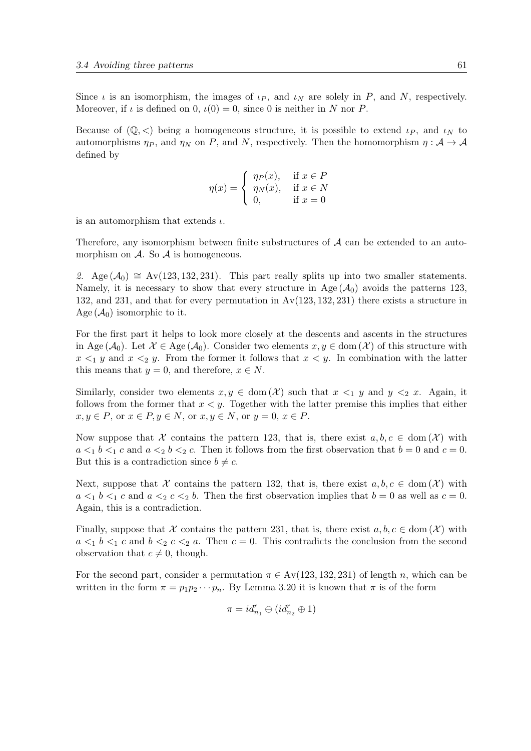Since  $\iota$  is an isomorphism, the images of  $\iota_P$ , and  $\iota_N$  are solely in P, and N, respectively. Moreover, if  $\iota$  is defined on 0,  $\iota(0) = 0$ , since 0 is neither in N nor P.

Because of  $(\mathbb{Q}, \leq)$  being a homogeneous structure, it is possible to extend  $\iota_P$ , and  $\iota_N$  to automorphisms  $\eta_P$ , and  $\eta_N$  on P, and N, respectively. Then the homomorphism  $\eta : A \to A$ defined by

$$
\eta(x) = \begin{cases} \eta_P(x), & \text{if } x \in P \\ \eta_N(x), & \text{if } x \in N \\ 0, & \text{if } x = 0 \end{cases}
$$

is an automorphism that extends  $\iota$ .

Therefore, any isomorphism between finite substructures of  $A$  can be extended to an automorphism on  $A$ . So  $A$  is homogeneous.

2. Age  $(\mathcal{A}_0) \cong$  Av(123, 132, 231). This part really splits up into two smaller statements. Namely, it is necessary to show that every structure in Age  $(A_0)$  avoids the patterns 123, 132, and 231, and that for every permutation in Av(123, 132, 231) there exists a structure in Age  $(\mathcal{A}_0)$  isomorphic to it.

For the first part it helps to look more closely at the descents and ascents in the structures in Age ( $\mathcal{A}_0$ ). Let  $\mathcal{X} \in \text{Age}(\mathcal{A}_0)$ . Consider two elements  $x, y \in \text{dom}(\mathcal{X})$  of this structure with  $x \leq_1 y$  and  $x \leq_2 y$ . From the former it follows that  $x \leq y$ . In combination with the latter this means that  $y = 0$ , and therefore,  $x \in N$ .

Similarly, consider two elements  $x, y \in \text{dom}(\mathcal{X})$  such that  $x \leq_1 y$  and  $y \leq_2 x$ . Again, it follows from the former that  $x < y$ . Together with the latter premise this implies that either  $x, y \in P$ , or  $x \in P$ ,  $y \in N$ , or  $x, y \in N$ , or  $y = 0$ ,  $x \in P$ .

Now suppose that X contains the pattern 123, that is, there exist  $a, b, c \in \text{dom}(\mathcal{X})$  with  $a \leq_1 b \leq_1 c$  and  $a \leq_2 b \leq_2 c$ . Then it follows from the first observation that  $b = 0$  and  $c = 0$ . But this is a contradiction since  $b \neq c$ .

Next, suppose that X contains the pattern 132, that is, there exist  $a, b, c \in \text{dom}(\mathcal{X})$  with  $a \leq_1 b \leq_1 c$  and  $a \leq_2 c \leq_2 b$ . Then the first observation implies that  $b = 0$  as well as  $c = 0$ . Again, this is a contradiction.

Finally, suppose that X contains the pattern 231, that is, there exist  $a, b, c \in \text{dom}(\mathcal{X})$  with  $a \leq_1 b \leq_1 c$  and  $b \leq_2 c \leq_2 a$ . Then  $c = 0$ . This contradicts the conclusion from the second observation that  $c \neq 0$ , though.

For the second part, consider a permutation  $\pi \in Av(123, 132, 231)$  of length n, which can be written in the form  $\pi = p_1p_2\cdots p_n$ . By Lemma [3.20](#page-57-0) it is known that  $\pi$  is of the form

$$
\pi=id_{n_1}^r\ominus(id_{n_2}^r\oplus 1)
$$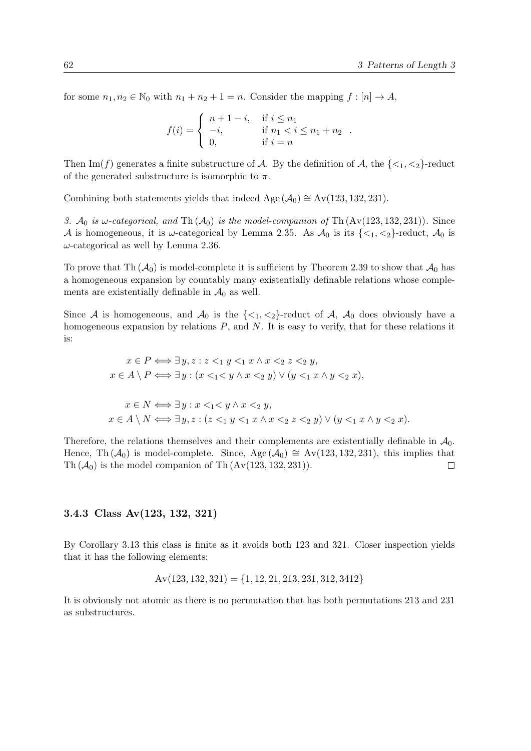for some  $n_1, n_2 \in \mathbb{N}_0$  with  $n_1 + n_2 + 1 = n$ . Consider the mapping  $f : [n] \to A$ ,

$$
f(i) = \begin{cases} n+1-i, & \text{if } i \leq n_1 \\ -i, & \text{if } n_1 < i \leq n_1 + n_2 \\ 0, & \text{if } i = n \end{cases}.
$$

Then Im(f) generates a finite substructure of A. By the definition of A, the  $\{\langle 1, \langle 2 \rangle\}$ -reduct of the generated substructure is isomorphic to  $\pi$ .

Combining both statements yields that indeed Age  $(\mathcal{A}_0) \cong Av(123, 132, 231)$ .

3.  $\mathcal{A}_0$  is  $\omega$ -categorical, and Th $(\mathcal{A}_0)$  is the model-companion of Th $(Av(123, 132, 231))$ . Since A is homogeneous, it is  $\omega$ -categorical by Lemma [2.35.](#page-25-0) As  $\mathcal{A}_0$  is its  $\{\langle 1, \langle 2 \rangle\}$ -reduct,  $\mathcal{A}_0$  is  $\omega$ -categorical as well by Lemma [2.36.](#page-25-0)

To prove that Th  $(\mathcal{A}_0)$  is model-complete it is sufficient by Theorem [2.39](#page-25-0) to show that  $\mathcal{A}_0$  has a homogeneous expansion by countably many existentially definable relations whose complements are existentially definable in  $\mathcal{A}_0$  as well.

Since A is homogeneous, and  $\mathcal{A}_0$  is the  $\{\langle 1, \langle 2 \rangle\}$ -reduct of A,  $\mathcal{A}_0$  does obviously have a homogeneous expansion by relations  $P$ , and  $N$ . It is easy to verify, that for these relations it is:

$$
x \in P \Longleftrightarrow \exists y, z : z <_1 y <_1 x \land x <_2 z <_2 y,
$$
\n
$$
x \in A \setminus P \Longleftrightarrow \exists y : (x <_1 < y \land x <_2 y) \lor (y <_1 x \land y <_2 x),
$$
\n
$$
x \in N \Longleftrightarrow \exists y : x <_1 < y \land x <_2 y,
$$
\n
$$
x \in A \setminus N \Longleftrightarrow \exists y, z : (z <_1 y <_1 x \land x <_2 z <_2 y) \lor (y <_1 x \land y <_2 x).
$$

Therefore, the relations themselves and their complements are existentially definable in  $\mathcal{A}_0$ . Hence, Th  $(\mathcal{A}_0)$  is model-complete. Since, Age  $(\mathcal{A}_0) \cong Av(123, 132, 231)$ , this implies that Th  $(\mathcal{A}_0)$  is the model companion of Th  $(Av(123, 132, 231))$ .  $\Box$ 

### 3.4.3 Class Av(123, 132, 321)

By Corollary [3.13](#page-48-0) this class is finite as it avoids both 123 and 321. Closer inspection yields that it has the following elements:

$$
Av(123, 132, 321) = \{1, 12, 21, 213, 231, 312, 3412\}
$$

It is obviously not atomic as there is no permutation that has both permutations 213 and 231 as substructures.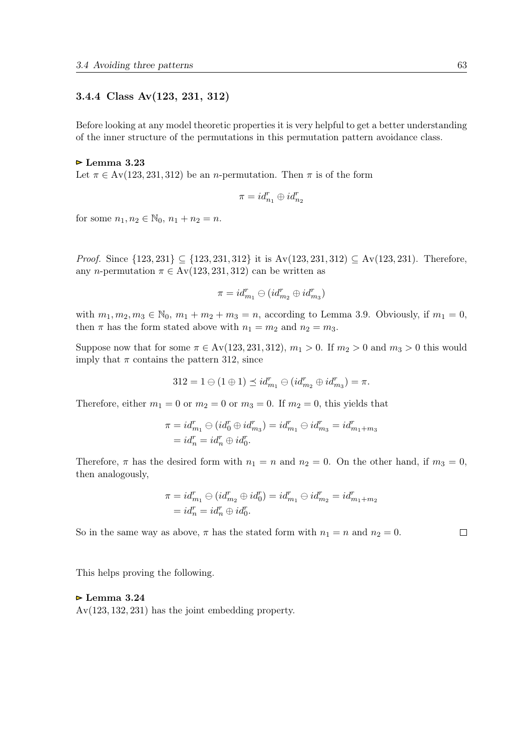## <span id="page-62-0"></span>3.4.4 Class Av(123, 231, 312)

Before looking at any model theoretic properties it is very helpful to get a better understanding of the inner structure of the permutations in this permutation pattern avoidance class.

#### $\triangleright$  Lemma 3.23

Let  $\pi \in Av(123, 231, 312)$  be an *n*-permutation. Then  $\pi$  is of the form

$$
\pi = id^r_{n_1} \oplus id^r_{n_2}
$$

for some  $n_1, n_2 \in \mathbb{N}_0$ ,  $n_1 + n_2 = n$ .

*Proof.* Since  $\{123, 231\}$  ⊆  $\{123, 231, 312\}$  it is Av(123, 231, 312) ⊆ Av(123, 231). Therefore, any n-permutation  $\pi \in Av(123, 231, 312)$  can be written as

$$
\pi = id_{m_1}^r \ominus (id_{m_2}^r \oplus id_{m_3}^r)
$$

with  $m_1, m_2, m_3 \in \mathbb{N}_0$ ,  $m_1 + m_2 + m_3 = n$ , according to Lemma [3.9.](#page-43-0) Obviously, if  $m_1 = 0$ , then  $\pi$  has the form stated above with  $n_1 = m_2$  and  $n_2 = m_3$ .

Suppose now that for some  $\pi \in Av(123, 231, 312)$ ,  $m_1 > 0$ . If  $m_2 > 0$  and  $m_3 > 0$  this would imply that  $\pi$  contains the pattern 312, since

$$
312 = 1 \ominus (1 \oplus 1) \preceq id_{m_1}^r \ominus (id_{m_2}^r \oplus id_{m_3}^r) = \pi.
$$

Therefore, either  $m_1 = 0$  or  $m_2 = 0$  or  $m_3 = 0$ . If  $m_2 = 0$ , this yields that

$$
\pi = id_{m_1}^r \oplus (id_0^r \oplus id_{m_3}^r) = id_{m_1}^r \oplus id_{m_3}^r = id_{m_1 + m_3}^r
$$
  
=  $id_n^r = id_n^r \oplus id_0^r$ .

Therefore,  $\pi$  has the desired form with  $n_1 = n$  and  $n_2 = 0$ . On the other hand, if  $m_3 = 0$ , then analogously,

$$
\begin{aligned} \pi = id_{m_1}^r \ominus (id_{m_2}^r \oplus id_0^r) = id_{m_1}^r \ominus id_{m_2}^r = id_{m_1 + m_2}^r \\ = id_n^r = id_n^r \oplus id_0^r. \end{aligned}
$$

So in the same way as above,  $\pi$  has the stated form with  $n_1 = n$  and  $n_2 = 0$ .

This helps proving the following.

#### $\triangleright$  Lemma 3.24

Av(123, 132, 231) has the joint embedding property.

$$
\Box
$$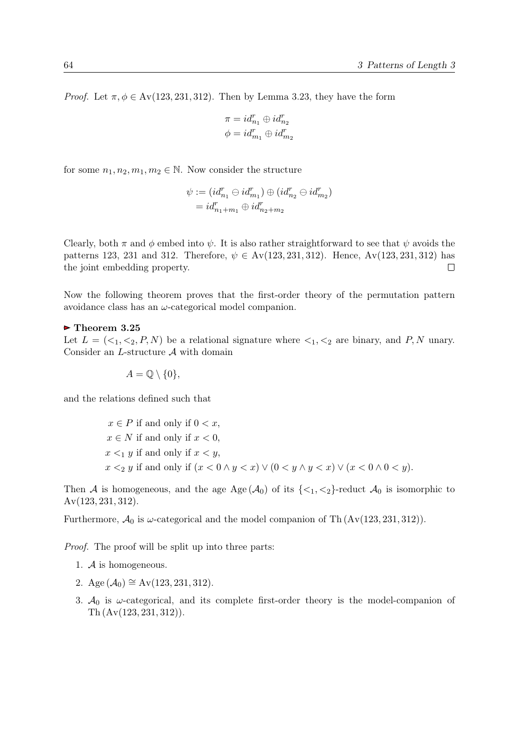*Proof.* Let  $\pi, \phi \in Av(123, 231, 312)$ . Then by Lemma [3.23,](#page-62-0) they have the form

$$
\begin{array}{l}\pi=id_{n_1}^r\oplus id_{n_2}^r\\ \phi=id_{m_1}^r\oplus id_{m_2}^r\end{array}
$$

for some  $n_1, n_2, m_1, m_2 \in \mathbb{N}$ . Now consider the structure

$$
\psi := (id_{n_1}^r \ominus id_{m_1}^r) \oplus (id_{n_2}^r \ominus id_{m_2}^r)
$$
  
=  $id_{n_1+m_1}^r \oplus id_{n_2+m_2}^r$ 

Clearly, both  $\pi$  and  $\phi$  embed into  $\psi$ . It is also rather straightforward to see that  $\psi$  avoids the patterns 123, 231 and 312. Therefore,  $\psi \in Av(123, 231, 312)$ . Hence,  $Av(123, 231, 312)$  has the joint embedding property.  $\Box$ 

Now the following theorem proves that the first-order theory of the permutation pattern avoidance class has an  $\omega$ -categorical model companion.

## $\triangleright$  Theorem 3.25

Let  $L = \{ \langle 1, \langle 2, P, N \rangle \}$  be a relational signature where  $\langle 1, \langle 2 \rangle$  are binary, and P, N unary. Consider an L-structure A with domain

 $A = \mathbb{Q} \setminus \{0\},\$ 

and the relations defined such that

 $x \in P$  if and only if  $0 < x$ ,  $x \in N$  if and only if  $x < 0$ .  $x \leq_1 y$  if and only if  $x \leq y$ ,  $x \leq_2 y$  if and only if  $(x < 0 \land y < x) \lor (0 < y \land y < x) \lor (x < 0 \land 0 < y)$ .

Then A is homogeneous, and the age Age  $(A_0)$  of its  $\{\langle 1, \langle 2 \rangle\}$ -reduct  $A_0$  is isomorphic to Av(123, 231, 312).

Furthermore,  $\mathcal{A}_0$  is  $\omega$ -categorical and the model companion of Th  $(Av(123, 231, 312))$ .

Proof. The proof will be split up into three parts:

- 1. A is homogeneous.
- 2. Age  $(\mathcal{A}_0) \cong Av(123, 231, 312)$ .
- 3.  $A_0$  is  $\omega$ -categorical, and its complete first-order theory is the model-companion of Th (Av(123, 231, 312)).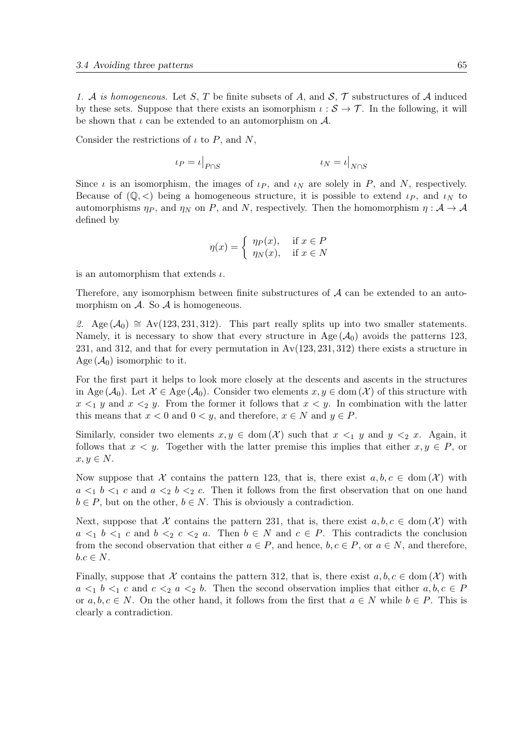1. A is homogeneous. Let S, T be finite subsets of A, and S,  $\mathcal T$  substructures of A induced by these sets. Suppose that there exists an isomorphism  $\iota : \mathcal{S} \to \mathcal{T}$ . In the following, it will be shown that  $\iota$  can be extended to an automorphism on  $\mathcal{A}$ .

Consider the restrictions of  $\iota$  to P, and N,

$$
\iota_P = \iota|_{P \cap S} \qquad \qquad \iota_N = \iota|_{N \cap S}
$$

Since  $\iota$  is an isomorphism, the images of  $\iota_P$ , and  $\iota_N$  are solely in P, and N, respectively. Because of  $(\mathbb{Q}, \leq)$  being a homogeneous structure, it is possible to extend  $\iota_P$ , and  $\iota_N$  to automorphisms  $\eta_P$ , and  $\eta_N$  on P, and N, respectively. Then the homomorphism  $\eta : \mathcal{A} \to \mathcal{A}$ defined by

$$
\eta(x) = \begin{cases} \eta_P(x), & \text{if } x \in P \\ \eta_N(x), & \text{if } x \in N \end{cases}
$$

is an automorphism that extends  $\iota$ .

Therefore, any isomorphism between finite substructures of  $A$  can be extended to an automorphism on  $A$ . So  $A$  is homogeneous.

2. Age  $(\mathcal{A}_0) \cong Av(123, 231, 312)$ . This part really splits up into two smaller statements. Namely, it is necessary to show that every structure in Age  $(A<sub>0</sub>)$  avoids the patterns 123, 231, and 312, and that for every permutation in  $Av(123, 231, 312)$  there exists a structure in Age  $(\mathcal{A}_0)$  isomorphic to it.

For the first part it helps to look more closely at the descents and ascents in the structures in Age  $(\mathcal{A}_0)$ . Let  $\mathcal{X} \in \text{Age}(\mathcal{A}_0)$ . Consider two elements  $x, y \in \text{dom}(\mathcal{X})$  of this structure with  $x \leq_1 y$  and  $x \leq_2 y$ . From the former it follows that  $x \leq y$ . In combination with the latter this means that  $x < 0$  and  $0 < y$ , and therefore,  $x \in N$  and  $y \in P$ .

Similarly, consider two elements  $x, y \in \text{dom}(\mathcal{X})$  such that  $x \leq_1 y$  and  $y \leq_2 x$ . Again, it follows that  $x < y$ . Together with the latter premise this implies that either  $x, y \in P$ , or  $x, y \in N$ .

Now suppose that X contains the pattern 123, that is, there exist  $a, b, c \in \text{dom}(\mathcal{X})$  with  $a \leq_1 b \leq_1 c$  and  $a \leq_2 b \leq_2 c$ . Then it follows from the first observation that on one hand  $b \in P$ , but on the other,  $b \in N$ . This is obviously a contradiction.

Next, suppose that X contains the pattern 231, that is, there exist  $a, b, c \in \text{dom}(\mathcal{X})$  with  $a \leq_1 b \leq_1 c$  and  $b \leq_2 c \leq_2 a$ . Then  $b \in N$  and  $c \in P$ . This contradicts the conclusion from the second observation that either  $a \in P$ , and hence,  $b, c \in P$ , or  $a \in N$ , and therefore,  $b.c \in N$ .

Finally, suppose that X contains the pattern 312, that is, there exist  $a, b, c \in \text{dom}(\mathcal{X})$  with  $a \leq_1 b \leq_1 c$  and  $c \leq_2 a \leq_2 b$ . Then the second observation implies that either  $a, b, c \in P$ or  $a, b, c \in N$ . On the other hand, it follows from the first that  $a \in N$  while  $b \in P$ . This is clearly a contradiction.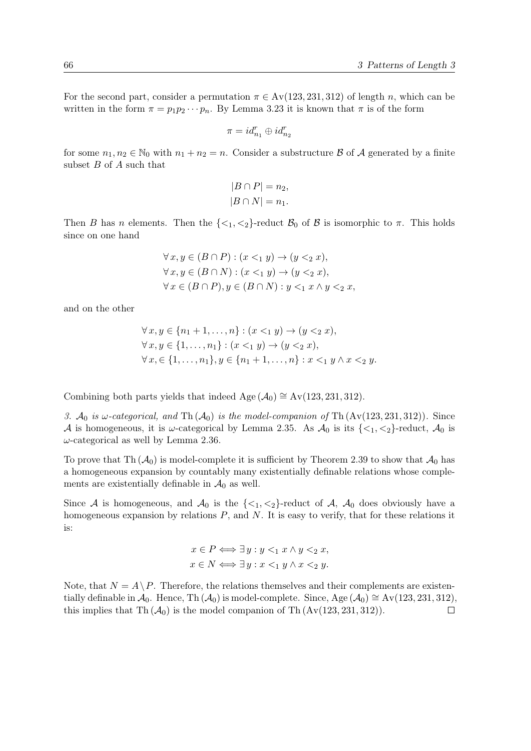For the second part, consider a permutation  $\pi \in Av(123, 231, 312)$  of length n, which can be written in the form  $\pi = p_1p_2\cdots p_n$ . By Lemma [3.23](#page-62-0) it is known that  $\pi$  is of the form

$$
\pi = id^r_{n_1} \oplus id^r_{n_2}
$$

for some  $n_1, n_2 \in \mathbb{N}_0$  with  $n_1 + n_2 = n$ . Consider a substructure B of A generated by a finite subset  $B$  of  $A$  such that

$$
|B \cap P| = n_2,
$$
  

$$
|B \cap N| = n_1.
$$

Then B has n elements. Then the  $\{\langle 1, \langle 2 \rangle\}$ -reduct  $\mathcal{B}_0$  of B is isomorphic to  $\pi$ . This holds since on one hand

$$
\forall x, y \in (B \cap P) : (x <_1 y) \to (y <_2 x),
$$
  

$$
\forall x, y \in (B \cap N) : (x <_1 y) \to (y <_2 x),
$$
  

$$
\forall x \in (B \cap P), y \in (B \cap N) : y <_1 x \land y <_2 x,
$$

and on the other

$$
\forall x, y \in \{n_1 + 1, ..., n\} : (x <_1 y) \to (y <_2 x),
$$
  

$$
\forall x, y \in \{1, ..., n_1\} : (x <_1 y) \to (y <_2 x),
$$
  

$$
\forall x, \in \{1, ..., n_1\}, y \in \{n_1 + 1, ..., n\} : x <_1 y \land x <_2 y.
$$

Combining both parts yields that indeed Age  $(\mathcal{A}_0) \cong Av(123, 231, 312)$ .

3.  $\mathcal{A}_0$  is  $\omega$ -categorical, and Th $(\mathcal{A}_0)$  is the model-companion of Th $(Av(123, 231, 312))$ . Since A is homogeneous, it is  $\omega$ -categorical by Lemma [2.35.](#page-25-0) As  $\mathcal{A}_0$  is its  $\{\langle 1, \langle 2 \rangle\}$ -reduct,  $\mathcal{A}_0$  is  $\omega$ -categorical as well by Lemma [2.36.](#page-25-0)

To prove that Th  $(\mathcal{A}_0)$  is model-complete it is sufficient by Theorem [2.39](#page-25-0) to show that  $\mathcal{A}_0$  has a homogeneous expansion by countably many existentially definable relations whose complements are existentially definable in  $\mathcal{A}_0$  as well.

Since A is homogeneous, and  $\mathcal{A}_0$  is the  $\{\langle 1,\langle 2\rangle\}$ -reduct of A,  $\mathcal{A}_0$  does obviously have a homogeneous expansion by relations  $P$ , and  $N$ . It is easy to verify, that for these relations it is:

$$
x \in P \Longleftrightarrow \exists y : y <_1 x \land y <_2 x,
$$
\n
$$
x \in N \Longleftrightarrow \exists y : x <_1 y \land x <_2 y.
$$

Note, that  $N = A \setminus P$ . Therefore, the relations themselves and their complements are existentially definable in  $\mathcal{A}_0$ . Hence, Th ( $\mathcal{A}_0$ ) is model-complete. Since, Age ( $\mathcal{A}_0$ ) ≅ Av(123, 231, 312), this implies that Th  $(A_0)$  is the model companion of Th  $(Av(123, 231, 312))$ .  $\Box$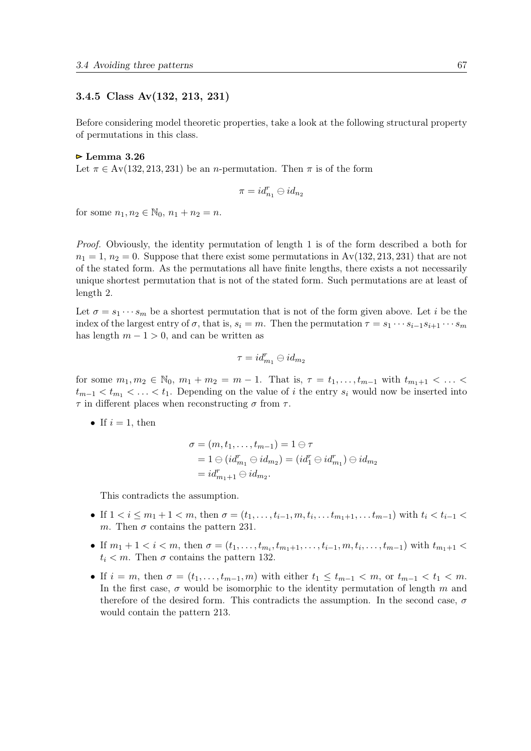## 3.4.5 Class Av(132, 213, 231)

Before considering model theoretic properties, take a look at the following structural property of permutations in this class.

#### $\triangleright$  Lemma 3.26

Let  $\pi \in Av(132, 213, 231)$  be an *n*-permutation. Then  $\pi$  is of the form

$$
\pi = id^r_{n_1} \ominus id_{n_2}
$$

for some  $n_1, n_2 \in \mathbb{N}_0$ ,  $n_1 + n_2 = n$ .

Proof. Obviously, the identity permutation of length 1 is of the form described a both for  $n_1 = 1$ ,  $n_2 = 0$ . Suppose that there exist some permutations in  $Av(132, 213, 231)$  that are not of the stated form. As the permutations all have finite lengths, there exists a not necessarily unique shortest permutation that is not of the stated form. Such permutations are at least of length 2.

Let  $\sigma = s_1 \cdots s_m$  be a shortest permutation that is not of the form given above. Let i be the index of the largest entry of  $\sigma$ , that is,  $s_i = m$ . Then the permutation  $\tau = s_1 \cdots s_{i-1} s_{i+1} \cdots s_m$ has length  $m - 1 > 0$ , and can be written as

$$
\tau = id_{m_1}^r \ominus id_{m_2}
$$

for some  $m_1, m_2 \in \mathbb{N}_0$ ,  $m_1 + m_2 = m - 1$ . That is,  $\tau = t_1, \ldots, t_{m-1}$  with  $t_{m_1+1} < \ldots <$  $t_{m-1} < t_{m_1} < \ldots < t_1$ . Depending on the value of i the entry  $s_i$  would now be inserted into  $\tau$  in different places when reconstructing  $\sigma$  from  $\tau$ .

• If  $i = 1$ , then

$$
\sigma = (m, t_1, \dots, t_{m-1}) = 1 \ominus \tau
$$
  
= 1 \ominus (id<sub>m<sub>1</sub></sub> \ominus id<sub>m<sub>2</sub></sub>) = (id<sub>1</sub><sup>r</sup> \ominus id<sub>m<sub>1</sub></sub>) \ominus id<sub>m<sub>2</sub></sub>  
= id<sub>m<sub>1</sub>+1</sub> \ominus id<sub>m<sub>2</sub></sub>.

This contradicts the assumption.

- If  $1 < i \leq m_1 + 1 < m$ , then  $\sigma = (t_1, \ldots, t_{i-1}, m, t_i, \ldots, t_{m_1+1}, \ldots, t_{m-1})$  with  $t_i < t_{i-1}$ m. Then  $\sigma$  contains the pattern 231.
- If  $m_1 + 1 < i < m$ , then  $\sigma = (t_1, \ldots, t_{m_i}, t_{m_1+1}, \ldots, t_{i-1}, m, t_i, \ldots, t_{m-1})$  with  $t_{m_1+1}$  <  $t_i < m$ . Then  $\sigma$  contains the pattern 132.
- If  $i = m$ , then  $\sigma = (t_1, \ldots, t_{m-1}, m)$  with either  $t_1 \leq t_{m-1} < m$ , or  $t_{m-1} < t_1 < m$ . In the first case,  $\sigma$  would be isomorphic to the identity permutation of length m and therefore of the desired form. This contradicts the assumption. In the second case,  $\sigma$ would contain the pattern 213.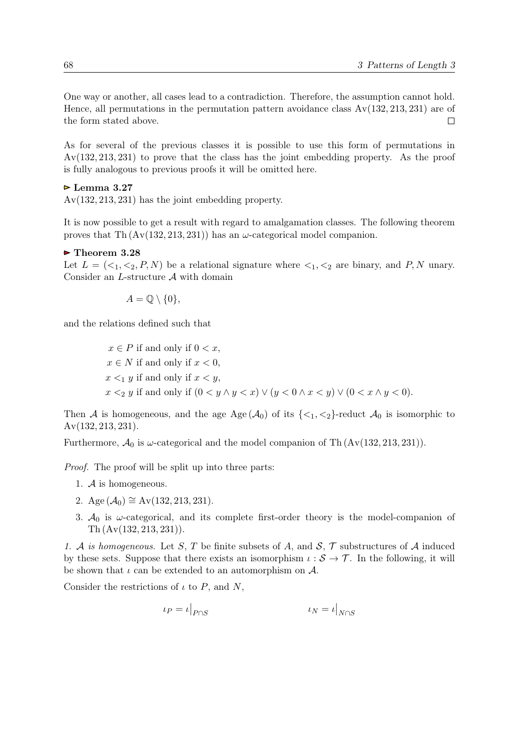One way or another, all cases lead to a contradiction. Therefore, the assumption cannot hold. Hence, all permutations in the permutation pattern avoidance class  $Av(132, 213, 231)$  are of the form stated above.  $\Box$ 

As for several of the previous classes it is possible to use this form of permutations in Av(132, 213, 231) to prove that the class has the joint embedding property. As the proof is fully analogous to previous proofs it will be omitted here.

## $\triangleright$  Lemma 3.27

Av(132, 213, 231) has the joint embedding property.

It is now possible to get a result with regard to amalgamation classes. The following theorem proves that Th  $(Av(132, 213, 231))$  has an  $\omega$ -categorical model companion.

### $\triangleright$  Theorem 3.28

Let  $L = \langle \langle 1, \langle 2, P, N \rangle \rangle$  be a relational signature where  $\langle 1, \langle 2 \rangle$  are binary, and P, N unary. Consider an  $L$ -structure  $A$  with domain

$$
A = \mathbb{Q} \setminus \{0\},\
$$

and the relations defined such that

 $x \in P$  if and only if  $0 < x$ ,  $x \in N$  if and only if  $x < 0$ ,  $x \leq_1 y$  if and only if  $x \leq y$ ,  $x \leq_2 y$  if and only if  $(0 \leq y \land y \leq x) \lor (y \leq 0 \land x \leq y) \lor (0 \leq x \land y \leq 0)$ .

Then A is homogeneous, and the age Age  $(A_0)$  of its  $\{\langle 1, \langle 2 \rangle\}$ -reduct  $A_0$  is isomorphic to Av(132, 213, 231).

Furthermore,  $\mathcal{A}_0$  is  $\omega$ -categorical and the model companion of Th  $(Av(132, 213, 231))$ .

Proof. The proof will be split up into three parts:

- 1. A is homogeneous.
- 2. Age  $(\mathcal{A}_0)$  ≅ Av(132, 213, 231).
- 3.  $A_0$  is  $\omega$ -categorical, and its complete first-order theory is the model-companion of Th (Av(132, 213, 231)).

1. A is homogeneous. Let S, T be finite subsets of A, and  $S$ ,  $\mathcal{T}$  substructures of A induced by these sets. Suppose that there exists an isomorphism  $\iota : \mathcal{S} \to \mathcal{T}$ . In the following, it will be shown that  $\iota$  can be extended to an automorphism on  $\mathcal{A}$ .

Consider the restrictions of  $\iota$  to P, and N,

$$
\iota_P = \iota|_{P \cap S} \qquad \qquad \iota_N = \iota|_{N \cap S}
$$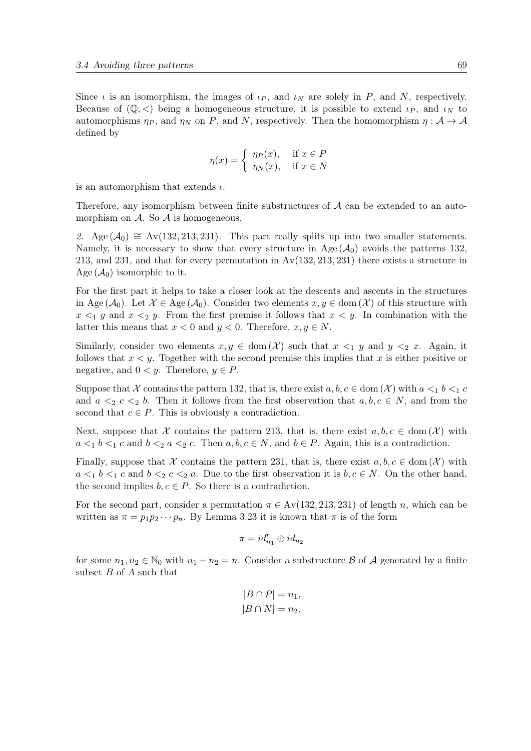Since  $\iota$  is an isomorphism, the images of  $\iota_P$ , and  $\iota_N$  are solely in P, and N, respectively. Because of  $(\mathbb{Q}, \leq)$  being a homogeneous structure, it is possible to extend  $\iota_P$ , and  $\iota_N$  to automorphisms  $\eta_P$ , and  $\eta_N$  on P, and N, respectively. Then the homomorphism  $\eta : A \to A$ defined by

$$
\eta(x) = \begin{cases} \eta_P(x), & \text{if } x \in P \\ \eta_N(x), & \text{if } x \in N \end{cases}
$$

is an automorphism that extends  $\iota$ .

Therefore, any isomorphism between finite substructures of  $A$  can be extended to an automorphism on  $A$ . So  $A$  is homogeneous.

2. Age  $(\mathcal{A}_0) \cong$  Av(132, 213, 231). This part really splits up into two smaller statements. Namely, it is necessary to show that every structure in Age  $(A_0)$  avoids the patterns 132, 213, and 231, and that for every permutation in  $Av(132, 213, 231)$  there exists a structure in Age  $(\mathcal{A}_0)$  isomorphic to it.

For the first part it helps to take a closer look at the descents and ascents in the structures in Age  $(\mathcal{A}_0)$ . Let  $\mathcal{X} \in \text{Age}(\mathcal{A}_0)$ . Consider two elements  $x, y \in \text{dom}(\mathcal{X})$  of this structure with  $x \leq_1 y$  and  $x \leq_2 y$ . From the first premise it follows that  $x \leq y$ . In combination with the latter this means that  $x < 0$  and  $y < 0$ . Therefore,  $x, y \in N$ .

Similarly, consider two elements  $x, y \in \text{dom}(\mathcal{X})$  such that  $x \leq_1 y$  and  $y \leq_2 x$ . Again, it follows that  $x \leq y$ . Together with the second premise this implies that x is either positive or negative, and  $0 < y$ . Therefore,  $y \in P$ .

Suppose that X contains the pattern 132, that is, there exist  $a, b, c \in \text{dom}(\mathcal{X})$  with  $a \leq_1 b \leq_1 c$ and  $a \leq_2 c \leq_2 b$ . Then it follows from the first observation that  $a, b, c \in N$ , and from the second that  $c \in P$ . This is obviously a contradiction.

Next, suppose that X contains the pattern 213, that is, there exist  $a, b, c \in \text{dom}(\mathcal{X})$  with  $a \leq_1 b \leq_1 c$  and  $b \leq_2 a \leq_2 c$ . Then  $a, b, c \in N$ , and  $b \in P$ . Again, this is a contradiction.

Finally, suppose that X contains the pattern 231, that is, there exist  $a, b, c \in \text{dom}(\mathcal{X})$  with  $a \leq b \leq c$  and  $b \leq c \leq a$ . Due to the first observation it is  $b, c \in N$ . On the other hand, the second implies  $b, c \in P$ . So there is a contradiction.

For the second part, consider a permutation  $\pi \in Av(132, 213, 231)$  of length n, which can be written as  $\pi = p_1 p_2 \cdots p_n$ . By Lemma [3.23](#page-62-0) it is known that  $\pi$  is of the form

$$
\pi = id_{n_1}^r \oplus id_{n_2}
$$

for some  $n_1, n_2 \in \mathbb{N}_0$  with  $n_1 + n_2 = n$ . Consider a substructure B of A generated by a finite subset  $B$  of  $A$  such that

$$
|B \cap P| = n_1,
$$
  

$$
|B \cap N| = n_2.
$$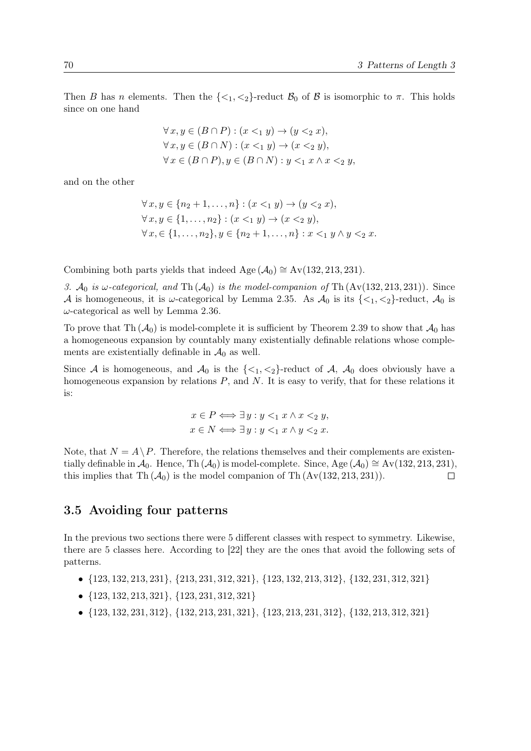Then B has n elements. Then the  $\{\langle 1, \langle 2 \rangle\}$ -reduct  $\mathcal{B}_0$  of B is isomorphic to  $\pi$ . This holds since on one hand

$$
\forall x, y \in (B \cap P) : (x <_1 y) \to (y <_2 x),
$$
  

$$
\forall x, y \in (B \cap N) : (x <_1 y) \to (x <_2 y),
$$
  

$$
\forall x \in (B \cap P), y \in (B \cap N) : y <_1 x \land x <_2 y,
$$

and on the other

$$
\forall x, y \in \{n_2 + 1, ..., n\} : (x <_1 y) \to (y <_2 x),
$$
  

$$
\forall x, y \in \{1, ..., n_2\} : (x <_1 y) \to (x <_2 y),
$$
  

$$
\forall x, \in \{1, ..., n_2\}, y \in \{n_2 + 1, ..., n\} : x <_1 y \land y <_2 x.
$$

Combining both parts yields that indeed Age  $(\mathcal{A}_0) \cong Av(132, 213, 231)$ .

3.  $\mathcal{A}_0$  is  $\omega$ -categorical, and Th $(\mathcal{A}_0)$  is the model-companion of Th $(Av(132, 213, 231))$ . Since A is homogeneous, it is  $\omega$ -categorical by Lemma [2.35.](#page-25-0) As  $\mathcal{A}_0$  is its  $\{\langle 1, \langle 2 \rangle\}$ -reduct,  $\mathcal{A}_0$  is  $\omega$ -categorical as well by Lemma [2.36.](#page-25-0)

To prove that Th  $(\mathcal{A}_0)$  is model-complete it is sufficient by Theorem [2.39](#page-25-0) to show that  $\mathcal{A}_0$  has a homogeneous expansion by countably many existentially definable relations whose complements are existentially definable in  $\mathcal{A}_0$  as well.

Since A is homogeneous, and  $\mathcal{A}_0$  is the  $\{\langle 1, \langle 2 \rangle\}$ -reduct of A,  $\mathcal{A}_0$  does obviously have a homogeneous expansion by relations  $P$ , and  $N$ . It is easy to verify, that for these relations it is:

$$
x \in P \Longleftrightarrow \exists y : y <_1 x \land x <_2 y,
$$

$$
x \in N \Longleftrightarrow \exists y : y <_1 x \land y <_2 x.
$$

Note, that  $N = A \setminus P$ . Therefore, the relations themselves and their complements are existentially definable in  $\mathcal{A}_0$ . Hence, Th ( $\mathcal{A}_0$ ) is model-complete. Since, Age ( $\mathcal{A}_0$ ) ≅ Av(132, 213, 231), this implies that Th  $(\mathcal{A}_0)$  is the model companion of Th  $(Av(132, 213, 231))$ .  $\Box$ 

# 3.5 Avoiding four patterns

In the previous two sections there were 5 different classes with respect to symmetry. Likewise, there are 5 classes here. According to [\[22\]](#page-91-0) they are the ones that avoid the following sets of patterns.

- {123, 132, 213, 231}, {213, 231, 312, 321}, {123, 132, 213, 312}, {132, 231, 312, 321}
- {123, 132, 213, 321}, {123, 231, 312, 321}
- {123, 132, 231, 312}, {132, 213, 231, 321}, {123, 213, 231, 312}, {132, 213, 312, 321}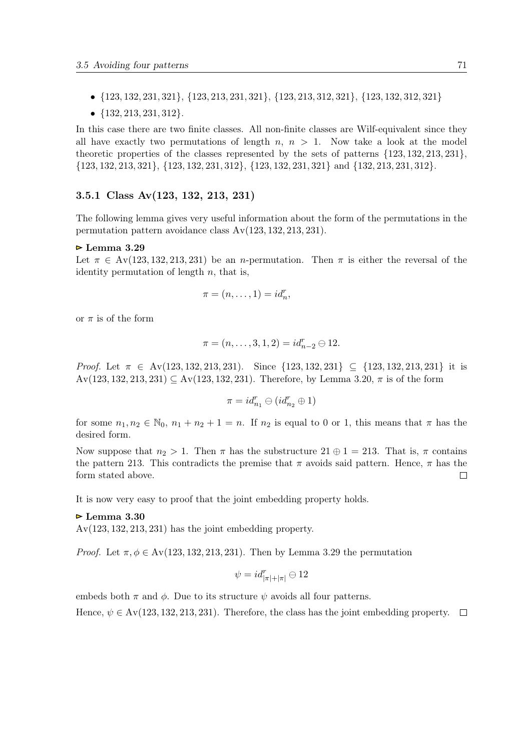- {123, 132, 231, 321}, {123, 213, 231, 321}, {123, 213, 312, 321}, {123, 132, 312, 321}
- {132, 213, 231, 312}.

In this case there are two finite classes. All non-finite classes are Wilf-equivalent since they all have exactly two permutations of length  $n, n > 1$ . Now take a look at the model theoretic properties of the classes represented by the sets of patterns  $\{123, 132, 213, 231\}$ , {123, 132, 213, 321}, {123, 132, 231, 312}, {123, 132, 231, 321} and {132, 213, 231, 312}.

### 3.5.1 Class Av(123, 132, 213, 231)

The following lemma gives very useful information about the form of the permutations in the permutation pattern avoidance class Av(123, 132, 213, 231).

### $\triangleright$  Lemma 3.29

Let  $\pi \in \text{Av}(123, 132, 213, 231)$  be an *n*-permutation. Then  $\pi$  is either the reversal of the identity permutation of length  $n$ , that is,

$$
\pi = (n, \ldots, 1) = id_n^r,
$$

or  $\pi$  is of the form

$$
\pi = (n, \ldots, 3, 1, 2) = id_{n-2}^r \ominus 12.
$$

Proof. Let  $\pi \in \text{Av}(123, 132, 213, 231)$ . Since  $\{123, 132, 231\} \subset \{123, 132, 213, 231\}$  it is  $Av(123, 132, 213, 231) \subseteq Av(123, 132, 231)$ . Therefore, by Lemma [3.20,](#page-57-0)  $\pi$  is of the form

$$
\pi=id_{n_1}^r\ominus(id_{n_2}^r\oplus 1)
$$

for some  $n_1, n_2 \in \mathbb{N}_0$ ,  $n_1 + n_2 + 1 = n$ . If  $n_2$  is equal to 0 or 1, this means that  $\pi$  has the desired form.

Now suppose that  $n_2 > 1$ . Then  $\pi$  has the substructure  $21 \oplus 1 = 213$ . That is,  $\pi$  contains the pattern 213. This contradicts the premise that  $\pi$  avoids said pattern. Hence,  $\pi$  has the form stated above.  $\Box$ 

It is now very easy to proof that the joint embedding property holds.

#### $\triangleright$  Lemma 3.30

 $Av(123, 132, 213, 231)$  has the joint embedding property.

*Proof.* Let  $\pi, \phi \in Av(123, 132, 213, 231)$ . Then by Lemma 3.29 the permutation

$$
\psi = id^r_{|\pi|+|\pi|} \ominus 12
$$

embeds both  $\pi$  and  $\phi$ . Due to its structure  $\psi$  avoids all four patterns.

Hence,  $\psi \in Av(123, 132, 213, 231)$ . Therefore, the class has the joint embedding property.  $\Box$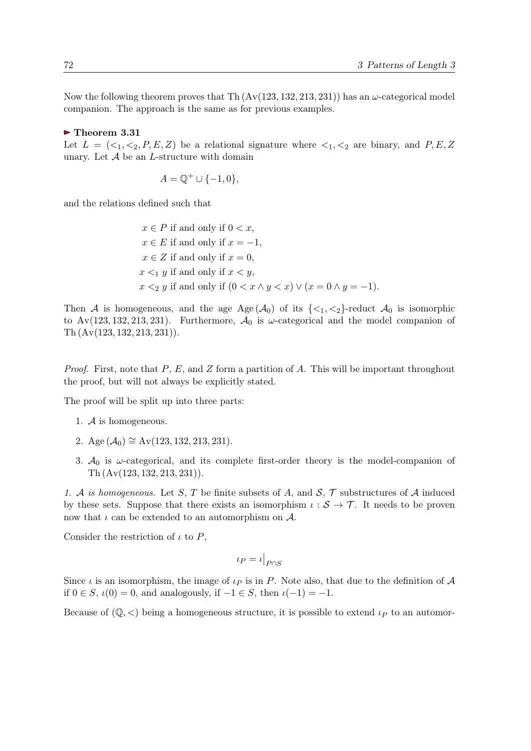Now the following theorem proves that Th  $(Av(123, 132, 213, 231))$  has an  $\omega$ -categorical model companion. The approach is the same as for previous examples.

## $\triangleright$  Theorem 3.31

Let  $L = \langle \langle 1, \langle 2, P, E, Z \rangle \rangle$  be a relational signature where  $\langle 1, \langle 2 \rangle$  are binary, and P, E, Z unary. Let  $A$  be an  $L$ -structure with domain

$$
A = \mathbb{Q}^+ \cup \{-1, 0\},\
$$

and the relations defined such that

 $x \in P$  if and only if  $0 < x$ ,  $x \in E$  if and only if  $x = -1$ ,  $x \in Z$  if and only if  $x = 0$ ,  $x \leq_1 y$  if and only if  $x \leq y$ ,  $x <_2 y$  if and only if  $(0 < x \wedge y < x) \vee (x = 0 \wedge y = -1)$ .

Then A is homogeneous, and the age Age  $(A_0)$  of its  $\{\langle 1, \langle 2 \rangle\}$ -reduct  $A_0$  is isomorphic to Av(123, 132, 213, 231). Furthermore,  $\mathcal{A}_0$  is  $\omega$ -categorical and the model companion of Th (Av(123, 132, 213, 231)).

*Proof.* First, note that  $P$ ,  $E$ , and  $Z$  form a partition of  $A$ . This will be important throughout the proof, but will not always be explicitly stated.

The proof will be split up into three parts:

- 1. A is homogeneous.
- 2. Age  $(\mathcal{A}_0) \cong Av(123, 132, 213, 231)$ .
- 3.  $A_0$  is  $\omega$ -categorical, and its complete first-order theory is the model-companion of Th (Av(123, 132, 213, 231)).

1. A is homogeneous. Let S, T be finite subsets of A, and  $\mathcal{S}, \mathcal{T}$  substructures of A induced by these sets. Suppose that there exists an isomorphism  $\iota : \mathcal{S} \to \mathcal{T}$ . It needs to be proven now that  $\iota$  can be extended to an automorphism on  $\mathcal{A}$ .

Consider the restriction of  $\iota$  to  $P$ ,

$$
\iota_P = \iota|_{P \cap S}
$$

Since  $\iota$  is an isomorphism, the image of  $\iota_P$  is in P. Note also, that due to the definition of A if  $0 \in S$ ,  $\iota(0) = 0$ , and analogously, if  $-1 \in S$ , then  $\iota(-1) = -1$ .

Because of  $(\mathbb{Q}, \leq)$  being a homogeneous structure, it is possible to extend  $\iota_P$  to an automor-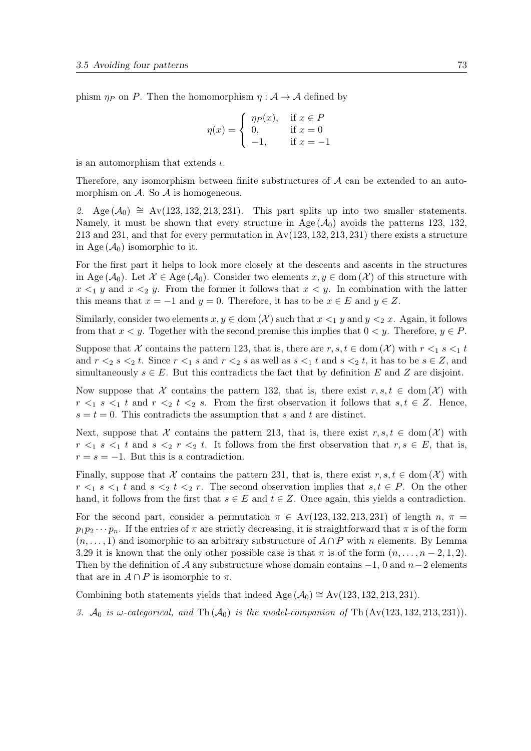phism  $\eta_P$  on P. Then the homomorphism  $\eta : A \to A$  defined by

$$
\eta(x) = \begin{cases} \eta_P(x), & \text{if } x \in P \\ 0, & \text{if } x = 0 \\ -1, & \text{if } x = -1 \end{cases}
$$

is an automorphism that extends  $\iota$ .

Therefore, any isomorphism between finite substructures of  $A$  can be extended to an automorphism on  $\mathcal A$ . So  $\mathcal A$  is homogeneous.

2. Age  $(\mathcal{A}_0) \cong \text{Av}(123, 132, 213, 231)$ . This part splits up into two smaller statements. Namely, it must be shown that every structure in Age  $(\mathcal{A}_0)$  avoids the patterns 123, 132, 213 and 231, and that for every permutation in  $Av(123, 132, 213, 231)$  there exists a structure in Age  $(\mathcal{A}_0)$  isomorphic to it.

For the first part it helps to look more closely at the descents and ascents in the structures in Age  $(\mathcal{A}_0)$ . Let  $\mathcal{X} \in \text{Age}(\mathcal{A}_0)$ . Consider two elements  $x, y \in \text{dom}(\mathcal{X})$  of this structure with  $x \leq_1 y$  and  $x \leq_2 y$ . From the former it follows that  $x \leq y$ . In combination with the latter this means that  $x = -1$  and  $y = 0$ . Therefore, it has to be  $x \in E$  and  $y \in Z$ .

Similarly, consider two elements  $x, y \in \text{dom}(\mathcal{X})$  such that  $x \leq_1 y$  and  $y \leq_2 x$ . Again, it follows from that  $x < y$ . Together with the second premise this implies that  $0 < y$ . Therefore,  $y \in P$ .

Suppose that X contains the pattern 123, that is, there are  $r, s, t \in \text{dom}(\mathcal{X})$  with  $r \leq_1 s \leq_1 t$ and  $r \leq_2 s \leq_2 t$ . Since  $r \leq_1 s$  and  $r \leq_2 s$  as well as  $s \leq_1 t$  and  $s \leq_2 t$ , it has to be  $s \in \mathbb{Z}$ , and simultaneously  $s \in E$ . But this contradicts the fact that by definition E and Z are disjoint.

Now suppose that X contains the pattern 132, that is, there exist  $r, s, t \in \text{dom}(\mathcal{X})$  with  $r \leq_1 s \leq_1 t$  and  $r \leq_2 t \leq_2 s$ . From the first observation it follows that  $s, t \in \mathbb{Z}$ . Hence,  $s = t = 0$ . This contradicts the assumption that s and t are distinct.

Next, suppose that X contains the pattern 213, that is, there exist  $r, s, t \in \text{dom}(\mathcal{X})$  with  $r \leq_1 s \leq_1 t$  and  $s \leq_2 r \leq_2 t$ . It follows from the first observation that  $r, s \in E$ , that is,  $r = s = -1$ . But this is a contradiction.

Finally, suppose that X contains the pattern 231, that is, there exist  $r, s, t \in \text{dom}(\mathcal{X})$  with  $r \leq_1 s \leq_1 t$  and  $s \leq_2 t \leq_2 r$ . The second observation implies that  $s, t \in P$ . On the other hand, it follows from the first that  $s \in E$  and  $t \in Z$ . Once again, this yields a contradiction.

For the second part, consider a permutation  $\pi \in Av(123, 132, 213, 231)$  of length n,  $\pi =$  $p_1p_2\cdots p_n$ . If the entries of  $\pi$  are strictly decreasing, it is straightforward that  $\pi$  is of the form  $(n, \ldots, 1)$  and isomorphic to an arbitrary substructure of  $A \cap P$  with n elements. By Lemma [3.29](#page-70-0) it is known that the only other possible case is that  $\pi$  is of the form  $(n, \ldots, n-2, 1, 2)$ . Then by the definition of  $\mathcal A$  any substructure whose domain contains  $-1$ , 0 and  $n-2$  elements that are in  $A \cap P$  is isomorphic to  $\pi$ .

Combining both statements yields that indeed Age  $(\mathcal{A}_0) \cong Av(123, 132, 213, 231)$ .

3.  $A_0$  is w-categorical, and Th $(A_0)$  is the model-companion of Th $(Av(123, 132, 213, 231))$ .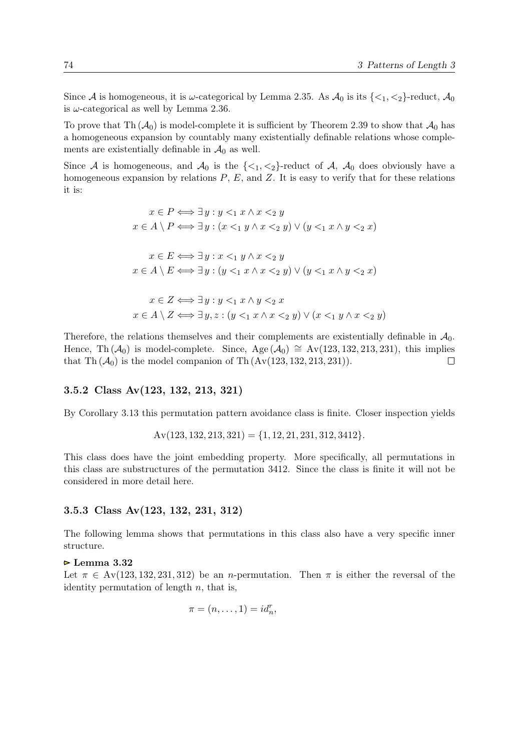<span id="page-73-0"></span>Since A is homogeneous, it is  $\omega$ -categorical by Lemma [2.35.](#page-25-0) As  $\mathcal{A}_0$  is its  $\{\langle 1, \langle 2 \rangle\}$ -reduct,  $\mathcal{A}_0$ is  $\omega$ -categorical as well by Lemma [2.36.](#page-25-0)

To prove that Th  $(A_0)$  is model-complete it is sufficient by Theorem [2.39](#page-25-0) to show that  $A_0$  has a homogeneous expansion by countably many existentially definable relations whose complements are existentially definable in  $\mathcal{A}_0$  as well.

Since A is homogeneous, and  $\mathcal{A}_0$  is the  $\{\langle 1,\langle 2\rangle\}$ -reduct of A,  $\mathcal{A}_0$  does obviously have a homogeneous expansion by relations  $P$ ,  $E$ , and  $Z$ . It is easy to verify that for these relations it is:

$$
x \in P \iff \exists y : y <_{1} x \land x <_{2} y
$$
\n
$$
x \in A \setminus P \iff \exists y : (x <_{1} y \land x <_{2} y) \lor (y <_{1} x \land y <_{2} x)
$$
\n
$$
x \in E \iff \exists y : x <_{1} y \land x <_{2} y
$$
\n
$$
x \in A \setminus E \iff \exists y : (y <_{1} x \land x <_{2} y) \lor (y <_{1} x \land y <_{2} x)
$$
\n
$$
x \in Z \iff \exists y : y <_{1} x \land y <_{2} x
$$
\n
$$
x \in A \setminus Z \iff \exists y, z : (y <_{1} x \land x <_{2} y) \lor (x <_{1} y \land x <_{2} y)
$$

Therefore, the relations themselves and their complements are existentially definable in  $\mathcal{A}_0$ . Hence, Th  $(\mathcal{A}_0)$  is model-complete. Since, Age  $(\mathcal{A}_0) \cong Av(123, 132, 213, 231)$ , this implies that Th $(\mathcal{A}_0)$  is the model companion of Th $(Av(123, 132, 213, 231)).$  $\Box$ 

#### 3.5.2 Class Av(123, 132, 213, 321)

By Corollary [3.13](#page-48-0) this permutation pattern avoidance class is finite. Closer inspection yields

$$
Av(123, 132, 213, 321) = \{1, 12, 21, 231, 312, 3412\}.
$$

This class does have the joint embedding property. More specifically, all permutations in this class are substructures of the permutation 3412. Since the class is finite it will not be considered in more detail here.

#### 3.5.3 Class Av(123, 132, 231, 312)

The following lemma shows that permutations in this class also have a very specific inner structure.

#### $\triangleright$  Lemma 3.32

Let  $\pi \in Av(123, 132, 231, 312)$  be an *n*-permutation. Then  $\pi$  is either the reversal of the identity permutation of length  $n$ , that is,

$$
\pi = (n, \ldots, 1) = id_n^r,
$$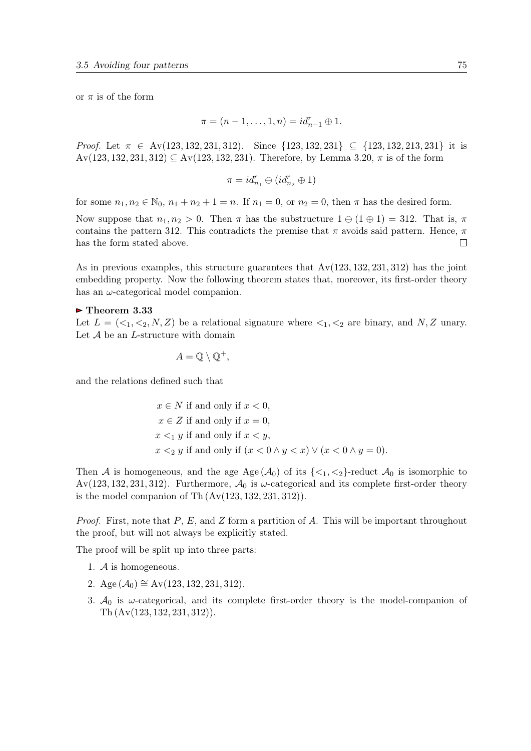or  $\pi$  is of the form

$$
\pi = (n - 1, \dots, 1, n) = id_{n-1}^r \oplus 1.
$$

Proof. Let  $\pi \in \text{Av}(123, 132, 231, 312)$ . Since  $\{123, 132, 231\} \subseteq \{123, 132, 213, 231\}$  it is  $Av(123, 132, 231, 312) \subseteq Av(123, 132, 231)$ . Therefore, by Lemma [3.20,](#page-57-0)  $\pi$  is of the form

$$
\pi=id_{n_1}^r\ominus(id_{n_2}^r\oplus 1)
$$

for some  $n_1, n_2 \in \mathbb{N}_0$ ,  $n_1 + n_2 + 1 = n$ . If  $n_1 = 0$ , or  $n_2 = 0$ , then  $\pi$  has the desired form.

Now suppose that  $n_1, n_2 > 0$ . Then  $\pi$  has the substructure  $1 \oplus (1 \oplus 1) = 312$ . That is,  $\pi$ contains the pattern 312. This contradicts the premise that  $\pi$  avoids said pattern. Hence,  $\pi$ has the form stated above.  $\Box$ 

As in previous examples, this structure guarantees that  $Av(123, 132, 231, 312)$  has the joint embedding property. Now the following theorem states that, moreover, its first-order theory has an  $\omega$ -categorical model companion.

#### $\blacktriangleright$  Theorem 3.33

Let  $L = \{ \langle 1, \langle 2, N, Z \rangle \}$  be a relational signature where  $\langle 1, \langle 2 \rangle$  are binary, and N, Z unary. Let  $A$  be an *L*-structure with domain

$$
A=\mathbb{Q}\setminus\mathbb{Q}^+,
$$

and the relations defined such that

$$
x \in N
$$
 if and only if  $x < 0$ ,  $x \in Z$  if and only if  $x = 0$ ,  $x <_1 y$  if and only if  $x < y$ ,  $x <_2 y$  if and only if  $(x < 0 \land y < x) \lor (x < 0 \land y = 0)$ .

Then A is homogeneous, and the age Age  $(A_0)$  of its  $\{\langle 1, \langle 2 \rangle\}$ -reduct  $A_0$  is isomorphic to Av(123, 132, 231, 312). Furthermore,  $\mathcal{A}_0$  is  $\omega$ -categorical and its complete first-order theory is the model companion of Th $(Av(123, 132, 231, 312)).$ 

*Proof.* First, note that P, E, and Z form a partition of A. This will be important throughout the proof, but will not always be explicitly stated.

The proof will be split up into three parts:

- 1. A is homogeneous.
- 2. Age  $(\mathcal{A}_0) \cong Av(123, 132, 231, 312)$ .
- 3.  $A_0$  is  $\omega$ -categorical, and its complete first-order theory is the model-companion of Th (Av(123, 132, 231, 312)).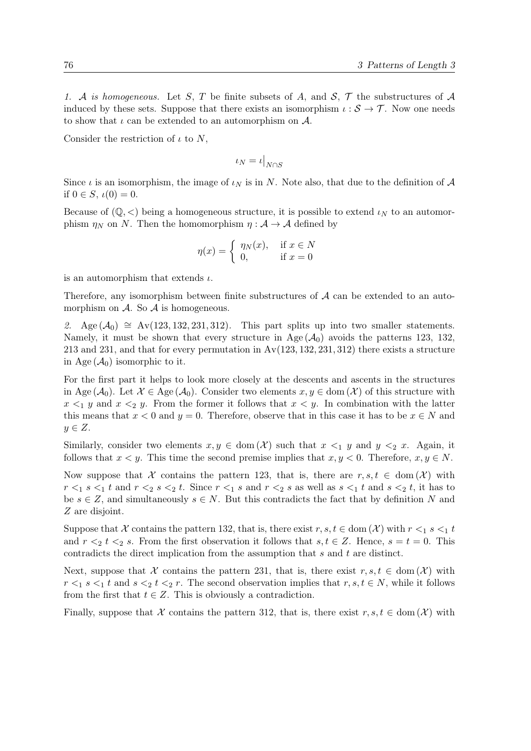1. A is homogeneous. Let S, T be finite subsets of A, and  $S$ , T the substructures of A induced by these sets. Suppose that there exists an isomorphism  $\iota : \mathcal{S} \to \mathcal{T}$ . Now one needs to show that  $\iota$  can be extended to an automorphism on  $\mathcal{A}$ .

Consider the restriction of  $\iota$  to N,

$$
\iota_N=\iota\big|_{N\cap S}
$$

Since  $\iota$  is an isomorphism, the image of  $\iota_N$  is in N. Note also, that due to the definition of A if  $0 \in S$ ,  $\iota(0) = 0$ .

Because of  $(\mathbb{Q}, \leq)$  being a homogeneous structure, it is possible to extend  $\iota_N$  to an automorphism  $\eta_N$  on N. Then the homomorphism  $\eta : A \to A$  defined by

$$
\eta(x) = \begin{cases} \eta_N(x), & \text{if } x \in N \\ 0, & \text{if } x = 0 \end{cases}
$$

is an automorphism that extends  $\iota$ .

Therefore, any isomorphism between finite substructures of  $A$  can be extended to an automorphism on  $A$ . So  $A$  is homogeneous.

2. Age  $(\mathcal{A}_0) \cong Av(123, 132, 231, 312)$ . This part splits up into two smaller statements. Namely, it must be shown that every structure in Age  $(\mathcal{A}_0)$  avoids the patterns 123, 132, 213 and 231, and that for every permutation in  $Av(123, 132, 231, 312)$  there exists a structure in Age  $(\mathcal{A}_0)$  isomorphic to it.

For the first part it helps to look more closely at the descents and ascents in the structures in Age  $(\mathcal{A}_0)$ . Let  $\mathcal{X} \in \text{Age}(\mathcal{A}_0)$ . Consider two elements  $x, y \in \text{dom}(\mathcal{X})$  of this structure with  $x \leq_1 y$  and  $x \leq_2 y$ . From the former it follows that  $x \leq y$ . In combination with the latter this means that  $x < 0$  and  $y = 0$ . Therefore, observe that in this case it has to be  $x \in N$  and  $y \in Z$ .

Similarly, consider two elements  $x, y \in \text{dom}(\mathcal{X})$  such that  $x \leq_1 y$  and  $y \leq_2 x$ . Again, it follows that  $x < y$ . This time the second premise implies that  $x, y < 0$ . Therefore,  $x, y \in N$ .

Now suppose that X contains the pattern 123, that is, there are  $r, s, t \in \text{dom}(\mathcal{X})$  with  $r \leq 1$  s  $\leq 1$  t and  $r \leq 2$  s  $\leq 2$  t. Since  $r \leq 1$  s and  $r \leq 2$  s as well as  $s \leq 1$  t and  $s \leq 2$  t, it has to be  $s \in Z$ , and simultaneously  $s \in N$ . But this contradicts the fact that by definition N and Z are disjoint.

Suppose that X contains the pattern 132, that is, there exist  $r, s, t \in \text{dom}(\mathcal{X})$  with  $r \leq_1 s \leq_1 t$ and  $r \leq 2$  t  $\leq 2$  s. From the first observation it follows that  $s, t \in \mathbb{Z}$ . Hence,  $s = t = 0$ . This contradicts the direct implication from the assumption that s and t are distinct.

Next, suppose that X contains the pattern 231, that is, there exist  $r, s, t \in \text{dom}(\mathcal{X})$  with  $r <_1 s <_1 t$  and  $s <_2 t <_2 r$ . The second observation implies that  $r, s, t \in N$ , while it follows from the first that  $t \in Z$ . This is obviously a contradiction.

Finally, suppose that X contains the pattern 312, that is, there exist  $r, s, t \in \text{dom}(\mathcal{X})$  with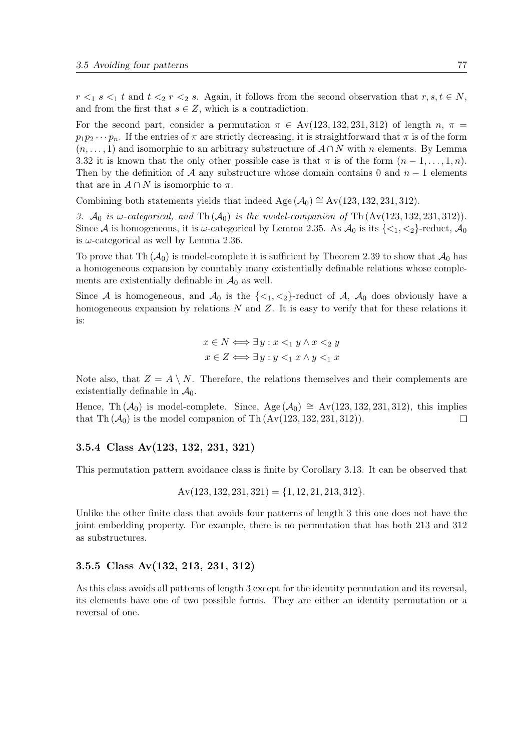$r \leq_1 s \leq_1 t$  and  $t \leq_2 r \leq_2 s$ . Again, it follows from the second observation that  $r, s, t \in N$ , and from the first that  $s \in Z$ , which is a contradiction.

For the second part, consider a permutation  $\pi \in Av(123, 132, 231, 312)$  of length n,  $\pi =$  $p_1p_2\cdots p_n$ . If the entries of  $\pi$  are strictly decreasing, it is straightforward that  $\pi$  is of the form  $(n, \ldots, 1)$  and isomorphic to an arbitrary substructure of  $A \cap N$  with n elements. By Lemma [3.32](#page-73-0) it is known that the only other possible case is that  $\pi$  is of the form  $(n-1,\ldots,1,n)$ . Then by the definition of A any substructure whose domain contains 0 and  $n-1$  elements that are in  $A \cap N$  is isomorphic to  $\pi$ .

Combining both statements yields that indeed Age  $(\mathcal{A}_0) \cong Av(123, 132, 231, 312)$ .

3.  $\mathcal{A}_0$  is  $\omega$ -categorical, and Th $(\mathcal{A}_0)$  is the model-companion of Th $(Av(123, 132, 231, 312))$ . Since A is homogeneous, it is  $\omega$ -categorical by Lemma [2.35.](#page-25-0) As  $\mathcal{A}_0$  is its  $\{\langle 1, \langle 2 \rangle\}$ -reduct,  $\mathcal{A}_0$ is  $\omega$ -categorical as well by Lemma [2.36.](#page-25-0)

To prove that Th  $(\mathcal{A}_0)$  is model-complete it is sufficient by Theorem [2.39](#page-25-0) to show that  $\mathcal{A}_0$  has a homogeneous expansion by countably many existentially definable relations whose complements are existentially definable in  $\mathcal{A}_0$  as well.

Since A is homogeneous, and  $\mathcal{A}_0$  is the  $\{\langle 1, \langle 2 \rangle\}$ -reduct of A,  $\mathcal{A}_0$  does obviously have a homogeneous expansion by relations  $N$  and  $Z$ . It is easy to verify that for these relations it is:

$$
x \in N \Longleftrightarrow \exists y : x <_1 y \land x <_2 y
$$

$$
x \in Z \Longleftrightarrow \exists y : y <_1 x \land y <_1 x
$$

Note also, that  $Z = A \setminus N$ . Therefore, the relations themselves and their complements are existentially definable in  $\mathcal{A}_0$ .

Hence, Th  $(\mathcal{A}_0)$  is model-complete. Since, Age  $(\mathcal{A}_0) \cong Av(123, 132, 231, 312)$ , this implies that Th  $(\mathcal{A}_0)$  is the model companion of Th  $(Av(123, 132, 231, 312)).$  $\Box$ 

#### 3.5.4 Class Av(123, 132, 231, 321)

This permutation pattern avoidance class is finite by Corollary [3.13.](#page-48-0) It can be observed that

$$
Av(123, 132, 231, 321) = \{1, 12, 21, 213, 312\}.
$$

Unlike the other finite class that avoids four patterns of length 3 this one does not have the joint embedding property. For example, there is no permutation that has both 213 and 312 as substructures.

#### 3.5.5 Class Av(132, 213, 231, 312)

As this class avoids all patterns of length 3 except for the identity permutation and its reversal, its elements have one of two possible forms. They are either an identity permutation or a reversal of one.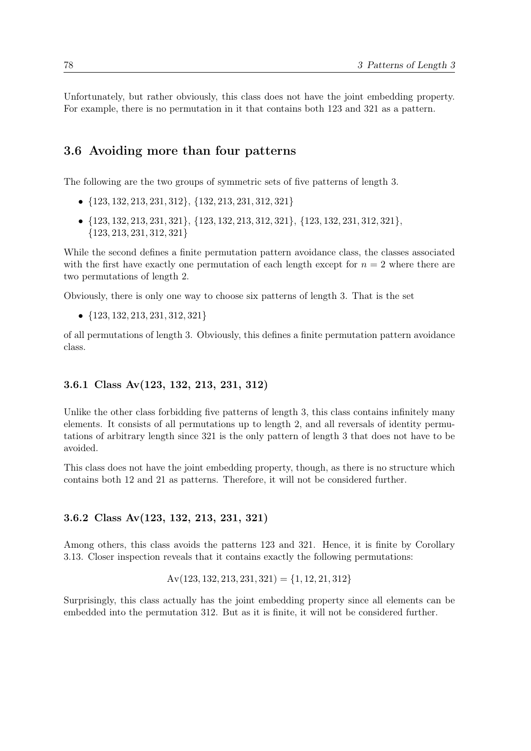Unfortunately, but rather obviously, this class does not have the joint embedding property. For example, there is no permutation in it that contains both 123 and 321 as a pattern.

### 3.6 Avoiding more than four patterns

The following are the two groups of symmetric sets of five patterns of length 3.

- {123, 132, 213, 231, 312}, {132, 213, 231, 312, 321}
- {123, 132, 213, 231, 321}, {123, 132, 213, 312, 321}, {123, 132, 231, 312, 321}, {123, 213, 231, 312, 321}

While the second defines a finite permutation pattern avoidance class, the classes associated with the first have exactly one permutation of each length except for  $n = 2$  where there are two permutations of length 2.

Obviously, there is only one way to choose six patterns of length 3. That is the set

•  ${123, 132, 213, 231, 312, 321}$ 

of all permutations of length 3. Obviously, this defines a finite permutation pattern avoidance class.

#### 3.6.1 Class Av(123, 132, 213, 231, 312)

Unlike the other class forbidding five patterns of length 3, this class contains infinitely many elements. It consists of all permutations up to length 2, and all reversals of identity permutations of arbitrary length since 321 is the only pattern of length 3 that does not have to be avoided.

This class does not have the joint embedding property, though, as there is no structure which contains both 12 and 21 as patterns. Therefore, it will not be considered further.

#### 3.6.2 Class Av(123, 132, 213, 231, 321)

Among others, this class avoids the patterns 123 and 321. Hence, it is finite by Corollary [3.13.](#page-48-0) Closer inspection reveals that it contains exactly the following permutations:

$$
Av(123, 132, 213, 231, 321) = \{1, 12, 21, 312\}
$$

Surprisingly, this class actually has the joint embedding property since all elements can be embedded into the permutation 312. But as it is finite, it will not be considered further.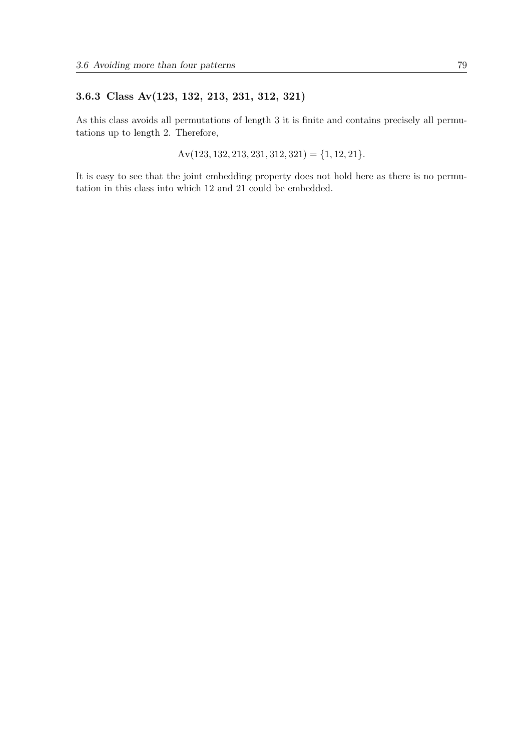### 3.6.3 Class Av(123, 132, 213, 231, 312, 321)

As this class avoids all permutations of length 3 it is finite and contains precisely all permutations up to length 2. Therefore,

 $Av(123, 132, 213, 231, 312, 321) = \{1, 12, 21\}.$ 

It is easy to see that the joint embedding property does not hold here as there is no permutation in this class into which 12 and 21 could be embedded.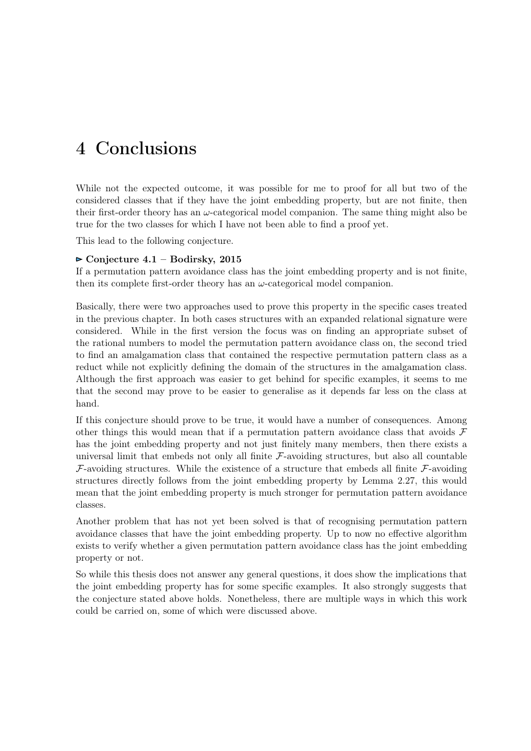# 4 Conclusions

While not the expected outcome, it was possible for me to proof for all but two of the considered classes that if they have the joint embedding property, but are not finite, then their first-order theory has an  $\omega$ -categorical model companion. The same thing might also be true for the two classes for which I have not been able to find a proof yet.

This lead to the following conjecture.

### $\triangleright$  Conjecture 4.1 – Bodirsky, 2015

If a permutation pattern avoidance class has the joint embedding property and is not finite, then its complete first-order theory has an  $\omega$ -categorical model companion.

Basically, there were two approaches used to prove this property in the specific cases treated in the previous chapter. In both cases structures with an expanded relational signature were considered. While in the first version the focus was on finding an appropriate subset of the rational numbers to model the permutation pattern avoidance class on, the second tried to find an amalgamation class that contained the respective permutation pattern class as a reduct while not explicitly defining the domain of the structures in the amalgamation class. Although the first approach was easier to get behind for specific examples, it seems to me that the second may prove to be easier to generalise as it depends far less on the class at hand.

If this conjecture should prove to be true, it would have a number of consequences. Among other things this would mean that if a permutation pattern avoidance class that avoids  $\mathcal F$ has the joint embedding property and not just finitely many members, then there exists a universal limit that embeds not only all finite  $\mathcal{F}\text{-avoiding structures}$ , but also all countable  $\mathcal{F}\text{-avoiding structures.}$  While the existence of a structure that embeds all finite  $\mathcal{F}\text{-avoiding}$ structures directly follows from the joint embedding property by Lemma [2.27,](#page-22-0) this would mean that the joint embedding property is much stronger for permutation pattern avoidance classes.

Another problem that has not yet been solved is that of recognising permutation pattern avoidance classes that have the joint embedding property. Up to now no effective algorithm exists to verify whether a given permutation pattern avoidance class has the joint embedding property or not.

So while this thesis does not answer any general questions, it does show the implications that the joint embedding property has for some specific examples. It also strongly suggests that the conjecture stated above holds. Nonetheless, there are multiple ways in which this work could be carried on, some of which were discussed above.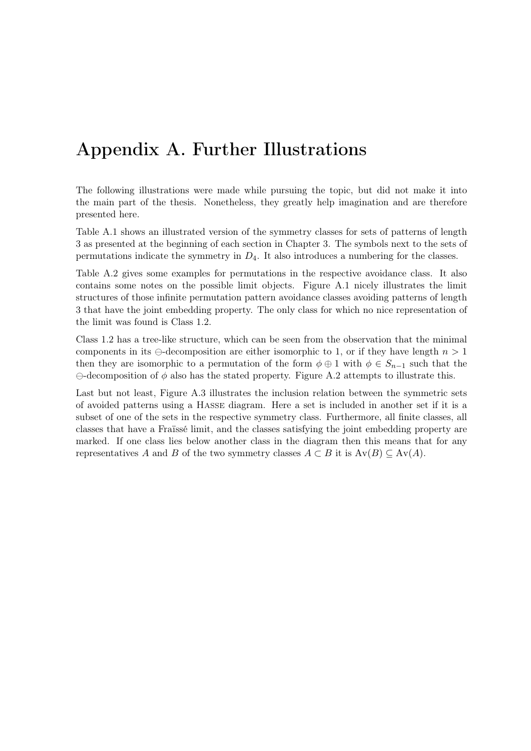# Appendix A. Further Illustrations

The following illustrations were made while pursuing the topic, but did not make it into the main part of the thesis. Nonetheless, they greatly help imagination and are therefore presented here.

Table [A.1](#page-83-0) shows an illustrated version of the symmetry classes for sets of patterns of length 3 as presented at the beginning of each section in Chapter [3.](#page-28-0) The symbols next to the sets of permutations indicate the symmetry in  $D_4$ . It also introduces a numbering for the classes.

Table [A.2](#page-85-0) gives some examples for permutations in the respective avoidance class. It also contains some notes on the possible limit objects. Figure [A.1](#page-87-0) nicely illustrates the limit structures of those infinite permutation pattern avoidance classes avoiding patterns of length 3 that have the joint embedding property. The only class for which no nice representation of the limit was found is Class 1.2.

Class 1.2 has a tree-like structure, which can be seen from the observation that the minimal components in its  $\ominus$ -decomposition are either isomorphic to 1, or if they have length  $n > 1$ then they are isomorphic to a permutation of the form  $\phi \oplus 1$  with  $\phi \in S_{n-1}$  such that the  $\ominus$ -decomposition of  $\phi$  also has the stated property. Figure [A.2](#page-88-0) attempts to illustrate this.

Last but not least, Figure [A.3](#page-89-0) illustrates the inclusion relation between the symmetric sets of avoided patterns using a Hasse diagram. Here a set is included in another set if it is a subset of one of the sets in the respective symmetry class. Furthermore, all finite classes, all classes that have a Fraïssé limit, and the classes satisfying the joint embedding property are marked. If one class lies below another class in the diagram then this means that for any representatives A and B of the two symmetry classes  $A \subset B$  it is  $Av(B) \subseteq Av(A)$ .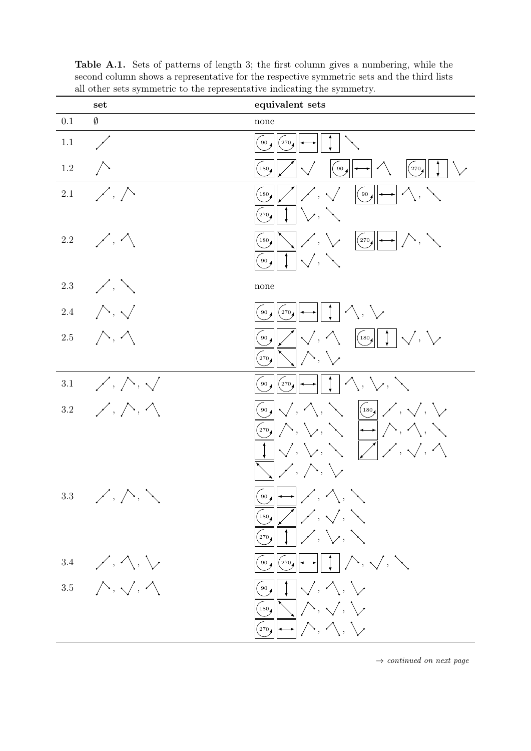|         | set                                                  | equivalent sets                                                                                                                                                                                                                                                                                                                                                                                                                                                                                                                                                                                                                                                                                                                                                                                                                                             |
|---------|------------------------------------------------------|-------------------------------------------------------------------------------------------------------------------------------------------------------------------------------------------------------------------------------------------------------------------------------------------------------------------------------------------------------------------------------------------------------------------------------------------------------------------------------------------------------------------------------------------------------------------------------------------------------------------------------------------------------------------------------------------------------------------------------------------------------------------------------------------------------------------------------------------------------------|
| 0.1     | $\emptyset$                                          | none                                                                                                                                                                                                                                                                                                                                                                                                                                                                                                                                                                                                                                                                                                                                                                                                                                                        |
| 1.1     | $\bigg)$                                             | $90\,$<br>270                                                                                                                                                                                                                                                                                                                                                                                                                                                                                                                                                                                                                                                                                                                                                                                                                                               |
| $1.2\,$ | $\bigwedge$                                          | $\left  \right\rangle$<br>(90,<br>(270,<br>$ \!\!\!\dashright\uparrow$                                                                                                                                                                                                                                                                                                                                                                                                                                                                                                                                                                                                                                                                                                                                                                                      |
| $2.1\,$ | $\nearrow$ , $\nearrow$                              | $\swarrow, \searrow \qquad \text{[00,0]} \rightarrow \wedge, \searrow$<br>$^{(180)}$<br>$\vee$<br>270                                                                                                                                                                                                                                                                                                                                                                                                                                                                                                                                                                                                                                                                                                                                                       |
| $2.2\,$ | $\sim$ $\sim$                                        | $\left \nearrow,\searrow\right $ $\left \left(\right.270\text{)}\right \leftarrow\right $ $\left \nearrow,\searrow\right $<br>$180_4$<br>$ \swarrow, \searrow$<br>90                                                                                                                                                                                                                                                                                                                                                                                                                                                                                                                                                                                                                                                                                        |
| $2.3\,$ | $\frac{1}{2}$                                        | none                                                                                                                                                                                                                                                                                                                                                                                                                                                                                                                                                                                                                                                                                                                                                                                                                                                        |
|         | 2.4 $\wedge$ , $\sqrt$                               | $\wedge$ , $\vee$<br>$^{270}$<br>90                                                                                                                                                                                                                                                                                                                                                                                                                                                                                                                                                                                                                                                                                                                                                                                                                         |
| 2.5     | $\wedge, \wedge$                                     | $\sqrt{, \triangle}$<br>$\left \left(\begin{smallmatrix} 180 \end{smallmatrix}\right), \begin{smallmatrix} 1 \end{smallmatrix}\right  \right $<br>90 <sub>4</sub><br>$\bigwedge$ , $\bigvee$<br>270                                                                                                                                                                                                                                                                                                                                                                                                                                                                                                                                                                                                                                                         |
| $3.1\,$ | $\swarrow$ , $\nearrow$ , $\searrow$                 | $\wedge$ , $\vee$ , $\searrow$<br>(270,<br>90                                                                                                                                                                                                                                                                                                                                                                                                                                                                                                                                                                                                                                                                                                                                                                                                               |
| $3.2\,$ | $\swarrow$ , $\curvearrowright$ , $\curvearrowright$ | $\begin{CD} \begin{CD} \begin{CD} \begin{CD} \mathbb{R} \end{CD} \end{CD} \end{CD} \end{CD} \end{CD} \begin{CD} \begin{CD} \begin{CD} \mathbb{R} \end{CD} \end{CD} \end{CD} \end{CD}$<br>$\left\{ \left. \sum\limits_{i=1}^N\left[ \left\langle \bigwedge,\bigvee,\bigwedge\limits_{i=1}^N\right\rangle \right] \longrightarrow \right\vert \nearrow \right\} , \left\langle \bigwedge,\bigwedge\limits_{i=1}^N\right\rangle \right\}$<br>$ \!\! \! \sqrt{},\mathop{\backslash}\mathop{\backslash},\mathop{\backslash}\mathop{\backslash}\mathop{\llcorner}\!\! \!\! /\rangle$<br>$\left[\right\nearrow,\left\wedge,\left\vee\right\rangle$                                                                                                                                                                                                                 |
|         | $3.3$ /, $\wedge$ , $\searrow$                       | $\left( \begin{array}{c} \circ \\ \circ \\ \circ \end{array} \right) \longrightarrow \left( \begin{array}{c} \circ \\ \circ \\ \circ \end{array} \right) , \left( \begin{array}{c} \circ \\ \circ \\ \circ \end{array} \right) , \left( \begin{array}{c} \circ \\ \circ \\ \circ \end{array} \right)$<br>$\sqrt{\frac{180}{\sqrt{2}}}$ / , $\sqrt{ }$ , $\sqrt{ }$<br>$\left( \begin{array}{c c} \mathbf{0} & \mathbf{0} \end{array} \right) \left[ \begin{array}{c c} \mathbf{0} & \mathbf{0} \end{array} \right] \left[ \begin{array}{c c} \mathbf{0} & \mathbf{0} \end{array} \right] \left[ \begin{array}{c c} \mathbf{0} & \mathbf{0} \end{array} \right] \left[ \begin{array}{c c} \mathbf{0} & \mathbf{0} \end{array} \right] \left[ \begin{array}{c} \mathbf{0} & \mathbf{0} \end{array} \right] \left[ \begin{array}{c} \mathbf{0} & \mathbf{0} \$ |
| $3.4\,$ | $\mathscr{S}, \wedge, \vee$                          | $\left(\begin{array}{c} \text{SO} \end{array}\right)$ $\left[\begin{array}{c} \text{SO} \end{array}\right]$ $\rightarrow$ $\left \begin{array}{c} \end{array}\right $ $\left \begin{array}{c} \end{array}\right $ , $\left \begin{array}{c} \end{array}\right $ , $\left \begin{array}{c} \end{array}\right $ , $\left \begin{array}{c} \end{array}\right $ , $\left \begin{array}{c} \end{array}\right $                                                                                                                                                                                                                                                                                                                                                                                                                                                   |
|         | 3.5 $\land$ , $\land$ , $\land$                      | $\left\vert 1\right\vert \sqrt{2}$ , $\left\langle \sqrt{2}\right\vert$<br>$($ 90 $\big)$<br>$\log$ $\left \sum_i \right  \left\langle \sum_i \right $<br>$\left( \Omega_{\text{70}}   \left  \longrightarrow \right  \nearrow, \nearrow, \searrow$                                                                                                                                                                                                                                                                                                                                                                                                                                                                                                                                                                                                         |

<span id="page-83-0"></span>Table A.1. Sets of patterns of length 3; the first column gives a numbering, while the second column shows a representative for the respective symmetric sets and the third lists all other sets symmetric to the representative indicating the symmetry.

 $\rightarrow$  continued on next page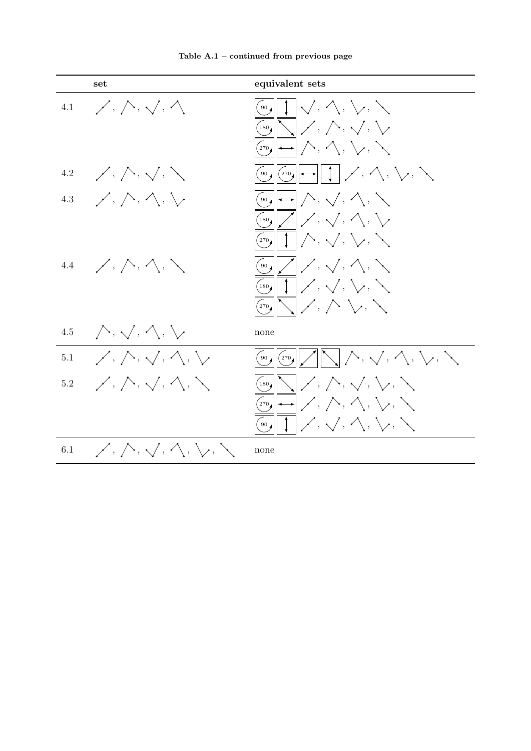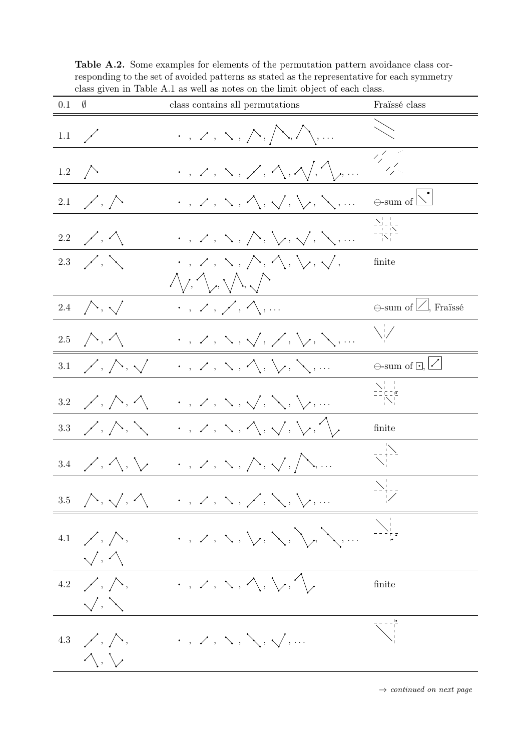<span id="page-85-0"></span>Table A.2. Some examples for elements of the permutation pattern avoidance class corresponding to the set of avoided patterns as stated as the representative for each symmetry class given in Table [A.1](#page-83-0) as well as notes on the limit object of each class.



 $\rightarrow$  continued on next page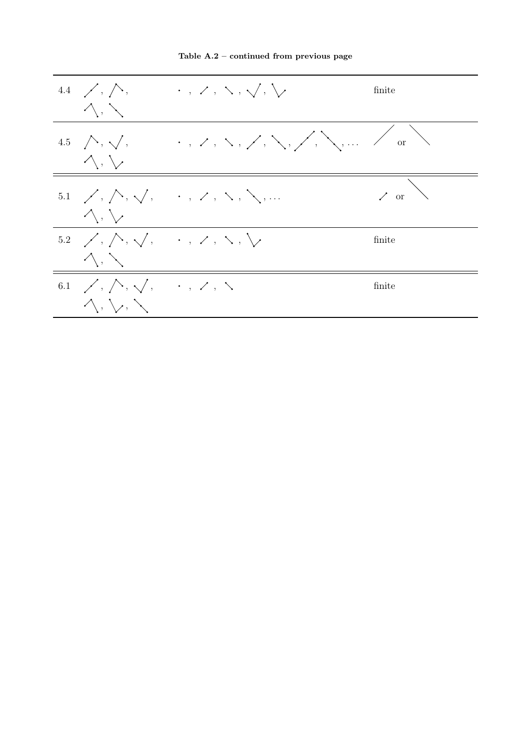

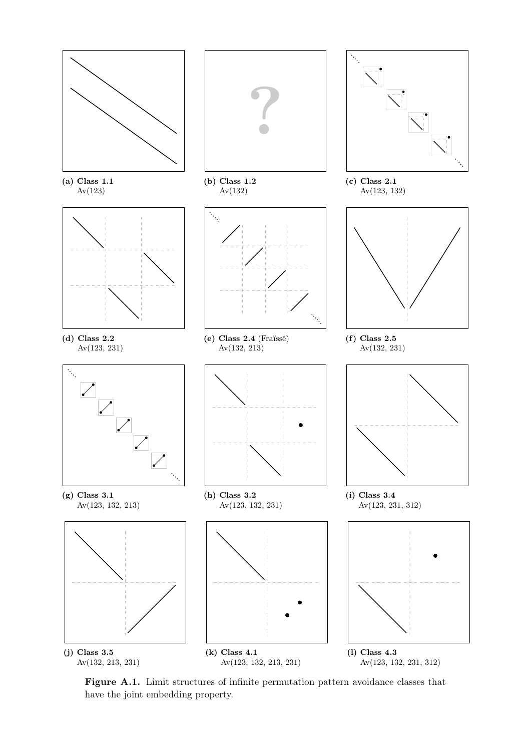<span id="page-87-0"></span>

Figure A.1. Limit structures of infinite permutation pattern avoidance classes that have the joint embedding property.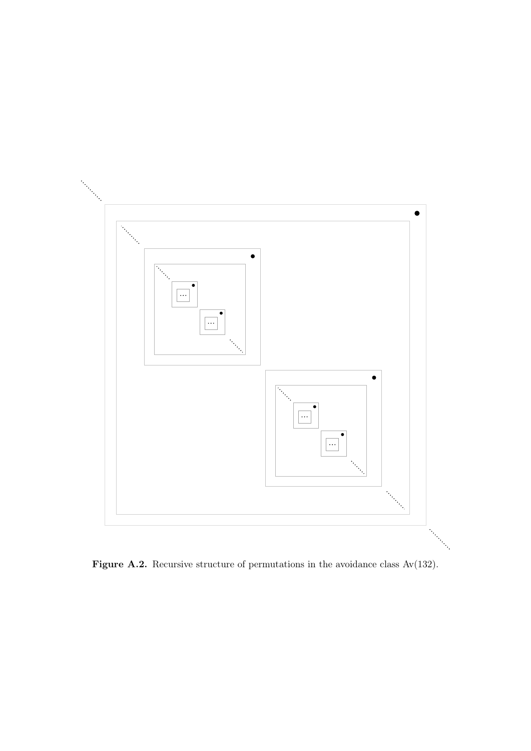<span id="page-88-0"></span>

Figure A.2. Recursive structure of permutations in the avoidance class Av(132).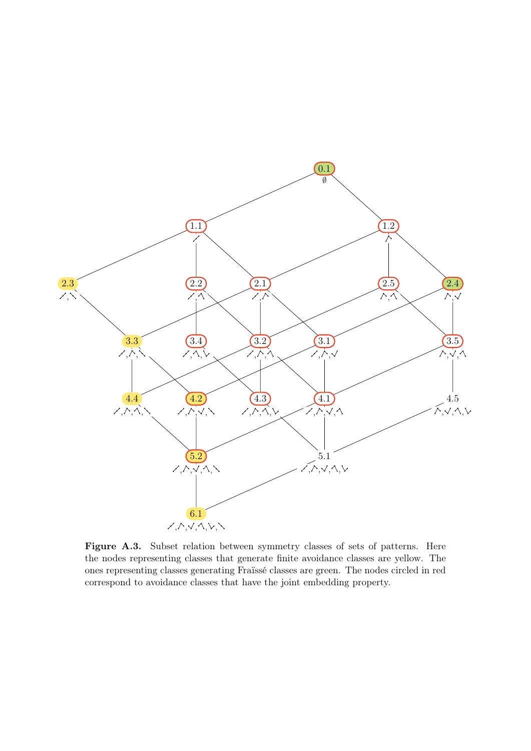<span id="page-89-0"></span>

Figure A.3. Subset relation between symmetry classes of sets of patterns. Here the nodes representing classes that generate finite avoidance classes are yellow. The ones representing classes generating Fraïssé classes are green. The nodes circled in red correspond to avoidance classes that have the joint embedding property.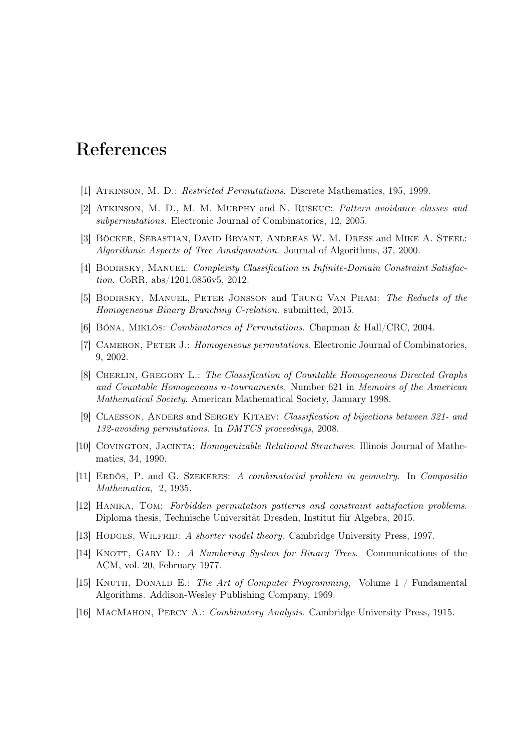## References

- [1] Atkinson, M. D.: Restricted Permutations. Discrete Mathematics, 195, 1999.
- [2] Atkinson, M. D., M. M. Murphy and N. Ruškuc: Pattern avoidance classes and subpermutations. Electronic Journal of Combinatorics, 12, 2005.
- [3] BÖCKER, SEBASTIAN, DAVID BRYANT, ANDREAS W. M. DRESS and MIKE A. STEEL: Algorithmic Aspects of Tree Amalgamation. Journal of Algorithms, 37, 2000.
- [4] BODIRSKY, MANUEL: Complexity Classification in Infinite-Domain Constraint Satisfaction. CoRR, abs/1201.0856v5, 2012.
- [5] Bodirsky, Manuel, Peter Jonsson and Trung Van Pham: The Reducts of the Homogeneous Binary Branching C-relation. submitted, 2015.
- [6] Bóna, Miklós: Combinatorics of Permutations. Chapman & Hall/CRC, 2004.
- [7] CAMERON, PETER J.: Homogeneous permutations. Electronic Journal of Combinatorics, 9, 2002.
- [8] CHERLIN, GREGORY L.: The Classification of Countable Homogeneous Directed Graphs and Countable Homogeneous n-tournaments. Number 621 in Memoirs of the American Mathematical Society. American Mathematical Society, January 1998.
- [9] Claesson, Anders and Sergey Kitaev: Classification of bijections between 321- and 132-avoiding permutations. In DMTCS proceedings, 2008.
- [10] COVINGTON, JACINTA: Homogenizable Relational Structures. Illinois Journal of Mathematics, 34, 1990.
- [11] Erdös, P. and G. Szekeres: A combinatorial problem in geometry. In Compositio Mathematica, 2, 1935.
- [12] Hanika, Tom: Forbidden permutation patterns and constraint satisfaction problems. Diploma thesis, Technische Universität Dresden, Institut für Algebra, 2015.
- [13] HODGES, WILFRID: A shorter model theory. Cambridge University Press, 1997.
- [14] KNOTT, GARY D.: A Numbering System for Binary Trees. Communications of the ACM, vol. 20, February 1977.
- [15] KNUTH, DONALD E.: The Art of Computer Programming, Volume  $1 /$  Fundamental Algorithms. Addison-Wesley Publishing Company, 1969.
- [16] MacMahon, Percy A.: Combinatory Analysis. Cambridge University Press, 1915.